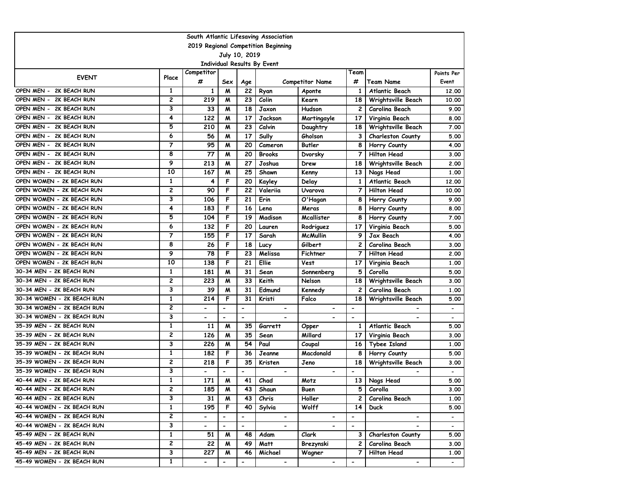| South Atlantic Lifesaving Association |                         |                          |                              |                          |                             |                          |                          |                          |                          |  |  |
|---------------------------------------|-------------------------|--------------------------|------------------------------|--------------------------|-----------------------------|--------------------------|--------------------------|--------------------------|--------------------------|--|--|
| 2019 Regional Competition Beginning   |                         |                          |                              |                          |                             |                          |                          |                          |                          |  |  |
|                                       |                         |                          |                              | July 10, 2019            |                             |                          |                          |                          |                          |  |  |
|                                       |                         |                          |                              |                          | Individual Results By Event |                          |                          |                          |                          |  |  |
| <b>EVENT</b>                          | Place                   | Competitor<br>#          | Sex                          | Age                      |                             | <b>Competitor Name</b>   | Team<br>#                | Team Name                | Points Per<br>Event      |  |  |
| OPEN MEN - 2K BEACH RUN               | 1                       | $\mathbf{1}$             | M                            | 22                       | Ryan                        | Aponte                   | 1                        | Atlantic Beach           | 12.00                    |  |  |
| OPEN MEN - 2K BEACH RUN               | 2                       | 219                      | M                            | 23                       | Colin                       | Kearn                    | 18                       | Wrightsville Beach       | 10.00                    |  |  |
| OPEN MEN - 2K BEACH RUN               | 3                       | 33                       | M                            | 18                       | Jaxon                       | Hudson                   | 2                        | Carolina Beach           | 9.00                     |  |  |
| OPEN MEN - 2K BEACH RUN               | 4                       | 122                      | M                            | 17                       | Jackson                     | Martingayle              | 17                       | Virginia Beach           | 8.00                     |  |  |
| OPEN MEN - 2K BEACH RUN               | 5                       | 210                      | м                            | 23                       | Calvin                      | Daughtry                 | 18                       | Wrightsville Beach       | 7.00                     |  |  |
| OPEN MEN - 2K BEACH RUN               | 6                       | 56                       | M                            | 17                       | Sully                       | Gholson                  | 3                        | <b>Charleston County</b> | 5.00                     |  |  |
| OPEN MEN - 2K BEACH RUN               | $\overline{\mathbf{7}}$ | 95                       | M                            | 20                       | Cameron                     | Butler                   | 8                        | Horry County             | 4.00                     |  |  |
| OPEN MEN - 2K BEACH RUN               | 8                       | 77                       | M                            | 20                       | <b>Brooks</b>               | Dvorsky                  | 7                        | <b>Hilton Head</b>       | 3.00                     |  |  |
| OPEN MEN - 2K BEACH RUN               | 9                       | 213                      | M                            | 27                       | Joshua                      | Drew                     | 18                       | Wrightsville Beach       | 2.00                     |  |  |
| OPEN MEN - 2K BEACH RUN               | 10                      | 167                      | M                            | 25                       | Shawn                       | Kenny                    | 13                       | Nags Head                | 1,00                     |  |  |
| OPEN WOMEN - 2K BEACH RUN             | 1                       | 4                        | F                            | 20                       | Kayley                      | Delay                    | 1                        | Atlantic Beach           | 12,00                    |  |  |
| OPEN WOMEN - 2K BEACH RUN             | 2                       | 90                       | F                            | 22                       | Valeriia                    | Uvarova                  | 7                        | <b>Hilton Head</b>       | 10.00                    |  |  |
| OPEN WOMEN - 2K BEACH RUN             | 3                       | 106                      | F                            | 21                       | Erin                        | O'Hagan                  | 8                        | Horry County             | 9.00                     |  |  |
| OPEN WOMEN - 2K BEACH RUN             | 4                       | 183                      | F                            | 16                       | Lena                        | Meras                    | 8                        | Horry County             | 8.00                     |  |  |
| OPEN WOMEN - 2K BEACH RUN             | 5                       | 104                      | F                            | 19                       | Madison                     | Mcallister               | 8                        | Horry County             | 7.00                     |  |  |
| OPEN WOMEN - 2K BEACH RUN             | 6                       | 132                      | F                            | 20                       | Lauren                      | Rodriguez                | 17                       | Virginia Beach           | 5.00                     |  |  |
| OPEN WOMEN - 2K BEACH RUN             | $\overline{7}$          | 155                      | F                            | 17                       | Sarah                       | <b>McMullin</b>          | 9                        | Jax Beach                | 4.00                     |  |  |
| OPEN WOMEN - 2K BEACH RUN             | 8                       | 26                       | F                            | 18                       | Lucy                        | Gilbert                  | 2                        | Carolina Beach           | 3.00                     |  |  |
| OPEN WOMEN - 2K BEACH RUN             | 9                       | 78                       | F                            | 23                       | Melissa                     | Fichtner                 | $\overline{7}$           | <b>Hilton Head</b>       | 2.00                     |  |  |
| OPEN WOMEN - 2K BEACH RUN             | 10                      | 138                      | F                            | 21                       | <b>Ellie</b>                | Vest                     | 17                       | Virginia Beach           | 1,00                     |  |  |
| 30-34 MEN - 2K BEACH RUN              | 1                       | 181                      | M                            | 31                       | Sean                        | Sonnenberg               | 5                        | Corolla                  | 5.00                     |  |  |
| 30-34 MEN - 2K BEACH RUN              | 2                       | 223                      | M                            | 33                       | Keith                       | Nelson                   | 18                       | Wrightsville Beach       | 3.00                     |  |  |
| 30-34 MEN - 2K BEACH RUN              | 3                       | 39                       | M                            | 31                       | Edmund                      | Kennedy                  | 2                        | Carolina Beach           | 1,00                     |  |  |
| 30-34 WOMEN - 2K BEACH RUN            | 1                       | 214                      | F                            | 31                       | Kristi                      | Falco                    | 18                       | Wrightsville Beach       | 5.00                     |  |  |
| 30-34 WOMEN - 2K BEACH RUN            | 2                       |                          | $\qquad \qquad \blacksquare$ | -                        | $\overline{\phantom{a}}$    | $\blacksquare$           | $\overline{\phantom{a}}$ |                          | $\overline{\phantom{a}}$ |  |  |
| 30-34 WOMEN - 2K BEACH RUN            | 3                       |                          | $\blacksquare$               | $\overline{\phantom{a}}$ |                             |                          | $\overline{\phantom{a}}$ |                          |                          |  |  |
| 35-39 MEN - 2K BEACH RUN              | $\mathbf{1}$            | 11                       | M                            | 35                       | Garrett                     | Opper                    | 1                        | Atlantic Beach           | 5.00                     |  |  |
| 35-39 MEN - 2K BEACH RUN              | 2                       | 126                      | M                            | 35                       | Sean                        | Millard                  | 17                       | Virginia Beach           | 3.00                     |  |  |
| 35-39 MEN - 2K BEACH RUN              | 3                       | 226                      | M                            | 54                       | Paul                        | Coupal                   | 16                       | <b>Tybee Island</b>      | 1.00                     |  |  |
| 35-39 WOMEN - 2K BEACH RUN            | 1                       | 182                      | F                            | 36                       | Jeanne                      | Macdonald                | 8                        | Horry County             | 5.00                     |  |  |
| 35-39 WOMEN - 2K BEACH RUN            | 2                       | 218                      | F                            | 35                       | Kristen                     | Jeno                     | 18                       | Wrightsville Beach       | 3.00                     |  |  |
| 35-39 WOMEN - 2K BEACH RUN            | 3                       |                          | $\blacksquare$               | $\overline{\phantom{0}}$ | $\blacksquare$              | $\blacksquare$           | $\overline{\phantom{m}}$ |                          |                          |  |  |
| 40-44 MEN - 2K BEACH RUN              | $\mathbf{1}$            | 171                      | M                            | 41                       | Chad                        | Motz                     | 13 I                     | Nags Head                | 5.00                     |  |  |
| 40-44 MEN - 2K BEACH RUN              | 2                       | 185                      | M                            | 43                       | Shaun                       | <b>Buen</b>              | 5                        | Corolla                  | 3.00                     |  |  |
| 40-44 MEN - 2K BEACH RUN              | 3                       | 31                       | M                            | 43                       | Chris                       | Holler                   | 2                        | Carolina Beach           | 1.00                     |  |  |
| 40-44 WOMEN - 2K BEACH RUN            | $\mathbf{1}$            | 195                      | F                            | 40                       | Sylvia                      | Wolff                    | 14                       | <b>Duck</b>              | 5.00                     |  |  |
| 40-44 WOMEN - 2K BEACH RUN            | $\overline{2}$          | $\overline{\phantom{0}}$ | $\hbox{\small -}$            | $\overline{\phantom{a}}$ | $\blacksquare$              | $\overline{\phantom{a}}$ | $\hbox{\small -}$        | $\overline{\phantom{0}}$ |                          |  |  |
| 40-44 WOMEN - 2K BEACH RUN            | 3                       | $\overline{\phantom{0}}$ | $\hbox{\small -}$            | $\overline{\phantom{a}}$ |                             |                          | $\overline{\phantom{a}}$ |                          | $\overline{\phantom{a}}$ |  |  |
| 45-49 MEN - 2K BEACH RUN              | $\mathbf{1}$            | 51                       | M                            | 48                       | Adam                        | Clark                    | 3                        | <b>Charleston County</b> | 5.00                     |  |  |
| 45-49 MEN - 2K BEACH RUN              | 2                       | 22                       | M                            | 49                       | Matt                        | Brezynski                | 2                        | Carolina Beach           | 3.00                     |  |  |
| 45-49 MEN - 2K BEACH RUN              | 3                       | 227                      | M                            | 46                       | Michael                     | Wagner                   | 7                        | Hilton Head              | 1.00                     |  |  |
| 45-49 WOMEN - 2K BEACH RUN            | $\mathbf{1}$            | $\overline{\phantom{0}}$ | $\hbox{\small -}$            | $\overline{\phantom{a}}$ | $\overline{\phantom{0}}$    | $\overline{\phantom{a}}$ | $\overline{\phantom{a}}$ | $\overline{\phantom{0}}$ |                          |  |  |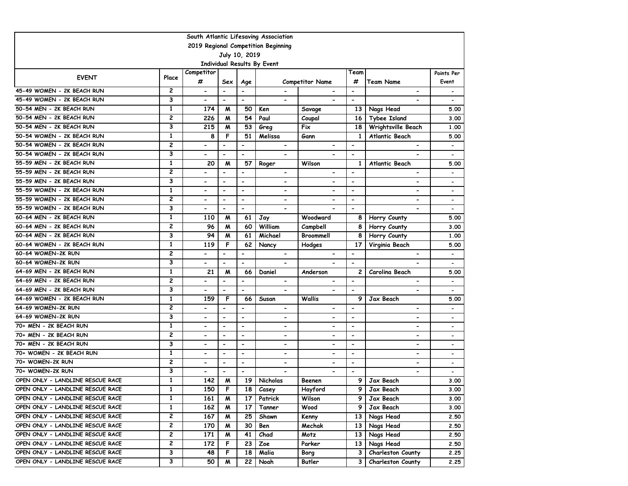| South Atlantic Lifesaving Association |                                     |                              |                              |                          |                             |                              |                          |                              |                              |  |  |  |
|---------------------------------------|-------------------------------------|------------------------------|------------------------------|--------------------------|-----------------------------|------------------------------|--------------------------|------------------------------|------------------------------|--|--|--|
|                                       | 2019 Regional Competition Beginning |                              |                              |                          |                             |                              |                          |                              |                              |  |  |  |
|                                       |                                     |                              |                              | July 10, 2019            |                             |                              |                          |                              |                              |  |  |  |
|                                       |                                     |                              |                              |                          | Individual Results By Event |                              |                          |                              |                              |  |  |  |
| <b>EVENT</b>                          | Place                               | Competitor                   |                              |                          |                             |                              | Team                     |                              | Points Per                   |  |  |  |
|                                       |                                     | #                            | Sex                          | Age                      |                             | <b>Competitor Name</b>       | #                        | Team Name                    | Event                        |  |  |  |
| 45-49 WOMEN - 2K BEACH RUN            | 2                                   | $\qquad \qquad \blacksquare$ | $\overline{\phantom{a}}$     | $\overline{\phantom{a}}$ |                             |                              | $\overline{\phantom{a}}$ | -                            |                              |  |  |  |
| 45-49 WOMEN - 2K BEACH RUN            | 3                                   | $\qquad \qquad \blacksquare$ | $\blacksquare$               | $\blacksquare$           | $\blacksquare$              | $\overline{\phantom{0}}$     | $\overline{\phantom{a}}$ |                              |                              |  |  |  |
| 50-54 MEN - 2K BEACH RUN              | $\mathbf{1}$                        | 174                          | M                            | 50                       | Ken                         | Savage                       | 13                       | Nags Head                    | 5.00                         |  |  |  |
| 50-54 MEN - 2K BEACH RUN              | 2                                   | 226                          | M                            | 54                       | Paul                        | Coupal                       | 16                       | <b>Tybee Island</b>          | 3.00                         |  |  |  |
| 50-54 MEN - 2K BEACH RUN              | 3                                   | 215                          | M                            | 53                       | Greg                        | Fix                          | 18                       | Wrightsville Beach           | 1.00                         |  |  |  |
| 50-54 WOMEN - 2K BEACH RUN            | 1                                   | 8                            | F                            | 51                       | Melissa                     | Gann                         | 1                        | <b>Atlantic Beach</b>        | 5.00                         |  |  |  |
| 50-54 WOMEN - 2K BEACH RUN            | $\overline{c}$                      |                              | $\overline{\phantom{a}}$     | $\overline{\phantom{a}}$ | $\overline{\phantom{a}}$    |                              | $\overline{\phantom{0}}$ | $\overline{\phantom{0}}$     |                              |  |  |  |
| 50-54 WOMEN - 2K BEACH RUN            | 3                                   | $\qquad \qquad \blacksquare$ | $\blacksquare$               | $\overline{\phantom{a}}$ | $\blacksquare$              |                              | $\overline{\phantom{a}}$ | $\overline{\phantom{0}}$     | $\qquad \qquad \blacksquare$ |  |  |  |
| 55-59 MEN - 2K BEACH RUN              | $\mathbf{1}$                        | 20                           | M                            | 57                       | Roger                       | Wilson                       | $\mathbf{1}$             | Atlantic Beach               | 5.00                         |  |  |  |
| 55-59 MEN - 2K BEACH RUN              | $\overline{c}$                      |                              | $\blacksquare$               | $\overline{\phantom{a}}$ | $\blacksquare$              | $\blacksquare$               | $\blacksquare$           | $\overline{\phantom{0}}$     | $\overline{\phantom{a}}$     |  |  |  |
| 55-59 MEN - 2K BEACH RUN              | 3                                   | $\overline{\phantom{0}}$     | $\qquad \qquad \blacksquare$ | $\overline{\phantom{a}}$ | $\overline{\phantom{a}}$    | $\qquad \qquad \blacksquare$ | $\overline{\phantom{a}}$ | -                            |                              |  |  |  |
| 55-59 WOMEN - 2K BEACH RUN            | $\mathbf{1}$                        | $\qquad \qquad \blacksquare$ | $\blacksquare$               | $\blacksquare$           | $\blacksquare$              | $\qquad \qquad \blacksquare$ | $\overline{\phantom{a}}$ | $\overline{\phantom{0}}$     | $\overline{\phantom{0}}$     |  |  |  |
| 55-59 WOMEN - 2K BEACH RUN            | $\overline{\mathbf{c}}$             | $\overline{\phantom{0}}$     | $\overline{\phantom{a}}$     | $\overline{\phantom{a}}$ | $\overline{\phantom{a}}$    | $\qquad \qquad \blacksquare$ | $\overline{\phantom{a}}$ | -                            | $\qquad \qquad \blacksquare$ |  |  |  |
| 55-59 WOMEN - 2K BEACH RUN            | 3                                   | $\overline{\phantom{0}}$     | $\overline{\phantom{a}}$     | $\overline{\phantom{a}}$ | $\blacksquare$              |                              | $\overline{\phantom{a}}$ | $\overline{a}$               | $\overline{\phantom{0}}$     |  |  |  |
| 60-64 MEN - 2K BEACH RUN              | $\mathbf{1}$                        | 110                          | М                            | 61                       | Jay                         | Woodward                     | 8                        | Horry County                 | 5.00                         |  |  |  |
| 60-64 MEN - 2K BEACH RUN              | 2                                   | 96                           | M                            | 60                       | William                     | Campbell                     | 8                        | Horry County                 | 3.00                         |  |  |  |
| 60-64 MEN - 2K BEACH RUN              | 3                                   | 94                           | М                            | 61                       | Michael                     | Broommell                    | 8                        | Horry County                 | 1.00                         |  |  |  |
| 60-64 WOMEN - 2K BEACH RUN            | $\mathbf{1}$                        | 119                          | F                            | 62                       | Nancy                       | Hodges                       | 17                       | Virginia Beach               | 5.00                         |  |  |  |
| 60-64 WOMEN-2K RUN                    | $\overline{2}$                      |                              | $\blacksquare$               | $\blacksquare$           | $\overline{\phantom{a}}$    | $\blacksquare$               | $\overline{\phantom{a}}$ | $\overline{\phantom{0}}$     | $\overline{\phantom{0}}$     |  |  |  |
| 60-64 WOMEN-2K RUN                    | 3                                   |                              | $\overline{\phantom{a}}$     | $\overline{\phantom{0}}$ |                             |                              | $\blacksquare$           |                              | $\overline{\phantom{0}}$     |  |  |  |
| 64-69 MEN - 2K BEACH RUN              | $\mathbf{1}$                        | 21                           | M                            | 66                       | Daniel                      | Anderson                     | $\mathbf{2}$             | Carolina Beach               | 5.00                         |  |  |  |
| 64-69 MEN - 2K BEACH RUN              | $\overline{c}$                      |                              | $\overline{\phantom{a}}$     | $\blacksquare$           | $\overline{\phantom{a}}$    | $\qquad \qquad \blacksquare$ | $\overline{a}$           |                              |                              |  |  |  |
| 64-69 MEN - 2K BEACH RUN              | 3                                   | $\overline{\phantom{0}}$     | $\blacksquare$               | $\overline{\phantom{a}}$ | $\blacksquare$              | $\overline{\phantom{0}}$     | $\overline{\phantom{a}}$ | $\overline{\phantom{0}}$     |                              |  |  |  |
| 64-69 WOMEN - 2K BEACH RUN            | $\mathbf{1}$                        | 159                          | F                            | 66                       | Susan                       | Wallis                       | 9                        | Jax Beach                    | 5.00                         |  |  |  |
| 64-69 WOMEN-2K RUN                    | 2                                   | $\overline{\phantom{0}}$     | $\overline{\phantom{a}}$     | $\overline{\phantom{a}}$ | $\overline{\phantom{a}}$    | $\qquad \qquad \blacksquare$ | $\overline{\phantom{a}}$ | $\qquad \qquad \blacksquare$ | $\qquad \qquad \blacksquare$ |  |  |  |
| 64-69 WOMEN-2K RUN                    | 3                                   |                              | $\overline{\phantom{a}}$     | $\overline{\phantom{a}}$ | $\overline{\phantom{a}}$    | $\qquad \qquad \blacksquare$ | $\overline{\phantom{a}}$ | -                            | $\qquad \qquad \blacksquare$ |  |  |  |
| 70+ MEN - 2K BEACH RUN                | $\mathbf{1}$                        |                              | $\overline{\phantom{a}}$     | $\overline{\phantom{a}}$ | $\blacksquare$              | $\blacksquare$               | $\overline{\phantom{a}}$ | -                            | $\qquad \qquad \blacksquare$ |  |  |  |
| 70+ MEN - 2K BEACH RUN                | $\overline{2}$                      | $\overline{\phantom{0}}$     | $\blacksquare$               | $\overline{\phantom{a}}$ | $\blacksquare$              | $\blacksquare$               | $\overline{\phantom{a}}$ | $\overline{\phantom{0}}$     | $\qquad \qquad \blacksquare$ |  |  |  |
| 70+ MEN - 2K BEACH RUN                | 3                                   | $\overline{\phantom{0}}$     | $\blacksquare$               | $\overline{\phantom{a}}$ | $\overline{\phantom{0}}$    | $\blacksquare$               | $\overline{\phantom{a}}$ | -                            | $\overline{\phantom{0}}$     |  |  |  |
| 70+ WOMEN - 2K BEACH RUN              | $\mathbf{1}$                        |                              | $\blacksquare$               | $\blacksquare$           | $\blacksquare$              | $\blacksquare$               | $\blacksquare$           | $\overline{\phantom{0}}$     | $\qquad \qquad \blacksquare$ |  |  |  |
| 70+ WOMEN-2K RUN                      | $\overline{c}$                      | $\overline{\phantom{0}}$     | $\overline{\phantom{a}}$     | $\blacksquare$           | $\overline{\phantom{a}}$    | $\qquad \qquad \blacksquare$ | $\overline{\phantom{a}}$ | -                            | $\qquad \qquad \blacksquare$ |  |  |  |
| 70+ WOMEN-2K RUN                      | 3                                   |                              |                              | $\blacksquare$           |                             |                              | $\blacksquare$           |                              |                              |  |  |  |
| OPEN ONLY - LANDLINE RESCUE RACE      | $\mathbf{1}$                        | 142                          | M                            | 19                       | Nicholas                    | Beenen                       | 9                        | Jax Beach                    | 3.00                         |  |  |  |
| OPEN ONLY - LANDLINE RESCUE RACE      | 1                                   | 150                          | F                            | 18 I                     | Casey                       | Hayford                      | 9                        | Jax Beach                    | 3.00                         |  |  |  |
| OPEN ONLY - LANDLINE RESCUE RACE      | 1                                   | 161                          | M                            | 17                       | Patrick                     | Wilson                       | 9                        | Jax Beach                    | 3.00                         |  |  |  |
| OPEN ONLY - LANDLINE RESCUE RACE      | 1                                   | 162                          | M                            | 17                       | Tanner                      | Wood                         | 9 I                      | Jax Beach                    | 3.00                         |  |  |  |
| OPEN ONLY - LANDLINE RESCUE RACE      | 2                                   | 167                          | M                            | 25                       | Shawn                       | Kenny                        | 13 I                     | Nags Head                    | 2.50                         |  |  |  |
| OPEN ONLY - LANDLINE RESCUE RACE      | 2                                   | 170                          | M                            | 30                       | Ben                         | Mechak                       | 13 I                     | Nags Head                    | 2.50                         |  |  |  |
| OPEN ONLY - LANDLINE RESCUE RACE      | 2                                   | 171                          | M                            | 41                       | Chad                        | Motz                         | 13 I                     | Nags Head                    | 2.50                         |  |  |  |
| OPEN ONLY - LANDLINE RESCUE RACE      | 2                                   | 172                          | F                            | 23                       | Zoe                         | Parker                       |                          | 13 Nags Head                 | 2.50                         |  |  |  |
| OPEN ONLY - LANDLINE RESCUE RACE      | 3                                   | 48                           | F                            | 18                       | Malia                       | Borg                         | 3 I                      | <b>Charleston County</b>     | 2.25                         |  |  |  |
| OPEN ONLY - LANDLINE RESCUE RACE      | З                                   | 50                           | M                            | 22                       | Noah                        | Butler                       | 3                        | Charleston County            | 2.25                         |  |  |  |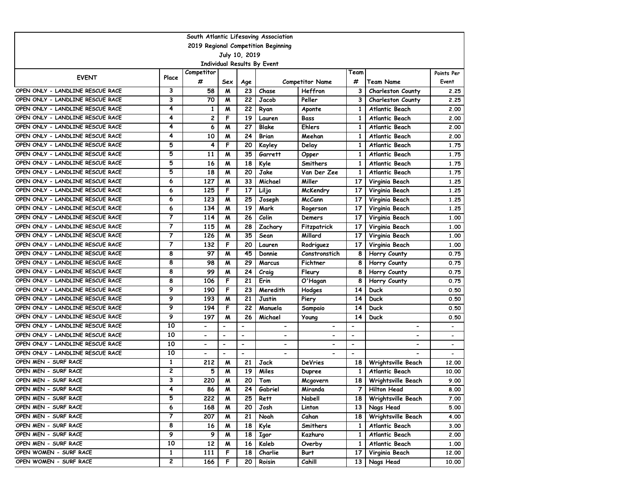| 2019 Regional Competition Beginning<br>July 10, 2019<br>Individual Results By Event<br>Competitor<br>Team<br>Points Per<br><b>EVENT</b><br>Place<br>#<br>#<br>Sex<br><b>Team Name</b><br><b>Competitor Name</b><br>Event<br>Age<br>OPEN ONLY - LANDLINE RESCUE RACE<br>3<br>58<br>23<br>Chase<br>Heffron<br>3<br><b>Charleston County</b><br>M<br>2.25<br>3<br>OPEN ONLY - LANDLINE RESCUE RACE<br>70<br>22<br>M<br>Peller<br>3<br><b>Charleston County</b><br>2.25<br>Jacob<br>OPEN ONLY - LANDLINE RESCUE RACE<br>4<br>$\mathbf{1}$<br>M<br>22<br>Atlantic Beach<br>1<br>2.00<br>Ryan<br>Aponte<br>4<br>2<br>F<br>19<br>OPEN ONLY - LANDLINE RESCUE RACE<br>$\mathbf{1}$<br>Lauren<br>Bass<br>Atlantic Beach<br>2.00<br>4<br>OPEN ONLY - LANDLINE RESCUE RACE<br>27<br><b>Blake</b><br>6<br>M<br>Ehlers<br>Atlantic Beach<br>2.00<br>1<br>4<br>OPEN ONLY - LANDLINE RESCUE RACE<br>24<br>10<br>M<br>Brian<br>Meehan<br>Atlantic Beach<br>2.00<br>1<br>5<br>F<br>20<br>4<br>OPEN ONLY - LANDLINE RESCUE RACE<br>$\mathbf{1}$<br>Atlantic Beach<br>1.75<br>Kayley<br>Delay<br>5<br>35<br>OPEN ONLY - LANDLINE RESCUE RACE<br>11<br>M<br>Garrett<br>$\mathbf{1}$<br>Atlantic Beach<br>1.75<br>Opper<br>5<br>16<br>18<br>M<br>$\mathbf{1}$<br>1.75<br>OPEN ONLY - LANDLINE RESCUE RACE<br>Kyle<br>Smithers<br>Atlantic Beach<br>5<br>18<br>20<br>Jake<br>OPEN ONLY - LANDLINE RESCUE RACE<br>M<br>Van Der Zee<br>$\mathbf{1}$<br>Atlantic Beach<br>1.75<br>OPEN ONLY - LANDLINE RESCUE RACE<br>127<br>33<br>6<br>M<br>Michael<br>Miller<br>17<br>Virginia Beach<br>1.25<br>125<br>F<br>17<br>OPEN ONLY - LANDLINE RESCUE RACE<br>6<br>Lilja<br>17<br>McKendry<br>Virginia Beach<br>1.25<br>OPEN ONLY - LANDLINE RESCUE RACE<br>6<br>123<br>M<br>25<br><b>McCann</b><br>17<br>Virginia Beach<br>1.25<br>Joseph<br>6<br>134<br>19<br>Mark<br>17<br>OPEN ONLY - LANDLINE RESCUE RACE<br>м<br>Rogerson<br>Virginia Beach<br>1.25<br>$\overline{7}$<br>26<br>Colin<br>OPEN ONLY - LANDLINE RESCUE RACE<br>114<br>M<br>Virginia Beach<br>17<br>1.00<br>Demers<br>7<br>OPEN ONLY - LANDLINE RESCUE RACE<br>115<br>28<br>Zachary<br>Fitzpatrick<br>17<br>Virginia Beach<br>M<br>1.00<br>$\overline{7}$<br>35<br>OPEN ONLY - LANDLINE RESCUE RACE<br>126<br>M<br>17<br>Sean<br>Millard<br>1.00<br>Virginia Beach<br>7<br>F<br>$\overline{20}$<br>OPEN ONLY - LANDLINE RESCUE RACE<br>132<br>17<br>Virginia Beach<br>1.00<br>Lauren<br>Rodriguez<br>8<br>97<br>45<br>M<br>8<br>OPEN ONLY - LANDLINE RESCUE RACE<br>Donnie<br>Constronstich<br>Horry County<br>0.75<br>OPEN ONLY - LANDLINE RESCUE RACE<br>8<br>29<br>98<br>M<br>Marcus<br>Fichtner<br>8<br>0.75<br>Horry County<br>8<br>OPEN ONLY - LANDLINE RESCUE RACE<br>99<br>24<br>M<br>Craig<br>Fleury<br>8<br>0.75<br>Horry County<br>8<br>F<br>21<br>OPEN ONLY - LANDLINE RESCUE RACE<br>106<br>Erin<br>8<br>Horry County<br>0.75<br>O'Hagan<br>9<br>OPEN ONLY - LANDLINE RESCUE RACE<br>190<br>F<br>23<br>Meredith<br>14<br>Duck<br>0.50<br>Hodges<br>9<br>21<br>193<br>M<br>14<br>OPEN ONLY - LANDLINE RESCUE RACE<br>Justin<br><b>Duck</b><br>0.50<br>Piery<br>9<br>194<br>22<br>14<br>OPEN ONLY - LANDLINE RESCUE RACE<br>F<br>Manuela<br>Duck<br>0.50<br>Sampaio<br>9<br>OPEN ONLY - LANDLINE RESCUE RACE<br>26<br>Michael<br>14<br>197<br>M<br><b>Duck</b><br>0.50<br>Young<br>10<br>OPEN ONLY - LANDLINE RESCUE RACE<br>$\overline{a}$<br>$\overline{\phantom{a}}$<br>$\overline{\phantom{0}}$<br>$\overline{a}$<br>$\blacksquare$<br>10<br>OPEN ONLY - LANDLINE RESCUE RACE<br>$\overline{\phantom{a}}$<br>$\blacksquare$<br>$\blacksquare$<br>$\blacksquare$<br>$\blacksquare$<br>$\blacksquare$<br>$\blacksquare$<br>$\overline{\phantom{a}}$<br>10<br>OPEN ONLY - LANDLINE RESCUE RACE<br>$\blacksquare$<br>$\blacksquare$<br>$\overline{\phantom{a}}$<br>٠<br>-<br>-<br>$\overline{\phantom{0}}$<br>$\qquad \qquad \blacksquare$<br>OPEN ONLY - LANDLINE RESCUE RACE<br>10<br>$\blacksquare$<br>$\blacksquare$<br>$\blacksquare$<br>$\overline{\phantom{a}}$<br>OPEN MEN - SURF RACE<br>$\mathbf{1}$<br>21<br>212<br>M<br>Jack<br><b>DeVries</b><br>18<br>Wrightsville Beach<br>12.00<br>2<br>OPEN MEN - SURF RACE<br>5<br>19<br>M<br>Miles<br><b>Atlantic Beach</b><br>Dupree<br>1<br>10.00<br>OPEN MEN - SURF RACE<br>3<br>220<br>M<br>20<br>Tom<br>18<br>Wrightsville Beach<br>9.00<br>Mcgovern<br>4<br><b>Hilton Head</b><br>OPEN MEN - SURF RACE<br>Gabriel<br>86<br>24<br>Miranda<br>8.00<br>M<br>7 I<br>5<br>OPEN MEN - SURF RACE<br>222<br>M<br>Nabell<br>7.00<br>25<br>Rett<br>18 <sub>1</sub><br><b>Wrightsville Beach</b><br>6<br>OPEN MEN - SURF RACE<br>168<br>20<br>Josh<br>Linton<br>Nags Head<br>5.00<br>M<br>13 I<br>7<br>OPEN MEN - SURF RACE<br>207<br>21<br>M<br>Noah<br>18 I<br>Wrightsville Beach<br>4.00<br>Cahan<br>8<br>OPEN MEN - SURF RACE<br>18<br>16<br>M<br>Kyle<br>Smithers<br>Atlantic Beach<br>3.00<br>1<br>9<br>9<br>18<br>OPEN MEN - SURF RACE<br>M<br>Igor<br>Atlantic Beach<br>2.00<br>Kazhuro<br>$\mathbf{1}$<br>10<br>OPEN MEN - SURF RACE<br>12<br>16<br>Kaleb<br>M<br>Atlantic Beach<br>1.00<br>Overby<br>$\mathbf{1}$<br>1<br>OPEN WOMEN - SURF RACE<br>111<br>F<br>18<br>Charlie<br>12.00<br>Burt<br>17<br>Virginia Beach<br>$\mathbf{2}$<br>OPEN WOMEN - SURF RACE<br>166<br>F<br>20<br>Cahill<br>13<br>Roisin<br>Nags Head<br>10.00 | South Atlantic Lifesaving Association |  |  |  |  |  |  |  |  |  |  |  |  |
|------------------------------------------------------------------------------------------------------------------------------------------------------------------------------------------------------------------------------------------------------------------------------------------------------------------------------------------------------------------------------------------------------------------------------------------------------------------------------------------------------------------------------------------------------------------------------------------------------------------------------------------------------------------------------------------------------------------------------------------------------------------------------------------------------------------------------------------------------------------------------------------------------------------------------------------------------------------------------------------------------------------------------------------------------------------------------------------------------------------------------------------------------------------------------------------------------------------------------------------------------------------------------------------------------------------------------------------------------------------------------------------------------------------------------------------------------------------------------------------------------------------------------------------------------------------------------------------------------------------------------------------------------------------------------------------------------------------------------------------------------------------------------------------------------------------------------------------------------------------------------------------------------------------------------------------------------------------------------------------------------------------------------------------------------------------------------------------------------------------------------------------------------------------------------------------------------------------------------------------------------------------------------------------------------------------------------------------------------------------------------------------------------------------------------------------------------------------------------------------------------------------------------------------------------------------------------------------------------------------------------------------------------------------------------------------------------------------------------------------------------------------------------------------------------------------------------------------------------------------------------------------------------------------------------------------------------------------------------------------------------------------------------------------------------------------------------------------------------------------------------------------------------------------------------------------------------------------------------------------------------------------------------------------------------------------------------------------------------------------------------------------------------------------------------------------------------------------------------------------------------------------------------------------------------------------------------------------------------------------------------------------------------------------------------------------------------------------------------------------------------------------------------------------------------------------------------------------------------------------------------------------------------------------------------------------------------------------------------------------------------------------------------------------------------------------------------------------------------------------------------------------------------------------------------------------------------------------------------------------------------------------------------------------------------------------------------------------------------------------------------------------------------------------------------------------------------------------------------------------------------------------------------------------------------------------------------------------------------------------------------------------------------------------------------------------------------------------------------------------------------------------------------------------------------------------------------------------------------------------------------------------------------------------------------------------------------------------------------------------------------------------------------------------------------------------------------------------------------------------------------------------------------------------------------------------------------------------------------------------------------------------------------------------------------------------------------------------|---------------------------------------|--|--|--|--|--|--|--|--|--|--|--|--|
|                                                                                                                                                                                                                                                                                                                                                                                                                                                                                                                                                                                                                                                                                                                                                                                                                                                                                                                                                                                                                                                                                                                                                                                                                                                                                                                                                                                                                                                                                                                                                                                                                                                                                                                                                                                                                                                                                                                                                                                                                                                                                                                                                                                                                                                                                                                                                                                                                                                                                                                                                                                                                                                                                                                                                                                                                                                                                                                                                                                                                                                                                                                                                                                                                                                                                                                                                                                                                                                                                                                                                                                                                                                                                                                                                                                                                                                                                                                                                                                                                                                                                                                                                                                                                                                                                                                                                                                                                                                                                                                                                                                                                                                                                                                                                                                                                                                                                                                                                                                                                                                                                                                                                                                                                                                                                                                                          |                                       |  |  |  |  |  |  |  |  |  |  |  |  |
|                                                                                                                                                                                                                                                                                                                                                                                                                                                                                                                                                                                                                                                                                                                                                                                                                                                                                                                                                                                                                                                                                                                                                                                                                                                                                                                                                                                                                                                                                                                                                                                                                                                                                                                                                                                                                                                                                                                                                                                                                                                                                                                                                                                                                                                                                                                                                                                                                                                                                                                                                                                                                                                                                                                                                                                                                                                                                                                                                                                                                                                                                                                                                                                                                                                                                                                                                                                                                                                                                                                                                                                                                                                                                                                                                                                                                                                                                                                                                                                                                                                                                                                                                                                                                                                                                                                                                                                                                                                                                                                                                                                                                                                                                                                                                                                                                                                                                                                                                                                                                                                                                                                                                                                                                                                                                                                                          |                                       |  |  |  |  |  |  |  |  |  |  |  |  |
|                                                                                                                                                                                                                                                                                                                                                                                                                                                                                                                                                                                                                                                                                                                                                                                                                                                                                                                                                                                                                                                                                                                                                                                                                                                                                                                                                                                                                                                                                                                                                                                                                                                                                                                                                                                                                                                                                                                                                                                                                                                                                                                                                                                                                                                                                                                                                                                                                                                                                                                                                                                                                                                                                                                                                                                                                                                                                                                                                                                                                                                                                                                                                                                                                                                                                                                                                                                                                                                                                                                                                                                                                                                                                                                                                                                                                                                                                                                                                                                                                                                                                                                                                                                                                                                                                                                                                                                                                                                                                                                                                                                                                                                                                                                                                                                                                                                                                                                                                                                                                                                                                                                                                                                                                                                                                                                                          |                                       |  |  |  |  |  |  |  |  |  |  |  |  |
|                                                                                                                                                                                                                                                                                                                                                                                                                                                                                                                                                                                                                                                                                                                                                                                                                                                                                                                                                                                                                                                                                                                                                                                                                                                                                                                                                                                                                                                                                                                                                                                                                                                                                                                                                                                                                                                                                                                                                                                                                                                                                                                                                                                                                                                                                                                                                                                                                                                                                                                                                                                                                                                                                                                                                                                                                                                                                                                                                                                                                                                                                                                                                                                                                                                                                                                                                                                                                                                                                                                                                                                                                                                                                                                                                                                                                                                                                                                                                                                                                                                                                                                                                                                                                                                                                                                                                                                                                                                                                                                                                                                                                                                                                                                                                                                                                                                                                                                                                                                                                                                                                                                                                                                                                                                                                                                                          |                                       |  |  |  |  |  |  |  |  |  |  |  |  |
|                                                                                                                                                                                                                                                                                                                                                                                                                                                                                                                                                                                                                                                                                                                                                                                                                                                                                                                                                                                                                                                                                                                                                                                                                                                                                                                                                                                                                                                                                                                                                                                                                                                                                                                                                                                                                                                                                                                                                                                                                                                                                                                                                                                                                                                                                                                                                                                                                                                                                                                                                                                                                                                                                                                                                                                                                                                                                                                                                                                                                                                                                                                                                                                                                                                                                                                                                                                                                                                                                                                                                                                                                                                                                                                                                                                                                                                                                                                                                                                                                                                                                                                                                                                                                                                                                                                                                                                                                                                                                                                                                                                                                                                                                                                                                                                                                                                                                                                                                                                                                                                                                                                                                                                                                                                                                                                                          |                                       |  |  |  |  |  |  |  |  |  |  |  |  |
|                                                                                                                                                                                                                                                                                                                                                                                                                                                                                                                                                                                                                                                                                                                                                                                                                                                                                                                                                                                                                                                                                                                                                                                                                                                                                                                                                                                                                                                                                                                                                                                                                                                                                                                                                                                                                                                                                                                                                                                                                                                                                                                                                                                                                                                                                                                                                                                                                                                                                                                                                                                                                                                                                                                                                                                                                                                                                                                                                                                                                                                                                                                                                                                                                                                                                                                                                                                                                                                                                                                                                                                                                                                                                                                                                                                                                                                                                                                                                                                                                                                                                                                                                                                                                                                                                                                                                                                                                                                                                                                                                                                                                                                                                                                                                                                                                                                                                                                                                                                                                                                                                                                                                                                                                                                                                                                                          |                                       |  |  |  |  |  |  |  |  |  |  |  |  |
|                                                                                                                                                                                                                                                                                                                                                                                                                                                                                                                                                                                                                                                                                                                                                                                                                                                                                                                                                                                                                                                                                                                                                                                                                                                                                                                                                                                                                                                                                                                                                                                                                                                                                                                                                                                                                                                                                                                                                                                                                                                                                                                                                                                                                                                                                                                                                                                                                                                                                                                                                                                                                                                                                                                                                                                                                                                                                                                                                                                                                                                                                                                                                                                                                                                                                                                                                                                                                                                                                                                                                                                                                                                                                                                                                                                                                                                                                                                                                                                                                                                                                                                                                                                                                                                                                                                                                                                                                                                                                                                                                                                                                                                                                                                                                                                                                                                                                                                                                                                                                                                                                                                                                                                                                                                                                                                                          |                                       |  |  |  |  |  |  |  |  |  |  |  |  |
|                                                                                                                                                                                                                                                                                                                                                                                                                                                                                                                                                                                                                                                                                                                                                                                                                                                                                                                                                                                                                                                                                                                                                                                                                                                                                                                                                                                                                                                                                                                                                                                                                                                                                                                                                                                                                                                                                                                                                                                                                                                                                                                                                                                                                                                                                                                                                                                                                                                                                                                                                                                                                                                                                                                                                                                                                                                                                                                                                                                                                                                                                                                                                                                                                                                                                                                                                                                                                                                                                                                                                                                                                                                                                                                                                                                                                                                                                                                                                                                                                                                                                                                                                                                                                                                                                                                                                                                                                                                                                                                                                                                                                                                                                                                                                                                                                                                                                                                                                                                                                                                                                                                                                                                                                                                                                                                                          |                                       |  |  |  |  |  |  |  |  |  |  |  |  |
|                                                                                                                                                                                                                                                                                                                                                                                                                                                                                                                                                                                                                                                                                                                                                                                                                                                                                                                                                                                                                                                                                                                                                                                                                                                                                                                                                                                                                                                                                                                                                                                                                                                                                                                                                                                                                                                                                                                                                                                                                                                                                                                                                                                                                                                                                                                                                                                                                                                                                                                                                                                                                                                                                                                                                                                                                                                                                                                                                                                                                                                                                                                                                                                                                                                                                                                                                                                                                                                                                                                                                                                                                                                                                                                                                                                                                                                                                                                                                                                                                                                                                                                                                                                                                                                                                                                                                                                                                                                                                                                                                                                                                                                                                                                                                                                                                                                                                                                                                                                                                                                                                                                                                                                                                                                                                                                                          |                                       |  |  |  |  |  |  |  |  |  |  |  |  |
|                                                                                                                                                                                                                                                                                                                                                                                                                                                                                                                                                                                                                                                                                                                                                                                                                                                                                                                                                                                                                                                                                                                                                                                                                                                                                                                                                                                                                                                                                                                                                                                                                                                                                                                                                                                                                                                                                                                                                                                                                                                                                                                                                                                                                                                                                                                                                                                                                                                                                                                                                                                                                                                                                                                                                                                                                                                                                                                                                                                                                                                                                                                                                                                                                                                                                                                                                                                                                                                                                                                                                                                                                                                                                                                                                                                                                                                                                                                                                                                                                                                                                                                                                                                                                                                                                                                                                                                                                                                                                                                                                                                                                                                                                                                                                                                                                                                                                                                                                                                                                                                                                                                                                                                                                                                                                                                                          |                                       |  |  |  |  |  |  |  |  |  |  |  |  |
|                                                                                                                                                                                                                                                                                                                                                                                                                                                                                                                                                                                                                                                                                                                                                                                                                                                                                                                                                                                                                                                                                                                                                                                                                                                                                                                                                                                                                                                                                                                                                                                                                                                                                                                                                                                                                                                                                                                                                                                                                                                                                                                                                                                                                                                                                                                                                                                                                                                                                                                                                                                                                                                                                                                                                                                                                                                                                                                                                                                                                                                                                                                                                                                                                                                                                                                                                                                                                                                                                                                                                                                                                                                                                                                                                                                                                                                                                                                                                                                                                                                                                                                                                                                                                                                                                                                                                                                                                                                                                                                                                                                                                                                                                                                                                                                                                                                                                                                                                                                                                                                                                                                                                                                                                                                                                                                                          |                                       |  |  |  |  |  |  |  |  |  |  |  |  |
|                                                                                                                                                                                                                                                                                                                                                                                                                                                                                                                                                                                                                                                                                                                                                                                                                                                                                                                                                                                                                                                                                                                                                                                                                                                                                                                                                                                                                                                                                                                                                                                                                                                                                                                                                                                                                                                                                                                                                                                                                                                                                                                                                                                                                                                                                                                                                                                                                                                                                                                                                                                                                                                                                                                                                                                                                                                                                                                                                                                                                                                                                                                                                                                                                                                                                                                                                                                                                                                                                                                                                                                                                                                                                                                                                                                                                                                                                                                                                                                                                                                                                                                                                                                                                                                                                                                                                                                                                                                                                                                                                                                                                                                                                                                                                                                                                                                                                                                                                                                                                                                                                                                                                                                                                                                                                                                                          |                                       |  |  |  |  |  |  |  |  |  |  |  |  |
|                                                                                                                                                                                                                                                                                                                                                                                                                                                                                                                                                                                                                                                                                                                                                                                                                                                                                                                                                                                                                                                                                                                                                                                                                                                                                                                                                                                                                                                                                                                                                                                                                                                                                                                                                                                                                                                                                                                                                                                                                                                                                                                                                                                                                                                                                                                                                                                                                                                                                                                                                                                                                                                                                                                                                                                                                                                                                                                                                                                                                                                                                                                                                                                                                                                                                                                                                                                                                                                                                                                                                                                                                                                                                                                                                                                                                                                                                                                                                                                                                                                                                                                                                                                                                                                                                                                                                                                                                                                                                                                                                                                                                                                                                                                                                                                                                                                                                                                                                                                                                                                                                                                                                                                                                                                                                                                                          |                                       |  |  |  |  |  |  |  |  |  |  |  |  |
|                                                                                                                                                                                                                                                                                                                                                                                                                                                                                                                                                                                                                                                                                                                                                                                                                                                                                                                                                                                                                                                                                                                                                                                                                                                                                                                                                                                                                                                                                                                                                                                                                                                                                                                                                                                                                                                                                                                                                                                                                                                                                                                                                                                                                                                                                                                                                                                                                                                                                                                                                                                                                                                                                                                                                                                                                                                                                                                                                                                                                                                                                                                                                                                                                                                                                                                                                                                                                                                                                                                                                                                                                                                                                                                                                                                                                                                                                                                                                                                                                                                                                                                                                                                                                                                                                                                                                                                                                                                                                                                                                                                                                                                                                                                                                                                                                                                                                                                                                                                                                                                                                                                                                                                                                                                                                                                                          |                                       |  |  |  |  |  |  |  |  |  |  |  |  |
|                                                                                                                                                                                                                                                                                                                                                                                                                                                                                                                                                                                                                                                                                                                                                                                                                                                                                                                                                                                                                                                                                                                                                                                                                                                                                                                                                                                                                                                                                                                                                                                                                                                                                                                                                                                                                                                                                                                                                                                                                                                                                                                                                                                                                                                                                                                                                                                                                                                                                                                                                                                                                                                                                                                                                                                                                                                                                                                                                                                                                                                                                                                                                                                                                                                                                                                                                                                                                                                                                                                                                                                                                                                                                                                                                                                                                                                                                                                                                                                                                                                                                                                                                                                                                                                                                                                                                                                                                                                                                                                                                                                                                                                                                                                                                                                                                                                                                                                                                                                                                                                                                                                                                                                                                                                                                                                                          |                                       |  |  |  |  |  |  |  |  |  |  |  |  |
|                                                                                                                                                                                                                                                                                                                                                                                                                                                                                                                                                                                                                                                                                                                                                                                                                                                                                                                                                                                                                                                                                                                                                                                                                                                                                                                                                                                                                                                                                                                                                                                                                                                                                                                                                                                                                                                                                                                                                                                                                                                                                                                                                                                                                                                                                                                                                                                                                                                                                                                                                                                                                                                                                                                                                                                                                                                                                                                                                                                                                                                                                                                                                                                                                                                                                                                                                                                                                                                                                                                                                                                                                                                                                                                                                                                                                                                                                                                                                                                                                                                                                                                                                                                                                                                                                                                                                                                                                                                                                                                                                                                                                                                                                                                                                                                                                                                                                                                                                                                                                                                                                                                                                                                                                                                                                                                                          |                                       |  |  |  |  |  |  |  |  |  |  |  |  |
|                                                                                                                                                                                                                                                                                                                                                                                                                                                                                                                                                                                                                                                                                                                                                                                                                                                                                                                                                                                                                                                                                                                                                                                                                                                                                                                                                                                                                                                                                                                                                                                                                                                                                                                                                                                                                                                                                                                                                                                                                                                                                                                                                                                                                                                                                                                                                                                                                                                                                                                                                                                                                                                                                                                                                                                                                                                                                                                                                                                                                                                                                                                                                                                                                                                                                                                                                                                                                                                                                                                                                                                                                                                                                                                                                                                                                                                                                                                                                                                                                                                                                                                                                                                                                                                                                                                                                                                                                                                                                                                                                                                                                                                                                                                                                                                                                                                                                                                                                                                                                                                                                                                                                                                                                                                                                                                                          |                                       |  |  |  |  |  |  |  |  |  |  |  |  |
|                                                                                                                                                                                                                                                                                                                                                                                                                                                                                                                                                                                                                                                                                                                                                                                                                                                                                                                                                                                                                                                                                                                                                                                                                                                                                                                                                                                                                                                                                                                                                                                                                                                                                                                                                                                                                                                                                                                                                                                                                                                                                                                                                                                                                                                                                                                                                                                                                                                                                                                                                                                                                                                                                                                                                                                                                                                                                                                                                                                                                                                                                                                                                                                                                                                                                                                                                                                                                                                                                                                                                                                                                                                                                                                                                                                                                                                                                                                                                                                                                                                                                                                                                                                                                                                                                                                                                                                                                                                                                                                                                                                                                                                                                                                                                                                                                                                                                                                                                                                                                                                                                                                                                                                                                                                                                                                                          |                                       |  |  |  |  |  |  |  |  |  |  |  |  |
|                                                                                                                                                                                                                                                                                                                                                                                                                                                                                                                                                                                                                                                                                                                                                                                                                                                                                                                                                                                                                                                                                                                                                                                                                                                                                                                                                                                                                                                                                                                                                                                                                                                                                                                                                                                                                                                                                                                                                                                                                                                                                                                                                                                                                                                                                                                                                                                                                                                                                                                                                                                                                                                                                                                                                                                                                                                                                                                                                                                                                                                                                                                                                                                                                                                                                                                                                                                                                                                                                                                                                                                                                                                                                                                                                                                                                                                                                                                                                                                                                                                                                                                                                                                                                                                                                                                                                                                                                                                                                                                                                                                                                                                                                                                                                                                                                                                                                                                                                                                                                                                                                                                                                                                                                                                                                                                                          |                                       |  |  |  |  |  |  |  |  |  |  |  |  |
|                                                                                                                                                                                                                                                                                                                                                                                                                                                                                                                                                                                                                                                                                                                                                                                                                                                                                                                                                                                                                                                                                                                                                                                                                                                                                                                                                                                                                                                                                                                                                                                                                                                                                                                                                                                                                                                                                                                                                                                                                                                                                                                                                                                                                                                                                                                                                                                                                                                                                                                                                                                                                                                                                                                                                                                                                                                                                                                                                                                                                                                                                                                                                                                                                                                                                                                                                                                                                                                                                                                                                                                                                                                                                                                                                                                                                                                                                                                                                                                                                                                                                                                                                                                                                                                                                                                                                                                                                                                                                                                                                                                                                                                                                                                                                                                                                                                                                                                                                                                                                                                                                                                                                                                                                                                                                                                                          |                                       |  |  |  |  |  |  |  |  |  |  |  |  |
|                                                                                                                                                                                                                                                                                                                                                                                                                                                                                                                                                                                                                                                                                                                                                                                                                                                                                                                                                                                                                                                                                                                                                                                                                                                                                                                                                                                                                                                                                                                                                                                                                                                                                                                                                                                                                                                                                                                                                                                                                                                                                                                                                                                                                                                                                                                                                                                                                                                                                                                                                                                                                                                                                                                                                                                                                                                                                                                                                                                                                                                                                                                                                                                                                                                                                                                                                                                                                                                                                                                                                                                                                                                                                                                                                                                                                                                                                                                                                                                                                                                                                                                                                                                                                                                                                                                                                                                                                                                                                                                                                                                                                                                                                                                                                                                                                                                                                                                                                                                                                                                                                                                                                                                                                                                                                                                                          |                                       |  |  |  |  |  |  |  |  |  |  |  |  |
|                                                                                                                                                                                                                                                                                                                                                                                                                                                                                                                                                                                                                                                                                                                                                                                                                                                                                                                                                                                                                                                                                                                                                                                                                                                                                                                                                                                                                                                                                                                                                                                                                                                                                                                                                                                                                                                                                                                                                                                                                                                                                                                                                                                                                                                                                                                                                                                                                                                                                                                                                                                                                                                                                                                                                                                                                                                                                                                                                                                                                                                                                                                                                                                                                                                                                                                                                                                                                                                                                                                                                                                                                                                                                                                                                                                                                                                                                                                                                                                                                                                                                                                                                                                                                                                                                                                                                                                                                                                                                                                                                                                                                                                                                                                                                                                                                                                                                                                                                                                                                                                                                                                                                                                                                                                                                                                                          |                                       |  |  |  |  |  |  |  |  |  |  |  |  |
|                                                                                                                                                                                                                                                                                                                                                                                                                                                                                                                                                                                                                                                                                                                                                                                                                                                                                                                                                                                                                                                                                                                                                                                                                                                                                                                                                                                                                                                                                                                                                                                                                                                                                                                                                                                                                                                                                                                                                                                                                                                                                                                                                                                                                                                                                                                                                                                                                                                                                                                                                                                                                                                                                                                                                                                                                                                                                                                                                                                                                                                                                                                                                                                                                                                                                                                                                                                                                                                                                                                                                                                                                                                                                                                                                                                                                                                                                                                                                                                                                                                                                                                                                                                                                                                                                                                                                                                                                                                                                                                                                                                                                                                                                                                                                                                                                                                                                                                                                                                                                                                                                                                                                                                                                                                                                                                                          |                                       |  |  |  |  |  |  |  |  |  |  |  |  |
|                                                                                                                                                                                                                                                                                                                                                                                                                                                                                                                                                                                                                                                                                                                                                                                                                                                                                                                                                                                                                                                                                                                                                                                                                                                                                                                                                                                                                                                                                                                                                                                                                                                                                                                                                                                                                                                                                                                                                                                                                                                                                                                                                                                                                                                                                                                                                                                                                                                                                                                                                                                                                                                                                                                                                                                                                                                                                                                                                                                                                                                                                                                                                                                                                                                                                                                                                                                                                                                                                                                                                                                                                                                                                                                                                                                                                                                                                                                                                                                                                                                                                                                                                                                                                                                                                                                                                                                                                                                                                                                                                                                                                                                                                                                                                                                                                                                                                                                                                                                                                                                                                                                                                                                                                                                                                                                                          |                                       |  |  |  |  |  |  |  |  |  |  |  |  |
|                                                                                                                                                                                                                                                                                                                                                                                                                                                                                                                                                                                                                                                                                                                                                                                                                                                                                                                                                                                                                                                                                                                                                                                                                                                                                                                                                                                                                                                                                                                                                                                                                                                                                                                                                                                                                                                                                                                                                                                                                                                                                                                                                                                                                                                                                                                                                                                                                                                                                                                                                                                                                                                                                                                                                                                                                                                                                                                                                                                                                                                                                                                                                                                                                                                                                                                                                                                                                                                                                                                                                                                                                                                                                                                                                                                                                                                                                                                                                                                                                                                                                                                                                                                                                                                                                                                                                                                                                                                                                                                                                                                                                                                                                                                                                                                                                                                                                                                                                                                                                                                                                                                                                                                                                                                                                                                                          |                                       |  |  |  |  |  |  |  |  |  |  |  |  |
|                                                                                                                                                                                                                                                                                                                                                                                                                                                                                                                                                                                                                                                                                                                                                                                                                                                                                                                                                                                                                                                                                                                                                                                                                                                                                                                                                                                                                                                                                                                                                                                                                                                                                                                                                                                                                                                                                                                                                                                                                                                                                                                                                                                                                                                                                                                                                                                                                                                                                                                                                                                                                                                                                                                                                                                                                                                                                                                                                                                                                                                                                                                                                                                                                                                                                                                                                                                                                                                                                                                                                                                                                                                                                                                                                                                                                                                                                                                                                                                                                                                                                                                                                                                                                                                                                                                                                                                                                                                                                                                                                                                                                                                                                                                                                                                                                                                                                                                                                                                                                                                                                                                                                                                                                                                                                                                                          |                                       |  |  |  |  |  |  |  |  |  |  |  |  |
|                                                                                                                                                                                                                                                                                                                                                                                                                                                                                                                                                                                                                                                                                                                                                                                                                                                                                                                                                                                                                                                                                                                                                                                                                                                                                                                                                                                                                                                                                                                                                                                                                                                                                                                                                                                                                                                                                                                                                                                                                                                                                                                                                                                                                                                                                                                                                                                                                                                                                                                                                                                                                                                                                                                                                                                                                                                                                                                                                                                                                                                                                                                                                                                                                                                                                                                                                                                                                                                                                                                                                                                                                                                                                                                                                                                                                                                                                                                                                                                                                                                                                                                                                                                                                                                                                                                                                                                                                                                                                                                                                                                                                                                                                                                                                                                                                                                                                                                                                                                                                                                                                                                                                                                                                                                                                                                                          |                                       |  |  |  |  |  |  |  |  |  |  |  |  |
|                                                                                                                                                                                                                                                                                                                                                                                                                                                                                                                                                                                                                                                                                                                                                                                                                                                                                                                                                                                                                                                                                                                                                                                                                                                                                                                                                                                                                                                                                                                                                                                                                                                                                                                                                                                                                                                                                                                                                                                                                                                                                                                                                                                                                                                                                                                                                                                                                                                                                                                                                                                                                                                                                                                                                                                                                                                                                                                                                                                                                                                                                                                                                                                                                                                                                                                                                                                                                                                                                                                                                                                                                                                                                                                                                                                                                                                                                                                                                                                                                                                                                                                                                                                                                                                                                                                                                                                                                                                                                                                                                                                                                                                                                                                                                                                                                                                                                                                                                                                                                                                                                                                                                                                                                                                                                                                                          |                                       |  |  |  |  |  |  |  |  |  |  |  |  |
|                                                                                                                                                                                                                                                                                                                                                                                                                                                                                                                                                                                                                                                                                                                                                                                                                                                                                                                                                                                                                                                                                                                                                                                                                                                                                                                                                                                                                                                                                                                                                                                                                                                                                                                                                                                                                                                                                                                                                                                                                                                                                                                                                                                                                                                                                                                                                                                                                                                                                                                                                                                                                                                                                                                                                                                                                                                                                                                                                                                                                                                                                                                                                                                                                                                                                                                                                                                                                                                                                                                                                                                                                                                                                                                                                                                                                                                                                                                                                                                                                                                                                                                                                                                                                                                                                                                                                                                                                                                                                                                                                                                                                                                                                                                                                                                                                                                                                                                                                                                                                                                                                                                                                                                                                                                                                                                                          |                                       |  |  |  |  |  |  |  |  |  |  |  |  |
|                                                                                                                                                                                                                                                                                                                                                                                                                                                                                                                                                                                                                                                                                                                                                                                                                                                                                                                                                                                                                                                                                                                                                                                                                                                                                                                                                                                                                                                                                                                                                                                                                                                                                                                                                                                                                                                                                                                                                                                                                                                                                                                                                                                                                                                                                                                                                                                                                                                                                                                                                                                                                                                                                                                                                                                                                                                                                                                                                                                                                                                                                                                                                                                                                                                                                                                                                                                                                                                                                                                                                                                                                                                                                                                                                                                                                                                                                                                                                                                                                                                                                                                                                                                                                                                                                                                                                                                                                                                                                                                                                                                                                                                                                                                                                                                                                                                                                                                                                                                                                                                                                                                                                                                                                                                                                                                                          |                                       |  |  |  |  |  |  |  |  |  |  |  |  |
|                                                                                                                                                                                                                                                                                                                                                                                                                                                                                                                                                                                                                                                                                                                                                                                                                                                                                                                                                                                                                                                                                                                                                                                                                                                                                                                                                                                                                                                                                                                                                                                                                                                                                                                                                                                                                                                                                                                                                                                                                                                                                                                                                                                                                                                                                                                                                                                                                                                                                                                                                                                                                                                                                                                                                                                                                                                                                                                                                                                                                                                                                                                                                                                                                                                                                                                                                                                                                                                                                                                                                                                                                                                                                                                                                                                                                                                                                                                                                                                                                                                                                                                                                                                                                                                                                                                                                                                                                                                                                                                                                                                                                                                                                                                                                                                                                                                                                                                                                                                                                                                                                                                                                                                                                                                                                                                                          |                                       |  |  |  |  |  |  |  |  |  |  |  |  |
|                                                                                                                                                                                                                                                                                                                                                                                                                                                                                                                                                                                                                                                                                                                                                                                                                                                                                                                                                                                                                                                                                                                                                                                                                                                                                                                                                                                                                                                                                                                                                                                                                                                                                                                                                                                                                                                                                                                                                                                                                                                                                                                                                                                                                                                                                                                                                                                                                                                                                                                                                                                                                                                                                                                                                                                                                                                                                                                                                                                                                                                                                                                                                                                                                                                                                                                                                                                                                                                                                                                                                                                                                                                                                                                                                                                                                                                                                                                                                                                                                                                                                                                                                                                                                                                                                                                                                                                                                                                                                                                                                                                                                                                                                                                                                                                                                                                                                                                                                                                                                                                                                                                                                                                                                                                                                                                                          |                                       |  |  |  |  |  |  |  |  |  |  |  |  |
|                                                                                                                                                                                                                                                                                                                                                                                                                                                                                                                                                                                                                                                                                                                                                                                                                                                                                                                                                                                                                                                                                                                                                                                                                                                                                                                                                                                                                                                                                                                                                                                                                                                                                                                                                                                                                                                                                                                                                                                                                                                                                                                                                                                                                                                                                                                                                                                                                                                                                                                                                                                                                                                                                                                                                                                                                                                                                                                                                                                                                                                                                                                                                                                                                                                                                                                                                                                                                                                                                                                                                                                                                                                                                                                                                                                                                                                                                                                                                                                                                                                                                                                                                                                                                                                                                                                                                                                                                                                                                                                                                                                                                                                                                                                                                                                                                                                                                                                                                                                                                                                                                                                                                                                                                                                                                                                                          |                                       |  |  |  |  |  |  |  |  |  |  |  |  |
|                                                                                                                                                                                                                                                                                                                                                                                                                                                                                                                                                                                                                                                                                                                                                                                                                                                                                                                                                                                                                                                                                                                                                                                                                                                                                                                                                                                                                                                                                                                                                                                                                                                                                                                                                                                                                                                                                                                                                                                                                                                                                                                                                                                                                                                                                                                                                                                                                                                                                                                                                                                                                                                                                                                                                                                                                                                                                                                                                                                                                                                                                                                                                                                                                                                                                                                                                                                                                                                                                                                                                                                                                                                                                                                                                                                                                                                                                                                                                                                                                                                                                                                                                                                                                                                                                                                                                                                                                                                                                                                                                                                                                                                                                                                                                                                                                                                                                                                                                                                                                                                                                                                                                                                                                                                                                                                                          |                                       |  |  |  |  |  |  |  |  |  |  |  |  |
|                                                                                                                                                                                                                                                                                                                                                                                                                                                                                                                                                                                                                                                                                                                                                                                                                                                                                                                                                                                                                                                                                                                                                                                                                                                                                                                                                                                                                                                                                                                                                                                                                                                                                                                                                                                                                                                                                                                                                                                                                                                                                                                                                                                                                                                                                                                                                                                                                                                                                                                                                                                                                                                                                                                                                                                                                                                                                                                                                                                                                                                                                                                                                                                                                                                                                                                                                                                                                                                                                                                                                                                                                                                                                                                                                                                                                                                                                                                                                                                                                                                                                                                                                                                                                                                                                                                                                                                                                                                                                                                                                                                                                                                                                                                                                                                                                                                                                                                                                                                                                                                                                                                                                                                                                                                                                                                                          |                                       |  |  |  |  |  |  |  |  |  |  |  |  |
|                                                                                                                                                                                                                                                                                                                                                                                                                                                                                                                                                                                                                                                                                                                                                                                                                                                                                                                                                                                                                                                                                                                                                                                                                                                                                                                                                                                                                                                                                                                                                                                                                                                                                                                                                                                                                                                                                                                                                                                                                                                                                                                                                                                                                                                                                                                                                                                                                                                                                                                                                                                                                                                                                                                                                                                                                                                                                                                                                                                                                                                                                                                                                                                                                                                                                                                                                                                                                                                                                                                                                                                                                                                                                                                                                                                                                                                                                                                                                                                                                                                                                                                                                                                                                                                                                                                                                                                                                                                                                                                                                                                                                                                                                                                                                                                                                                                                                                                                                                                                                                                                                                                                                                                                                                                                                                                                          |                                       |  |  |  |  |  |  |  |  |  |  |  |  |
|                                                                                                                                                                                                                                                                                                                                                                                                                                                                                                                                                                                                                                                                                                                                                                                                                                                                                                                                                                                                                                                                                                                                                                                                                                                                                                                                                                                                                                                                                                                                                                                                                                                                                                                                                                                                                                                                                                                                                                                                                                                                                                                                                                                                                                                                                                                                                                                                                                                                                                                                                                                                                                                                                                                                                                                                                                                                                                                                                                                                                                                                                                                                                                                                                                                                                                                                                                                                                                                                                                                                                                                                                                                                                                                                                                                                                                                                                                                                                                                                                                                                                                                                                                                                                                                                                                                                                                                                                                                                                                                                                                                                                                                                                                                                                                                                                                                                                                                                                                                                                                                                                                                                                                                                                                                                                                                                          |                                       |  |  |  |  |  |  |  |  |  |  |  |  |
|                                                                                                                                                                                                                                                                                                                                                                                                                                                                                                                                                                                                                                                                                                                                                                                                                                                                                                                                                                                                                                                                                                                                                                                                                                                                                                                                                                                                                                                                                                                                                                                                                                                                                                                                                                                                                                                                                                                                                                                                                                                                                                                                                                                                                                                                                                                                                                                                                                                                                                                                                                                                                                                                                                                                                                                                                                                                                                                                                                                                                                                                                                                                                                                                                                                                                                                                                                                                                                                                                                                                                                                                                                                                                                                                                                                                                                                                                                                                                                                                                                                                                                                                                                                                                                                                                                                                                                                                                                                                                                                                                                                                                                                                                                                                                                                                                                                                                                                                                                                                                                                                                                                                                                                                                                                                                                                                          |                                       |  |  |  |  |  |  |  |  |  |  |  |  |
|                                                                                                                                                                                                                                                                                                                                                                                                                                                                                                                                                                                                                                                                                                                                                                                                                                                                                                                                                                                                                                                                                                                                                                                                                                                                                                                                                                                                                                                                                                                                                                                                                                                                                                                                                                                                                                                                                                                                                                                                                                                                                                                                                                                                                                                                                                                                                                                                                                                                                                                                                                                                                                                                                                                                                                                                                                                                                                                                                                                                                                                                                                                                                                                                                                                                                                                                                                                                                                                                                                                                                                                                                                                                                                                                                                                                                                                                                                                                                                                                                                                                                                                                                                                                                                                                                                                                                                                                                                                                                                                                                                                                                                                                                                                                                                                                                                                                                                                                                                                                                                                                                                                                                                                                                                                                                                                                          |                                       |  |  |  |  |  |  |  |  |  |  |  |  |
|                                                                                                                                                                                                                                                                                                                                                                                                                                                                                                                                                                                                                                                                                                                                                                                                                                                                                                                                                                                                                                                                                                                                                                                                                                                                                                                                                                                                                                                                                                                                                                                                                                                                                                                                                                                                                                                                                                                                                                                                                                                                                                                                                                                                                                                                                                                                                                                                                                                                                                                                                                                                                                                                                                                                                                                                                                                                                                                                                                                                                                                                                                                                                                                                                                                                                                                                                                                                                                                                                                                                                                                                                                                                                                                                                                                                                                                                                                                                                                                                                                                                                                                                                                                                                                                                                                                                                                                                                                                                                                                                                                                                                                                                                                                                                                                                                                                                                                                                                                                                                                                                                                                                                                                                                                                                                                                                          |                                       |  |  |  |  |  |  |  |  |  |  |  |  |
|                                                                                                                                                                                                                                                                                                                                                                                                                                                                                                                                                                                                                                                                                                                                                                                                                                                                                                                                                                                                                                                                                                                                                                                                                                                                                                                                                                                                                                                                                                                                                                                                                                                                                                                                                                                                                                                                                                                                                                                                                                                                                                                                                                                                                                                                                                                                                                                                                                                                                                                                                                                                                                                                                                                                                                                                                                                                                                                                                                                                                                                                                                                                                                                                                                                                                                                                                                                                                                                                                                                                                                                                                                                                                                                                                                                                                                                                                                                                                                                                                                                                                                                                                                                                                                                                                                                                                                                                                                                                                                                                                                                                                                                                                                                                                                                                                                                                                                                                                                                                                                                                                                                                                                                                                                                                                                                                          |                                       |  |  |  |  |  |  |  |  |  |  |  |  |
|                                                                                                                                                                                                                                                                                                                                                                                                                                                                                                                                                                                                                                                                                                                                                                                                                                                                                                                                                                                                                                                                                                                                                                                                                                                                                                                                                                                                                                                                                                                                                                                                                                                                                                                                                                                                                                                                                                                                                                                                                                                                                                                                                                                                                                                                                                                                                                                                                                                                                                                                                                                                                                                                                                                                                                                                                                                                                                                                                                                                                                                                                                                                                                                                                                                                                                                                                                                                                                                                                                                                                                                                                                                                                                                                                                                                                                                                                                                                                                                                                                                                                                                                                                                                                                                                                                                                                                                                                                                                                                                                                                                                                                                                                                                                                                                                                                                                                                                                                                                                                                                                                                                                                                                                                                                                                                                                          |                                       |  |  |  |  |  |  |  |  |  |  |  |  |
|                                                                                                                                                                                                                                                                                                                                                                                                                                                                                                                                                                                                                                                                                                                                                                                                                                                                                                                                                                                                                                                                                                                                                                                                                                                                                                                                                                                                                                                                                                                                                                                                                                                                                                                                                                                                                                                                                                                                                                                                                                                                                                                                                                                                                                                                                                                                                                                                                                                                                                                                                                                                                                                                                                                                                                                                                                                                                                                                                                                                                                                                                                                                                                                                                                                                                                                                                                                                                                                                                                                                                                                                                                                                                                                                                                                                                                                                                                                                                                                                                                                                                                                                                                                                                                                                                                                                                                                                                                                                                                                                                                                                                                                                                                                                                                                                                                                                                                                                                                                                                                                                                                                                                                                                                                                                                                                                          |                                       |  |  |  |  |  |  |  |  |  |  |  |  |
|                                                                                                                                                                                                                                                                                                                                                                                                                                                                                                                                                                                                                                                                                                                                                                                                                                                                                                                                                                                                                                                                                                                                                                                                                                                                                                                                                                                                                                                                                                                                                                                                                                                                                                                                                                                                                                                                                                                                                                                                                                                                                                                                                                                                                                                                                                                                                                                                                                                                                                                                                                                                                                                                                                                                                                                                                                                                                                                                                                                                                                                                                                                                                                                                                                                                                                                                                                                                                                                                                                                                                                                                                                                                                                                                                                                                                                                                                                                                                                                                                                                                                                                                                                                                                                                                                                                                                                                                                                                                                                                                                                                                                                                                                                                                                                                                                                                                                                                                                                                                                                                                                                                                                                                                                                                                                                                                          |                                       |  |  |  |  |  |  |  |  |  |  |  |  |
|                                                                                                                                                                                                                                                                                                                                                                                                                                                                                                                                                                                                                                                                                                                                                                                                                                                                                                                                                                                                                                                                                                                                                                                                                                                                                                                                                                                                                                                                                                                                                                                                                                                                                                                                                                                                                                                                                                                                                                                                                                                                                                                                                                                                                                                                                                                                                                                                                                                                                                                                                                                                                                                                                                                                                                                                                                                                                                                                                                                                                                                                                                                                                                                                                                                                                                                                                                                                                                                                                                                                                                                                                                                                                                                                                                                                                                                                                                                                                                                                                                                                                                                                                                                                                                                                                                                                                                                                                                                                                                                                                                                                                                                                                                                                                                                                                                                                                                                                                                                                                                                                                                                                                                                                                                                                                                                                          |                                       |  |  |  |  |  |  |  |  |  |  |  |  |
|                                                                                                                                                                                                                                                                                                                                                                                                                                                                                                                                                                                                                                                                                                                                                                                                                                                                                                                                                                                                                                                                                                                                                                                                                                                                                                                                                                                                                                                                                                                                                                                                                                                                                                                                                                                                                                                                                                                                                                                                                                                                                                                                                                                                                                                                                                                                                                                                                                                                                                                                                                                                                                                                                                                                                                                                                                                                                                                                                                                                                                                                                                                                                                                                                                                                                                                                                                                                                                                                                                                                                                                                                                                                                                                                                                                                                                                                                                                                                                                                                                                                                                                                                                                                                                                                                                                                                                                                                                                                                                                                                                                                                                                                                                                                                                                                                                                                                                                                                                                                                                                                                                                                                                                                                                                                                                                                          |                                       |  |  |  |  |  |  |  |  |  |  |  |  |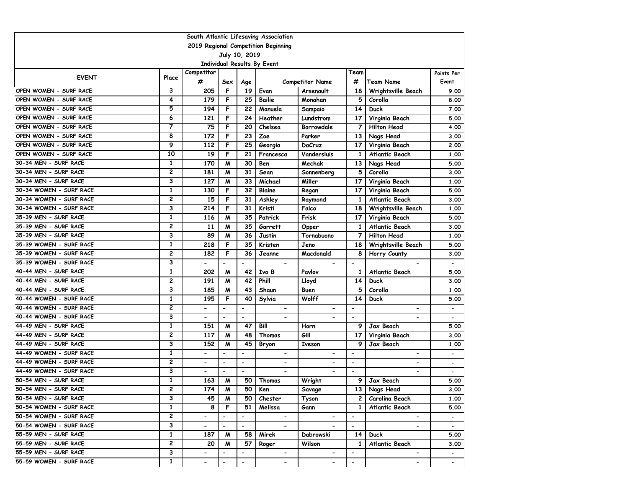| South Atlantic Lifesaving Association                |                |                          |                          |                          |                             |                          |                          |                          |                          |  |  |
|------------------------------------------------------|----------------|--------------------------|--------------------------|--------------------------|-----------------------------|--------------------------|--------------------------|--------------------------|--------------------------|--|--|
| 2019 Regional Competition Beginning<br>July 10, 2019 |                |                          |                          |                          |                             |                          |                          |                          |                          |  |  |
|                                                      |                |                          |                          |                          |                             |                          |                          |                          |                          |  |  |
|                                                      |                | Competitor               |                          |                          | Individual Results By Event |                          | Team                     |                          |                          |  |  |
| <b>EVENT</b>                                         | Place          | #                        | Sex                      | Age                      |                             | <b>Competitor Name</b>   | #                        | <b>Team Name</b>         | Points Per<br>Event      |  |  |
| OPEN WOMEN - SURF RACE                               | 3              | 205                      | F                        | 19                       | Evan                        | Arsenault                | 18                       | Wrightsville Beach       | 9.00                     |  |  |
| OPEN WOMEN - SURF RACE                               | 4              | 179                      | F                        | 25                       | <b>Bailie</b>               | Monahan                  | 5                        | Corolla                  | 8.00                     |  |  |
| OPEN WOMEN - SURF RACE                               | 5              | 194                      | F                        | 22                       | Manuela                     | Sampaio                  | 14                       | <b>Duck</b>              | 7.00                     |  |  |
| OPEN WOMEN - SURF RACE                               | 6              | 121                      | F                        | 24                       | Heather                     | Lundstrom                | 17                       | Virginia Beach           | 5.00                     |  |  |
| OPEN WOMEN - SURF RACE                               | 7              | 75                       | F                        | 20                       | Chelsea                     | <b>Borrowdale</b>        | 7                        | <b>Hilton Head</b>       | 4.00                     |  |  |
| OPEN WOMEN - SURF RACE                               | 8              | 172                      | F                        | 23                       | Zoe                         | Parker                   | 13                       | Nags Head                | 3.00                     |  |  |
| OPEN WOMEN - SURF RACE                               | 9              | 112                      | F                        | 25                       | Georgia                     | DaCruz                   | 17                       | Virginia Beach           | 2.00                     |  |  |
| OPEN WOMEN - SURF RACE                               | 10             | 19                       | F                        | 21                       | Francesca                   | Vandersluis              | 1                        | Atlantic Beach           | 1.00                     |  |  |
| 30-34 MEN - SURF RACE                                | $\mathbf{1}$   | 170                      | M                        | 30                       | Ben                         | Mechak                   | 13                       | Nags Head                | 5.00                     |  |  |
| 30-34 MEN - SURF RACE                                | 2              | 181                      | M                        | 31                       | Sean                        | Sonnenberg               | 5                        | Corolla                  | 3.00                     |  |  |
| 30-34 MEN - SURF RACE                                | 3              | 127                      | M                        | 33                       | Michael                     | Miller                   | 17                       | Virginia Beach           | 1.00                     |  |  |
| 30-34 WOMEN - SURF RACE                              | $\mathbf{1}$   | 130                      | F                        | 32                       | Blaine                      | Regan                    | 17                       | Virginia Beach           | 5.00                     |  |  |
| 30-34 WOMEN - SURF RACE                              | 2              | 15                       | F                        | 31                       | Ashley                      | Raymond                  | $\mathbf{1}$             | Atlantic Beach           | 3.00                     |  |  |
| 30-34 WOMEN - SURF RACE                              | 3              | 214                      | F                        | 31                       | Kristi                      | Falco                    | 18                       | Wrightsville Beach       | 1.00                     |  |  |
| 35-39 MEN - SURF RACE                                | 1              | 116                      | M                        | 35                       | Patrick                     | Frisk                    | 17                       | Virginia Beach           | 5.00                     |  |  |
| 35-39 MEN - SURF RACE                                | 2              | 11                       | M                        | 35                       | Garrett                     | Opper                    | $\mathbf{1}$             | <b>Atlantic Beach</b>    | 3.00                     |  |  |
| 35-39 MEN - SURF RACE                                | 3              | 89                       | M                        | 36                       | Justin                      | Tornabuono               | 7                        | <b>Hilton Head</b>       | 1.00                     |  |  |
| 35-39 WOMEN - SURF RACE                              | $\mathbf{1}$   | 218                      | F                        | 35                       | Kristen                     | Jeno                     | 18                       | Wrightsville Beach       | 5.00                     |  |  |
| 35-39 WOMEN - SURF RACE                              | $\overline{c}$ | 182                      | F                        | 36                       | Jeanne                      | Macdonald                | 8                        | Horry County             | 3.00                     |  |  |
| 35-39 WOMEN - SURF RACE                              | 3              |                          |                          |                          |                             |                          |                          |                          |                          |  |  |
| 40-44 MEN - SURF RACE                                | 1              | 202                      | M                        | 42                       | Ivo B                       | Pavlov                   | 1                        | Atlantic Beach           | 5.00                     |  |  |
| 40-44 MEN - SURF RACE                                | 2              | 191                      | M                        | 42                       | Phill                       | Lloyd                    | 14                       | Duck                     | 3.00                     |  |  |
| 40-44 MEN - SURF RACE                                | 3              | 185                      | M                        | 43                       | Shaun                       | Buen                     | 5                        | Corolla                  | 1.00                     |  |  |
| 40-44 WOMEN - SURF RACE                              | 1              | 195                      | F                        | 40                       | Sylvia                      | Wolff                    | 14                       | Duck                     | 5.00                     |  |  |
| 40-44 WOMEN - SURF RACE                              | 2              |                          | $\overline{\phantom{a}}$ | $\overline{\phantom{a}}$ | $\blacksquare$              | -                        |                          | $\blacksquare$           | $\overline{\phantom{a}}$ |  |  |
| 40-44 WOMEN - SURF RACE                              | 3              | $\blacksquare$           | $\overline{\phantom{a}}$ | $\overline{\phantom{a}}$ |                             |                          | $\overline{\phantom{a}}$ |                          |                          |  |  |
| 44-49 MEN - SURF RACE                                | $\mathbf{1}$   | 151                      | M                        | 47                       | Bill                        | Horn                     | 9                        | Jax Beach                | 5.00                     |  |  |
| 44-49 MEN - SURF RACE                                | 2              | 117                      | M                        | 48                       | Thomas                      | Gill                     | 17                       | Virginia Beach           | 3.00                     |  |  |
| 44-49 MEN - SURF RACE                                | 3              | 152                      | м                        | 45                       | Bryon                       | Iveson                   | 9                        | Jax Beach                | 1.00                     |  |  |
| 44-49 WOMEN - SURF RACE                              | 1              |                          | $\overline{\phantom{a}}$ | $\overline{\phantom{a}}$ | -                           |                          |                          |                          | $\overline{\phantom{a}}$ |  |  |
| 44-49 WOMEN - SURF RACE                              | 2              | $\overline{\phantom{0}}$ | $\blacksquare$           | $\overline{\phantom{a}}$ | $\overline{\phantom{0}}$    | $\overline{\phantom{0}}$ | $\overline{\phantom{a}}$ |                          | $\overline{\phantom{a}}$ |  |  |
| 44-49 WOMEN - SURF RACE                              | 3              | $\overline{\phantom{0}}$ | $\blacksquare$           | $\overline{\phantom{a}}$ | Ξ.                          | $\overline{\phantom{0}}$ | $\blacksquare$           | $\blacksquare$           |                          |  |  |
| 50-54 MEN - SURF RACE                                | $\mathbf{1}$   | 163                      | M                        | 50                       | Thomas                      | Wright                   | 9                        | Jax Beach                | 5.00                     |  |  |
| 50-54 MEN - SURF RACE                                | 2              | 174                      | M                        | 50                       | Ken                         | Savage                   |                          | 13 Nags Head             | 3.00                     |  |  |
| 50-54 MEN - SURF RACE                                | 3              | 45                       | M                        | 50                       | Chester                     | Tyson                    | 2 <sub>1</sub>           | Carolina Beach           | 1.00                     |  |  |
| 50-54 WOMEN - SURF RACE                              | $\mathbf{1}$   | 8                        | F                        | 51                       | Melissa                     | Gann                     | $\mathbf{1}$             | Atlantic Beach           | 5.00                     |  |  |
| 50-54 WOMEN - SURF RACE                              | $\overline{2}$ | $\overline{\phantom{0}}$ | $\overline{\phantom{a}}$ | $\overline{\phantom{a}}$ | $\blacksquare$              | $\overline{\phantom{a}}$ | $\overline{\phantom{a}}$ | $\blacksquare$           | $\overline{\phantom{0}}$ |  |  |
| 50-54 WOMEN - SURF RACE                              | 3              | $\overline{\phantom{0}}$ | $\blacksquare$           | $\blacksquare$           | $\overline{\phantom{0}}$    |                          | $\blacksquare$           |                          | $\blacksquare$           |  |  |
| 55-59 MEN - SURF RACE                                | $\mathbf{1}$   | 187                      | M                        | 58                       | Mirek                       | Dabrowski                | 14                       | Duck                     | 5.00                     |  |  |
| 55-59 MEN - SURF RACE                                | $\mathbf{2}$   | 20                       | M                        | 57                       | Roger                       | Wilson                   | $\mathbf{1}$             | Atlantic Beach           | 3.00                     |  |  |
| 55-59 MEN - SURF RACE                                | 3              |                          |                          |                          |                             |                          | $\overline{\phantom{a}}$ |                          |                          |  |  |
| 55-59 WOMEN - SURF RACE                              | $\overline{1}$ | $\overline{\phantom{0}}$ | $\overline{\phantom{0}}$ | $\overline{\phantom{a}}$ | $\blacksquare$              | $\overline{\phantom{0}}$ | $\overline{\phantom{a}}$ | $\overline{\phantom{0}}$ | $\blacksquare$           |  |  |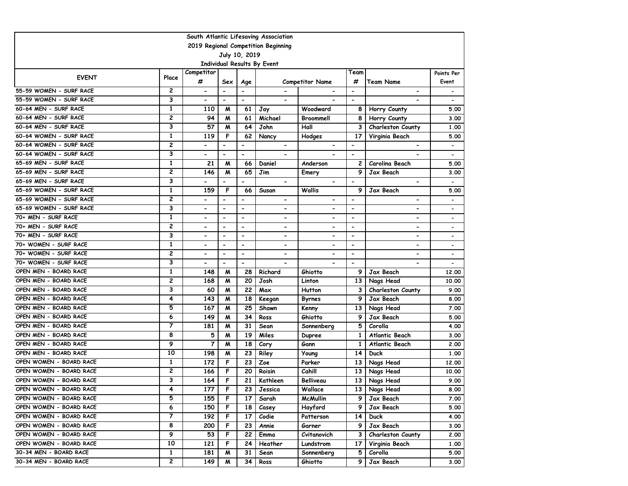| South Atlantic Lifesaving Association |                         |                          |                          |                              |                             |                          |                          |                          |                          |  |  |
|---------------------------------------|-------------------------|--------------------------|--------------------------|------------------------------|-----------------------------|--------------------------|--------------------------|--------------------------|--------------------------|--|--|
| 2019 Regional Competition Beginning   |                         |                          |                          |                              |                             |                          |                          |                          |                          |  |  |
|                                       |                         |                          |                          | July 10, 2019                |                             |                          |                          |                          |                          |  |  |
|                                       |                         |                          |                          |                              | Individual Results By Event |                          |                          |                          |                          |  |  |
| <b>EVENT</b>                          | Place                   | Competitor<br>#          | Sex                      | Age                          |                             | <b>Competitor Name</b>   | Team<br>#                | Team Name                | Points Per<br>Event      |  |  |
| 55-59 WOMEN - SURF RACE               | 2                       | $\blacksquare$           | $\blacksquare$           | $\blacksquare$               |                             |                          | $\overline{\phantom{a}}$ |                          |                          |  |  |
| 55-59 WOMEN - SURF RACE               | 3                       | $\overline{\phantom{a}}$ | $\overline{\phantom{a}}$ | $\overline{\phantom{a}}$     | $\blacksquare$              | -                        | $\overline{\phantom{a}}$ |                          |                          |  |  |
| 60-64 MEN - SURF RACE                 | $\mathbf{1}$            | 110                      | M                        | 61                           | Jay                         | Woodward                 | 8                        | Horry County             | 5.00                     |  |  |
| 60-64 MEN - SURF RACE                 | 2                       | 94                       | м                        | 61                           | Michael                     | Broommell                | 8                        | Horry County             | 3.00                     |  |  |
| 60-64 MEN - SURF RACE                 | 3                       | 57                       | м                        | 64                           | John                        | Hall                     | 3                        | Charleston County        | 1.00                     |  |  |
| 60-64 WOMEN - SURF RACE               | 1                       | 119                      | F                        | 62                           | Nancy                       | Hodges                   | 17                       | Virginia Beach           | 5.00                     |  |  |
| 60-64 WOMEN - SURF RACE               | $\overline{2}$          | $\overline{\phantom{0}}$ | $\overline{\phantom{a}}$ | $\overline{\phantom{a}}$     | $\hbox{\small -}$           | $\overline{\phantom{a}}$ | $\overline{\phantom{a}}$ | $\overline{\phantom{a}}$ | $\overline{\phantom{a}}$ |  |  |
| 60-64 WOMEN - SURF RACE               | 3                       | $\overline{\phantom{0}}$ | $\overline{\phantom{a}}$ | $\blacksquare$               | $\overline{\phantom{0}}$    |                          | $\blacksquare$           |                          | $\overline{\phantom{a}}$ |  |  |
| 65-69 MEN - SURF RACE                 | 1                       | 21                       | M                        | 66                           | Daniel                      | Anderson                 | 2                        | Carolina Beach           | 5.00                     |  |  |
| 65-69 MEN - SURF RACE                 | 2                       | 146                      | м                        | 65                           | Jim                         | Emery                    | 9                        | Jax Beach                | 3.00                     |  |  |
| 65-69 MEN - SURF RACE                 | 3                       |                          |                          | $\overline{\phantom{0}}$     |                             | $\overline{\phantom{0}}$ |                          | $\overline{\phantom{a}}$ |                          |  |  |
| 65-69 WOMEN - SURF RACE               | $\mathbf{1}$            | 159                      | F                        | 66                           | Susan                       | Wallis                   | 9                        | Jax Beach                | 5.00                     |  |  |
| 65-69 WOMEN - SURF RACE               | 2                       | -                        | $\blacksquare$           | $\overline{\phantom{0}}$     | $\overline{\phantom{0}}$    | -                        | $\overline{\phantom{a}}$ | -                        | $\overline{\phantom{a}}$ |  |  |
| 65-69 WOMEN - SURF RACE               | 3                       | -                        | $\hbox{\small -}$        | $\overline{\phantom{0}}$     | ۰                           | -                        | $\overline{\phantom{a}}$ | $\overline{\phantom{0}}$ | $\overline{\phantom{a}}$ |  |  |
| 70+ MEN - SURF RACE                   | 1                       |                          | $\overline{\phantom{a}}$ | $\overline{\phantom{a}}$     | -                           | -                        | $\overline{\phantom{a}}$ | $\overline{\phantom{a}}$ | $\overline{\phantom{a}}$ |  |  |
| 70+ MEN - SURF RACE                   | 2                       | $\overline{\phantom{a}}$ | $\blacksquare$           | $\hbox{\small -}$            | $\overline{\phantom{a}}$    | $\overline{\phantom{0}}$ | $\overline{\phantom{a}}$ | $\overline{\phantom{a}}$ | $\overline{\phantom{a}}$ |  |  |
| 70+ MEN - SURF RACE                   | 3                       | $\blacksquare$           | $\blacksquare$           | $\blacksquare$               | $\overline{\phantom{0}}$    | $\overline{\phantom{0}}$ | $\overline{\phantom{a}}$ | $\blacksquare$           | $\overline{\phantom{a}}$ |  |  |
| 70+ WOMEN - SURF RACE                 | $\mathbf{1}$            | $\overline{\phantom{0}}$ | $\blacksquare$           | $\overline{\phantom{a}}$     | $\overline{\phantom{0}}$    | $\overline{\phantom{0}}$ | $\overline{\phantom{a}}$ | $\overline{\phantom{a}}$ | $\overline{\phantom{a}}$ |  |  |
| 70+ WOMEN - SURF RACE                 | 2                       | $\overline{\phantom{0}}$ | $\blacksquare$           | $\qquad \qquad \blacksquare$ | $\overline{\phantom{0}}$    | $\overline{\phantom{0}}$ | $\blacksquare$           |                          | $\overline{\phantom{a}}$ |  |  |
| 70+ WOMEN - SURF RACE                 | 3                       |                          |                          | $\qquad \qquad \blacksquare$ |                             |                          | ٠                        |                          | $\overline{\phantom{a}}$ |  |  |
| OPEN MEN - BOARD RACE                 | 1                       | 148                      | M                        | 28                           | Richard                     | Ghiotto                  | 9                        | Jax Beach                | 12.00                    |  |  |
| OPEN MEN - BOARD RACE                 | 2                       | 168                      | M                        | 20                           | Josh                        | Linton                   | 13                       | Nags Head                | 10.00                    |  |  |
| OPEN MEN - BOARD RACE                 | 3                       | 60                       | M                        | 22                           | Max                         | <b>Hutton</b>            | 3                        | Charleston County        | 9.00                     |  |  |
| OPEN MEN - BOARD RACE                 | 4                       | 143                      | M                        | 18                           | Keegan                      | Byrnes                   | 9                        | Jax Beach                | 8.00                     |  |  |
| OPEN MEN - BOARD RACE                 | 5                       | 167                      | M                        | 25                           | Shawn                       | Kenny                    | 13                       | Nags Head                | 7.00                     |  |  |
| OPEN MEN - BOARD RACE                 | 6                       | 149                      | м                        | 34                           | Ross                        | Ghiotto                  | 9                        | Jax Beach                | 5.00                     |  |  |
| OPEN MEN - BOARD RACE                 | 7                       | 181                      | м                        | 31                           | Sean                        | Sonnenberg               | 5                        | Corolla                  | 4.00                     |  |  |
| OPEN MEN - BOARD RACE                 | 8                       | 5                        | M                        | 19                           | Miles                       | <b>Dupree</b>            | $\mathbf{1}$             | Atlantic Beach           | 3.00                     |  |  |
| OPEN MEN - BOARD RACE                 | 9                       | $\overline{7}$           | M                        | 18                           | Cory                        | Gann                     | $\mathbf{1}$             | Atlantic Beach           | 2.00                     |  |  |
| OPEN MEN - BOARD RACE                 | 10                      | 198                      | M                        | 23                           | Riley                       | Young                    | 14                       | Duck                     | 1.00                     |  |  |
| OPEN WOMEN - BOARD RACE               | 1                       | 172                      | F                        | 23                           | Zoe                         | Parker                   | 13                       | Nags Head                | 12.00                    |  |  |
| OPEN WOMEN - BOARD RACE               | 2                       | 166                      | F                        | 20                           | Roisin                      | Cahill                   | 13                       | Nags Head                | 10.00                    |  |  |
| OPEN WOMEN - BOARD RACE               | 3                       | 164                      | F                        | 21                           | Kathleen                    | Belliveau                | 13                       | Nags Head                | 9.00                     |  |  |
| OPEN WOMEN - BOARD RACE               | 4                       | 177                      | F                        | 23                           | Jessica                     | Wallace                  | 13                       | Nags Head                | 8.00                     |  |  |
| OPEN WOMEN - BOARD RACE               | 5                       | 155                      | F                        | 17                           | Sarah                       | McMullin                 | 9                        | Jax Beach                | 7.00                     |  |  |
| OPEN WOMEN - BOARD RACE               | 6                       | 150                      | F                        | 18                           | Casey                       | Hayford                  | 9                        | Jax Beach                | 5.00                     |  |  |
| OPEN WOMEN - BOARD RACE               | $\overline{\mathbf{z}}$ | 192                      | F                        | 17                           | Codie                       | Patterson                | 14                       | <b>Duck</b>              | 4.00                     |  |  |
| OPEN WOMEN - BOARD RACE               | 8                       | 200                      | F                        | 23                           | Annie                       | Garner                   | 9                        | Jax Beach                | 3.00                     |  |  |
| OPEN WOMEN - BOARD RACE               | 9                       | 53                       | F                        | 22                           | Emma                        | Cvitanovich              | 3                        | Charleston County        | 2.00                     |  |  |
| OPEN WOMEN - BOARD RACE               | 10                      | 121                      | F                        | 24                           | Heather                     | Lundstrom                | 17                       | Virginia Beach           | 1.00                     |  |  |
| 30-34 MEN - BOARD RACE                | 1                       | 181                      | M                        | 31                           | Sean                        | Sonnenberg               | 5                        | Corolla                  | 5.00                     |  |  |
| 30-34 MEN - BOARD RACE                | 2                       | 149                      | M                        | 34                           | Ross                        | Ghiotto                  | 9                        | Jax Beach                | 3.00                     |  |  |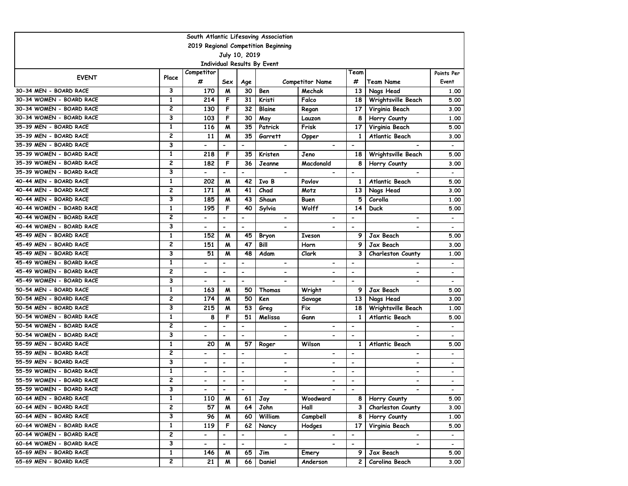|                                              | South Atlantic Lifesaving Association |                          |                              |                              |                          |                                  |                          |                               |                          |  |  |  |
|----------------------------------------------|---------------------------------------|--------------------------|------------------------------|------------------------------|--------------------------|----------------------------------|--------------------------|-------------------------------|--------------------------|--|--|--|
| 2019 Regional Competition Beginning          |                                       |                          |                              |                              |                          |                                  |                          |                               |                          |  |  |  |
| July 10, 2019<br>Individual Results By Event |                                       |                          |                              |                              |                          |                                  |                          |                               |                          |  |  |  |
|                                              |                                       |                          |                              |                              |                          |                                  |                          |                               |                          |  |  |  |
| <b>EVENT</b>                                 | Place                                 | Competitor<br>#          |                              |                              |                          |                                  | Team<br>#                |                               | Points Per<br>Event      |  |  |  |
| 30-34 MEN - BOARD RACE                       | 3                                     | 170                      | Sex<br>M                     | Age<br>30                    | Ben                      | <b>Competitor Name</b><br>Mechak | 13                       | <b>Team Name</b><br>Nags Head | 1.00                     |  |  |  |
| 30-34 WOMEN - BOARD RACE                     | $\mathbf{1}$                          | 214                      | F                            | 31                           | Kristi                   | Falco                            | 18                       | Wrightsville Beach            | 5.00                     |  |  |  |
| 30-34 WOMEN - BOARD RACE                     | $\overline{\mathbf{c}}$               | 130                      | F                            | 32                           | <b>Blaine</b>            | Regan                            | 17                       | Virginia Beach                | 3.00                     |  |  |  |
| 30-34 WOMEN - BOARD RACE                     | 3                                     | 103                      | F                            | 30                           | May                      | Lauzon                           | 8                        | Horry County                  | 1,00                     |  |  |  |
| 35-39 MEN - BOARD RACE                       | $\mathbf{1}$                          | 116                      | M                            | 35                           | Patrick                  | Frisk                            | 17                       | Virginia Beach                | 5.00                     |  |  |  |
| 35-39 MEN - BOARD RACE                       | $\overline{c}$                        | 11                       | М                            | 35                           | Garrett                  | Opper                            | 1                        | Atlantic Beach                | 3.00                     |  |  |  |
| 35-39 MEN - BOARD RACE                       | 3                                     |                          | $\overline{\phantom{a}}$     | $\qquad \qquad \blacksquare$ | $\overline{\phantom{a}}$ |                                  | $\overline{\phantom{a}}$ | $\overline{\phantom{0}}$      |                          |  |  |  |
| 35-39 WOMEN - BOARD RACE                     | $\mathbf{1}$                          | 218                      | F                            | 35                           | Kristen                  | Jeno                             | 18                       | Wrightsville Beach            | 5.00                     |  |  |  |
| 35-39 WOMEN - BOARD RACE                     | $\overline{c}$                        | 182                      | F                            | 36                           | Jeanne                   | Macdonald                        | 8                        | Horry County                  | 3.00                     |  |  |  |
| 35-39 WOMEN - BOARD RACE                     | 3                                     |                          | $\overline{\phantom{0}}$     |                              |                          |                                  | $\overline{\phantom{0}}$ |                               |                          |  |  |  |
| 40-44 MEN - BOARD RACE                       | 1                                     | 202                      | M                            | 42                           | Ivo B                    | Pavlov                           | 1                        | Atlantic Beach                | 5.00                     |  |  |  |
| 40-44 MEN - BOARD RACE                       | $\overline{c}$                        | 171                      | M                            | 41                           | Chad                     | Motz                             | 13                       | Nags Head                     | 3.00                     |  |  |  |
| 40-44 MEN - BOARD RACE                       | 3                                     | 185                      | M                            | 43                           | Shaun                    | Buen                             | 5                        | Corolla                       | 1,00                     |  |  |  |
| 40-44 WOMEN - BOARD RACE                     | 1                                     | 195                      | F                            | 40                           | Sylvia                   | Wolff                            | 14                       | <b>Duck</b>                   | 5.00                     |  |  |  |
| 40-44 WOMEN - BOARD RACE                     | 2                                     |                          | $\overline{\phantom{a}}$     | $\qquad \qquad \blacksquare$ | $\overline{\phantom{a}}$ | $\blacksquare$                   | $\overline{\phantom{0}}$ | $\overline{\phantom{0}}$      |                          |  |  |  |
| 40-44 WOMEN - BOARD RACE                     | 3                                     |                          | $\overline{\phantom{a}}$     | $\overline{\phantom{a}}$     | $\overline{\phantom{a}}$ |                                  | $\overline{\phantom{a}}$ | ۰                             | $\overline{\phantom{a}}$ |  |  |  |
| 45-49 MEN - BOARD RACE                       | $\mathbf{1}$                          | 152                      | M                            | 45                           | Bryon                    | <b>Iveson</b>                    | 9                        | Jax Beach                     | 5.00                     |  |  |  |
| 45-49 MEN - BOARD RACE                       | $\overline{2}$                        | 151                      | M                            | 47                           | Bill                     | Horn                             | 9                        | Jax Beach                     | 3.00                     |  |  |  |
| 45-49 MEN - BOARD RACE                       | 3                                     | 51                       | м                            | 48                           | Adam                     | Clark                            | 3                        | <b>Charleston County</b>      | 1.00                     |  |  |  |
| 45-49 WOMEN - BOARD RACE                     | $\mathbf{1}$                          |                          | $\blacksquare$               | $\overline{\phantom{0}}$     |                          |                                  | $\overline{\phantom{0}}$ |                               |                          |  |  |  |
| 45-49 WOMEN - BOARD RACE                     | $\overline{c}$                        |                          | $\qquad \qquad \blacksquare$ | $\overline{\phantom{a}}$     | $\overline{\phantom{a}}$ | $\overline{\phantom{0}}$         | $\overline{\phantom{a}}$ | -                             |                          |  |  |  |
| 45-49 WOMEN - BOARD RACE                     | 3                                     | $\overline{\phantom{0}}$ | $\blacksquare$               | $\blacksquare$               |                          |                                  | $\overline{\phantom{a}}$ |                               |                          |  |  |  |
| 50-54 MEN - BOARD RACE                       | $\mathbf{1}$                          | 163                      | M                            | 50                           | Thomas                   | Wright                           | 9                        | Jax Beach                     | 5.00                     |  |  |  |
| 50-54 MEN - BOARD RACE                       | 2                                     | 174                      | M                            | 50                           | Ken                      | Savage                           | 13                       | Nags Head                     | 3.00                     |  |  |  |
| 50-54 MEN - BOARD RACE                       | 3                                     | 215                      | M                            | 53                           | Greg                     | Fix                              | 18                       | Wrightsville Beach            | 1.00                     |  |  |  |
| 50-54 WOMEN - BOARD RACE                     | 1                                     | 8                        | F                            | 51                           | Melissa                  | Gann                             | 1                        | Atlantic Beach                | 5.00                     |  |  |  |
| 50-54 WOMEN - BOARD RACE                     | $\overline{c}$                        |                          | $\overline{\phantom{a}}$     | $\overline{\phantom{a}}$     | $\overline{\phantom{a}}$ |                                  | $\overline{\phantom{a}}$ | $\qquad \qquad \blacksquare$  |                          |  |  |  |
| 50-54 WOMEN - BOARD RACE                     | 3                                     | $\overline{\phantom{0}}$ | $\blacksquare$               | $\overline{\phantom{a}}$     | $\overline{\phantom{a}}$ |                                  | $\overline{\phantom{a}}$ | $\overline{\phantom{0}}$      |                          |  |  |  |
| 55-59 MEN - BOARD RACE                       | $\mathbf{1}$                          | 20                       | M                            | 57                           | Roger                    | Wilson                           | $\mathbf{1}$             | Atlantic Beach                | 5.00                     |  |  |  |
| 55-59 MEN - BOARD RACE                       | $\overline{c}$                        |                          | $\blacksquare$               | $\overline{\phantom{a}}$     | $\blacksquare$           |                                  | $\overline{\phantom{a}}$ | $\overline{\phantom{0}}$      |                          |  |  |  |
| 55-59 MEN - BOARD RACE                       | 3                                     | -                        | $\qquad \qquad \blacksquare$ | $\overline{\phantom{a}}$     | $\overline{\phantom{a}}$ | $\overline{\phantom{a}}$         | $\overline{\phantom{a}}$ | ۰                             |                          |  |  |  |
| 55-59 WOMEN - BOARD RACE                     | $\mathbf{1}$                          |                          | $\blacksquare$               | $\overline{\phantom{a}}$     | $\blacksquare$           | $\blacksquare$                   | $\overline{\phantom{a}}$ | $\overline{\phantom{0}}$      |                          |  |  |  |
| 55-59 WOMEN - BOARD RACE                     | $\overline{2}$                        | $\overline{\phantom{0}}$ | $\blacksquare$               | $\overline{\phantom{a}}$     | $\overline{\phantom{a}}$ | $\overline{\phantom{a}}$         | $\overline{\phantom{a}}$ | $\overline{\phantom{0}}$      |                          |  |  |  |
| 55-59 WOMEN - BOARD RACE                     | 3                                     | $\overline{\phantom{a}}$ | $\blacksquare$               | $\overline{\phantom{a}}$     | $\overline{\phantom{a}}$ | $\blacksquare$                   | $\blacksquare$           | $\blacksquare$                | $\overline{\phantom{a}}$ |  |  |  |
| 60-64 MEN - BOARD RACE                       | $\mathbf{1}$                          | 110                      | M                            | 61                           | Jay                      | Woodward                         |                          | 8   Horry County              | 5.00                     |  |  |  |
| 60-64 MEN - BOARD RACE                       | 2                                     | 57                       | M                            | 64                           | John                     | Hall                             | 3                        | <b>Charleston County</b>      | 3.00                     |  |  |  |
| 60-64 MEN - BOARD RACE                       | 3                                     | 96                       | M                            | 60                           | William                  | Campbell                         | 8                        | Horry County                  | 1.00                     |  |  |  |
| 60-64 WOMEN - BOARD RACE                     | $\mathbf{1}$                          | 119                      | F                            | 62                           | Nancy                    | Hodges                           | 17                       | Virginia Beach                | 5.00                     |  |  |  |
| 60-64 WOMEN - BOARD RACE                     | 2                                     |                          | $\overline{\phantom{a}}$     | -                            | $\blacksquare$           |                                  | $\overline{\phantom{a}}$ | $\overline{\phantom{a}}$      |                          |  |  |  |
| 60-64 WOMEN - BOARD RACE                     | 3                                     |                          | $\blacksquare$               | $\overline{\phantom{0}}$     |                          |                                  |                          |                               |                          |  |  |  |
| 65-69 MEN - BOARD RACE                       | $\mathbf{1}$                          | 146                      | M                            | 65                           | Jim                      | Emery                            | 9                        | Jax Beach                     | 5.00                     |  |  |  |
| 65-69 MEN - BOARD RACE                       | 2                                     | 21                       | M                            | 66                           | Daniel                   | Anderson                         | 2                        | Carolina Beach                | 3.00                     |  |  |  |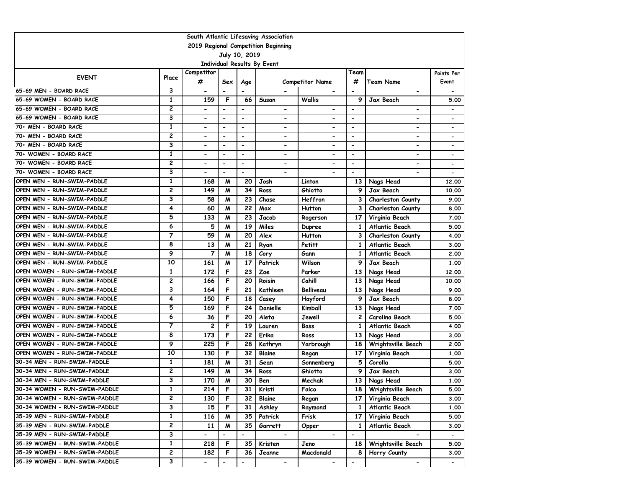| South Atlantic Lifesaving Association        |                         |                          |                          |                          |                          |                              |                              |                          |                          |  |  |
|----------------------------------------------|-------------------------|--------------------------|--------------------------|--------------------------|--------------------------|------------------------------|------------------------------|--------------------------|--------------------------|--|--|
| 2019 Regional Competition Beginning          |                         |                          |                          |                          |                          |                              |                              |                          |                          |  |  |
| July 10, 2019<br>Individual Results By Event |                         |                          |                          |                          |                          |                              |                              |                          |                          |  |  |
|                                              |                         |                          |                          |                          |                          |                              |                              |                          |                          |  |  |
| <b>EVENT</b>                                 | Place                   | Competitor<br>#          | Sex                      | Age                      |                          | <b>Competitor Name</b>       | Team<br>#                    | Team Name                | Points Per<br>Event      |  |  |
| 65-69 MEN - BOARD RACE                       | 3                       | $\overline{\phantom{a}}$ | $\overline{\phantom{a}}$ |                          |                          |                              | $\blacksquare$               |                          |                          |  |  |
| 65-69 WOMEN - BOARD RACE                     | $\mathbf{1}$            | 159                      | F                        | 66                       | Susan                    | Wallis                       | 9                            | Jax Beach                | 5.00                     |  |  |
| 65-69 WOMEN - BOARD RACE                     | 2                       | $\overline{\phantom{0}}$ | $\blacksquare$           | $\blacksquare$           | $\overline{\phantom{0}}$ | $\qquad \qquad \blacksquare$ | $\blacksquare$               | -                        | $\overline{\phantom{0}}$ |  |  |
| 65-69 WOMEN - BOARD RACE                     | З                       | $\overline{\phantom{0}}$ | $\overline{\phantom{a}}$ | $\overline{\phantom{0}}$ | $\overline{\phantom{0}}$ | $\overline{\phantom{a}}$     | $\overline{\phantom{a}}$     | $\overline{\phantom{0}}$ | $\overline{\phantom{a}}$ |  |  |
| 70+ MEN - BOARD RACE                         | 1                       | ۰                        | $\hbox{\small -}$        | $\hbox{\small -}$        | ۰                        | $\blacksquare$               | $\overline{\phantom{a}}$     | $\overline{\phantom{a}}$ | $\overline{\phantom{a}}$ |  |  |
| 70+ MEN - BOARD RACE                         | $\overline{c}$          | -                        | $\overline{\phantom{a}}$ | $\overline{\phantom{a}}$ | $\blacksquare$           | $\overline{\phantom{0}}$     | $\overline{\phantom{a}}$     | $\overline{\phantom{a}}$ | $\overline{\phantom{0}}$ |  |  |
| 70+ MEN - BOARD RACE                         | 3                       | ۰                        | $\overline{\phantom{a}}$ | $\hbox{\small -}$        | -                        | $\qquad \qquad \blacksquare$ | $\overline{\phantom{a}}$     | $\overline{\phantom{a}}$ | $\overline{\phantom{a}}$ |  |  |
| 70+ WOMEN - BOARD RACE                       | $\mathbf{1}$            | $\overline{\phantom{0}}$ | $\blacksquare$           | $\blacksquare$           | $\overline{\phantom{0}}$ | $\overline{\phantom{0}}$     | $\overline{\phantom{a}}$     | $\overline{\phantom{0}}$ | $\overline{\phantom{a}}$ |  |  |
| 70+ WOMEN - BOARD RACE                       | $\overline{c}$          | $\overline{\phantom{0}}$ | $\overline{\phantom{a}}$ | -                        | $\overline{\phantom{0}}$ | $\overline{\phantom{0}}$     | $\overline{\phantom{a}}$     |                          | $\overline{\phantom{a}}$ |  |  |
| 70+ WOMEN - BOARD RACE                       | 3                       |                          | $\overline{\phantom{a}}$ | $\overline{\phantom{0}}$ |                          |                              | $\overline{\phantom{a}}$     |                          | $\overline{\phantom{a}}$ |  |  |
| OPEN MEN - RUN-SWIM-PADDLE                   | 1                       | 168                      | M                        | 20                       | Josh                     | Linton                       | 13                           | Nags Head                | 12,00                    |  |  |
| OPEN MEN - RUN-SWIM-PADDLE                   | 2                       | 149                      | M                        | 34                       | Ross                     | Ghiotto                      | 9                            | Jax Beach                | 10.00                    |  |  |
| OPEN MEN - RUN-SWIM-PADDLE                   | 3                       | 58                       | M                        | 23                       | Chase                    | Heffron                      | 3                            | <b>Charleston County</b> | 9.00                     |  |  |
| OPEN MEN - RUN-SWIM-PADDLE                   | 4                       | 60                       | м                        | 22                       | Max                      | Hutton                       | 3                            | <b>Charleston County</b> | 8.00                     |  |  |
| OPEN MEN - RUN-SWIM-PADDLE                   | 5                       | 133                      | м                        | 23                       | Jacob                    | Rogerson                     | 17                           | Virginia Beach           | 7.00                     |  |  |
| OPEN MEN - RUN-SWIM-PADDLE                   | 6                       | 5                        | M                        | 19                       | Miles                    | Dupree                       | 1                            | Atlantic Beach           | 5.00                     |  |  |
| OPEN MEN - RUN-SWIM-PADDLE                   | $\overline{\mathbf{7}}$ | $\overline{59}$          | M                        | 20                       | Alex                     | Hutton                       | 3                            | <b>Charleston County</b> | 4.00                     |  |  |
| OPEN MEN - RUN-SWIM-PADDLE                   | 8                       | 13                       | M                        | 21                       | Ryan                     | Petitt                       | $\mathbf{1}$                 | Atlantic Beach           | 3.00                     |  |  |
| OPEN MEN - RUN-SWIM-PADDLE                   | 9                       | 7                        | M                        | 18                       | Cory                     | Gann                         | $\mathbf{1}$                 | Atlantic Beach           | 2.00                     |  |  |
| OPEN MEN - RUN-SWIM-PADDLE                   | 10                      | 161                      | м                        | 17                       | Patrick                  | Wilson                       | 9                            | Jax Beach                | 1.00                     |  |  |
| OPEN WOMEN - RUN-SWIM-PADDLE                 | 1                       | 172                      | F                        | 23                       | Zoe                      | Parker                       | 13                           | Nags Head                | 12.00                    |  |  |
| OPEN WOMEN - RUN-SWIM-PADDLE                 | 2                       | 166                      | F                        | 20                       | Roisin                   | Cahill                       | 13                           | Nags Head                | 10.00                    |  |  |
| OPEN WOMEN - RUN-SWIM-PADDLE                 | 3                       | 164                      | F                        | 21                       | Kathleen                 | <b>Belliveau</b>             | 13                           | Nags Head                | 9.00                     |  |  |
| OPEN WOMEN - RUN-SWIM-PADDLE                 | 4                       | 150                      | F                        | 18                       | Casey                    | Hayford                      | 9                            | Jax Beach                | 8.00                     |  |  |
| OPEN WOMEN - RUN-SWIM-PADDLE                 | 5                       | 169                      | F                        | 24                       | Danielle                 | Kimball                      | 13                           | Nags Head                | 7.00                     |  |  |
| OPEN WOMEN - RUN-SWIM-PADDLE                 | 6                       | 36                       | F                        | 20                       | Aleta                    | Jewell                       | 2                            | Carolina Beach           | 5.00                     |  |  |
| OPEN WOMEN - RUN-SWIM-PADDLE                 | $\overline{\mathbf{7}}$ | 2                        | F                        | 19                       | Lauren                   | Bass                         | 1                            | Atlantic Beach           | 4.00                     |  |  |
| OPEN WOMEN - RUN-SWIM-PADDLE                 | 8                       | 173                      | F                        | 22                       | Erika                    | Ross                         | 13                           | Nags Head                | 3.00                     |  |  |
| OPEN WOMEN - RUN-SWIM-PADDLE                 | 9                       | 225                      | F                        | 28                       | Kathryn                  | <b>Yarbrough</b>             | 18                           | Wrightsville Beach       | 2.00                     |  |  |
| OPEN WOMEN - RUN-SWIM-PADDLE                 | 10                      | 130                      | F                        | 32                       | Blaine                   | Regan                        | 17                           | Virginia Beach           | 1.00                     |  |  |
| 30-34 MEN - RUN-SWIM-PADDLE                  | 1                       | 181                      | м                        | 31                       | Sean                     | Sonnenberg                   | 5                            | Corolla                  | 5.00                     |  |  |
| 30-34 MEN - RUN-SWIM-PADDLE                  | 2                       | 149                      | M                        | 34                       | Ross                     | Ghiotto                      | 9                            | Jax Beach                | 3.00                     |  |  |
| 30-34 MEN - RUN-SWIM-PADDLE                  | 3                       | 170                      | м                        | 30                       | Ben                      | Mechak                       | 13                           | Nags Head                | 1.00                     |  |  |
| 30-34 WOMEN - RUN-SWIM-PADDLE                | 1                       | 214                      | F                        | 31                       | Kristi                   | Falco                        | 18                           | Wrightsville Beach       | 5.00                     |  |  |
| 30-34 WOMEN - RUN-SWIM-PADDLE                | 2                       | 130                      | F                        | 32                       | Blaine                   | Regan                        | 17 <sup>1</sup>              | Virginia Beach           | 3.00                     |  |  |
| 30-34 WOMEN - RUN-SWIM-PADDLE                | 3                       | 15                       | F                        | 31                       | Ashley                   | Raymond                      | $\mathbf{1}$                 | Atlantic Beach           | 1.00                     |  |  |
| 35-39 MEN - RUN-SWIM-PADDLE                  | $\mathbf{1}$            | 116                      | M                        | 35                       | Patrick                  | Frisk                        | 17                           | Virginia Beach           | 5.00                     |  |  |
| 35-39 MEN - RUN-SWIM-PADDLE                  | 2                       | 11                       | M                        | 35                       | Garrett                  | Opper                        | 1                            | Atlantic Beach           | 3.00                     |  |  |
| 35-39 MEN - RUN-SWIM-PADDLE                  | 3                       |                          |                          |                          |                          |                              | $\qquad \qquad \blacksquare$ |                          |                          |  |  |
| 35-39 WOMEN - RUN-SWIM-PADDLE                | 1                       | 218                      | F                        | 35                       | Kristen                  | Jeno                         | 18                           | Wrightsville Beach       | 5.00                     |  |  |
| 35-39 WOMEN - RUN-SWIM-PADDLE                | 2                       | 182                      | F                        | 36                       | Jeanne                   | Macdonald                    | 8                            | Horry County             | 3.00                     |  |  |
| 35-39 WOMEN - RUN-SWIM-PADDLE                | $\overline{\mathbf{3}}$ | $\overline{\phantom{0}}$ | $\overline{\phantom{a}}$ | $\overline{\phantom{a}}$ | $\overline{\phantom{0}}$ | $\overline{\phantom{a}}$     | $\blacksquare$               | $\blacksquare$           |                          |  |  |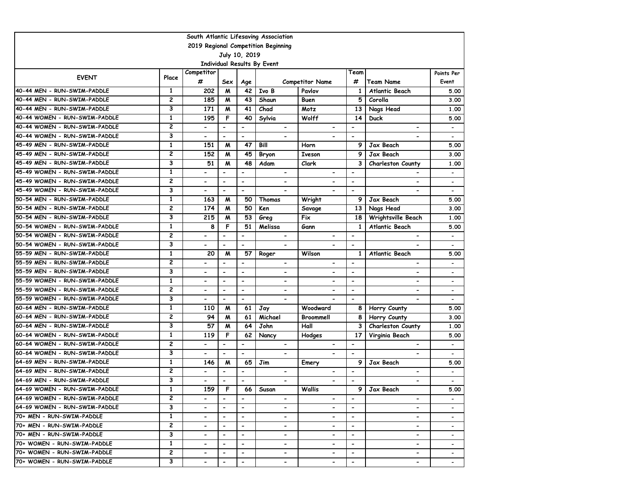| South Atlantic Lifesaving Association |                         |                          |                              |                          |                             |                              |                          |                              |                          |  |  |  |
|---------------------------------------|-------------------------|--------------------------|------------------------------|--------------------------|-----------------------------|------------------------------|--------------------------|------------------------------|--------------------------|--|--|--|
| 2019 Regional Competition Beginning   |                         |                          |                              |                          |                             |                              |                          |                              |                          |  |  |  |
| July 10, 2019                         |                         |                          |                              |                          |                             |                              |                          |                              |                          |  |  |  |
|                                       |                         |                          |                              |                          | Individual Results By Event |                              |                          |                              |                          |  |  |  |
|                                       |                         | Competitor               |                              |                          |                             |                              | Team                     |                              | Points Per               |  |  |  |
| <b>EVENT</b>                          | Place                   | #                        | Sex                          | Age                      |                             | <b>Competitor Name</b>       | #                        | <b>Team Name</b>             | Event                    |  |  |  |
| 40-44 MEN - RUN-SWIM-PADDLE           | $\mathbf{1}$            | 202                      | M                            | 42                       | Ivo B                       | Pavlov                       | 1                        | Atlantic Beach               | 5.00                     |  |  |  |
| 40-44 MEN - RUN-SWIM-PADDLE           | $\overline{c}$          | 185                      | M                            | 43                       | Shaun                       | Buen                         | 5                        | Corolla                      | 3.00                     |  |  |  |
| 40-44 MEN - RUN-SWIM-PADDLE           | 3                       | 171                      | M                            | 41                       | Chad                        | Motz                         | 13                       | Nags Head                    | 1.00                     |  |  |  |
| 40-44 WOMEN - RUN-SWIM-PADDLE         | $\mathbf{1}$            | 195                      | F                            | 40                       | Sylvia                      | Wolff                        | 14                       | <b>Duck</b>                  | 5.00                     |  |  |  |
| 40-44 WOMEN - RUN-SWIM-PADDLE         | $\overline{c}$          |                          | $\overline{\phantom{a}}$     | $\overline{\phantom{a}}$ | $\overline{\phantom{0}}$    | $\overline{\phantom{a}}$     | $\overline{a}$           | $\qquad \qquad \blacksquare$ | $\overline{\phantom{a}}$ |  |  |  |
| 40-44 WOMEN - RUN-SWIM-PADDLE         | 3                       |                          | $\overline{\phantom{a}}$     | $\overline{\phantom{a}}$ | -                           | $\qquad \qquad \blacksquare$ | $\overline{\phantom{a}}$ |                              | $\overline{\phantom{a}}$ |  |  |  |
| 45-49 MEN - RUN-SWIM-PADDLE           | $\mathbf{1}$            | 151                      | M                            | 47                       | Bill                        | Horn                         | 9                        | Jax Beach                    | 5.00                     |  |  |  |
| 45-49 MEN - RUN-SWIM-PADDLE           | $\overline{\mathbf{c}}$ | 152                      | M                            | 45                       | <b>Bryon</b>                | <b>Iveson</b>                | 9                        | Jax Beach                    | 3.00                     |  |  |  |
| 45-49 MEN - RUN-SWIM-PADDLE           | 3                       | 51                       | M                            | 48                       | Adam                        | Clark                        | 3                        | <b>Charleston County</b>     | 1.00                     |  |  |  |
| 45-49 WOMEN - RUN-SWIM-PADDLE         | $\mathbf{1}$            |                          | $\overline{\phantom{0}}$     | $\overline{\phantom{0}}$ | $\overline{\phantom{0}}$    |                              | $\blacksquare$           |                              | $\overline{\phantom{a}}$ |  |  |  |
| 45-49 WOMEN - RUN-SWIM-PADDLE         | 2                       |                          | $\blacksquare$               | $\overline{\phantom{a}}$ | $\overline{\phantom{0}}$    | $\overline{\phantom{0}}$     | $\overline{\phantom{a}}$ |                              | $\overline{\phantom{a}}$ |  |  |  |
| 45-49 WOMEN - RUN-SWIM-PADDLE         | 3                       |                          | $\blacksquare$               | $\overline{\phantom{0}}$ |                             |                              | $\overline{\phantom{a}}$ |                              |                          |  |  |  |
| 50-54 MEN - RUN-SWIM-PADDLE           | $\mathbf{1}$            | 163                      | M                            | 50                       | Thomas                      | Wright                       | 9                        | Jax Beach                    | 5.00                     |  |  |  |
| 50-54 MEN - RUN-SWIM-PADDLE           | 2                       | 174                      | M                            | 50                       | Ken                         | Savage                       | 13                       | Nags Head                    | 3.00                     |  |  |  |
| 50-54 MEN - RUN-SWIM-PADDLE           | 3                       | 215                      | M                            | 53                       | Greg                        | Fix                          | 18                       | Wrightsville Beach           | 1.00                     |  |  |  |
| 50-54 WOMEN - RUN-SWIM-PADDLE         | $\mathbf{1}$            | 8                        | F                            | 51                       | Melissa                     | Gann                         | 1                        | Atlantic Beach               | 5.00                     |  |  |  |
| 50-54 WOMEN - RUN-SWIM-PADDLE         | $\overline{c}$          |                          | $\overline{\phantom{a}}$     | $\blacksquare$           |                             |                              | $\blacksquare$           |                              |                          |  |  |  |
| 50-54 WOMEN - RUN-SWIM-PADDLE         | 3                       | $\blacksquare$           | $\blacksquare$               | $\overline{\phantom{a}}$ | $\overline{\phantom{0}}$    |                              | $\overline{\phantom{a}}$ | $\overline{\phantom{a}}$     | $\overline{\phantom{a}}$ |  |  |  |
| 55-59 MEN - RUN-SWIM-PADDLE           | $\mathbf{1}$            | 20                       | M                            | 57                       | Roger                       | Wilson                       | $\mathbf{1}$             | Atlantic Beach               | 5.00                     |  |  |  |
| 55-59 MEN - RUN-SWIM-PADDLE           | $\overline{c}$          |                          | $\overline{\phantom{0}}$     | $\overline{\phantom{a}}$ | $\overline{\phantom{0}}$    |                              |                          |                              | $\overline{\phantom{a}}$ |  |  |  |
| 55-59 MEN - RUN-SWIM-PADDLE           | 3                       |                          | $\qquad \qquad \blacksquare$ | $\overline{\phantom{a}}$ | -                           | $\qquad \qquad \blacksquare$ | $\overline{\phantom{a}}$ | $\overline{\phantom{a}}$     | $\overline{\phantom{a}}$ |  |  |  |
| 55-59 WOMEN - RUN-SWIM-PADDLE         | $\mathbf{1}$            | $\overline{\phantom{0}}$ | $\blacksquare$               | $\blacksquare$           | $\overline{\phantom{0}}$    | $\qquad \qquad \blacksquare$ | $\blacksquare$           | $\overline{\phantom{0}}$     | $\overline{\phantom{0}}$ |  |  |  |
| 55-59 WOMEN - RUN-SWIM-PADDLE         | $\overline{2}$          | $\overline{\phantom{a}}$ | $\overline{\phantom{a}}$     | $\overline{\phantom{a}}$ | $\overline{\phantom{0}}$    | $\qquad \qquad \blacksquare$ | $\overline{\phantom{a}}$ | $\overline{\phantom{a}}$     | $\overline{\phantom{a}}$ |  |  |  |
| 55-59 WOMEN - RUN-SWIM-PADDLE         | 3                       | $\blacksquare$           | $\blacksquare$               | $\blacksquare$           | $\overline{\phantom{0}}$    |                              | $\overline{\phantom{a}}$ |                              | $\overline{\phantom{0}}$ |  |  |  |
| 60-64 MEN - RUN-SWIM-PADDLE           | $\mathbf{1}$            | 110                      | M                            | 61                       | Jay                         | Woodward                     | 8                        | Horry County                 | 5.00                     |  |  |  |
| 60-64 MEN - RUN-SWIM-PADDLE           | 2                       | 94                       | M                            | 61                       | Michael                     | Broommell                    | 8                        | Horry County                 | 3.00                     |  |  |  |
| 60-64 MEN - RUN-SWIM-PADDLE           | 3                       | 57                       | M                            | 64                       | John                        | Hall                         | 3                        | Charleston County            | 1.00                     |  |  |  |
| 60-64 WOMEN - RUN-SWIM-PADDLE         | $\mathbf{1}$            | 119                      | F                            | 62                       | Nancy                       | Hodges                       | 17                       | Virginia Beach               | 5.00                     |  |  |  |
| 60-64 WOMEN - RUN-SWIM-PADDLE         | $\overline{2}$          |                          | $\blacksquare$               | $\overline{\phantom{a}}$ | -                           | $\overline{\phantom{0}}$     | $\overline{\phantom{0}}$ |                              | $\overline{\phantom{0}}$ |  |  |  |
| 60-64 WOMEN - RUN-SWIM-PADDLE         | 3                       |                          | $\blacksquare$               | $\blacksquare$           | $\blacksquare$              |                              | $\overline{\phantom{a}}$ |                              | $\overline{\phantom{a}}$ |  |  |  |
| 64-69 MEN - RUN-SWIM-PADDLE           | $\mathbf{1}$            | 146                      | M                            | 65                       | Jim                         | Emery                        | 9                        | Jax Beach                    | 5.00                     |  |  |  |
| 64-69 MEN - RUN-SWIM-PADDLE           | $\overline{c}$          |                          | $\blacksquare$               | $\overline{\phantom{a}}$ | $\overline{\phantom{0}}$    |                              | $\blacksquare$           |                              |                          |  |  |  |
| 64-69 MEN - RUN-SWIM-PADDLE           | 3                       | $\blacksquare$           | $\blacksquare$               | $\blacksquare$           | $\overline{\phantom{0}}$    | $\overline{\phantom{0}}$     | $\overline{\phantom{a}}$ | $\blacksquare$               |                          |  |  |  |
| 64-69 WOMEN - RUN-SWIM-PADDLE         | 1                       | 159                      | F                            | 66                       | Susan                       | Wallis                       |                          | 9   Jax Beach                | 5.00                     |  |  |  |
| 64-69 WOMEN - RUN-SWIM-PADDLE         | $\overline{c}$          |                          | $\blacksquare$               |                          | $\overline{\phantom{a}}$    | $\overline{\phantom{a}}$     |                          | $\overline{\phantom{a}}$     |                          |  |  |  |
| 64-69 WOMEN - RUN-SWIM-PADDLE         | 3                       | $\overline{\phantom{a}}$ | $\overline{\phantom{a}}$     | $\blacksquare$           | $\overline{\phantom{0}}$    | $\blacksquare$               | $\blacksquare$           | $\overline{\phantom{0}}$     | $\overline{\phantom{a}}$ |  |  |  |
| 70+ MEN - RUN-SWIM-PADDLE             | $\mathbf{1}$            |                          | $\overline{\phantom{a}}$     | $\overline{\phantom{a}}$ | $\overline{\phantom{0}}$    | $\overline{\phantom{0}}$     | $\overline{\phantom{a}}$ | $\blacksquare$               | $\overline{\phantom{0}}$ |  |  |  |
| 70+ MEN - RUN-SWIM-PADDLE             | $\overline{c}$          |                          | $\overline{\phantom{a}}$     | $\overline{\phantom{a}}$ | -                           | $\qquad \qquad \blacksquare$ | $\overline{\phantom{a}}$ | $\overline{\phantom{a}}$     | $\overline{\phantom{a}}$ |  |  |  |
| 70+ MEN - RUN-SWIM-PADDLE             | 3                       | $\overline{\phantom{a}}$ | $\overline{\phantom{a}}$     | $\overline{\phantom{a}}$ | -                           | -                            | $\overline{\phantom{0}}$ | $\overline{\phantom{a}}$     | $\overline{\phantom{a}}$ |  |  |  |
| 70+ WOMEN - RUN-SWIM-PADDLE           | $\mathbf{1}$            |                          | $\blacksquare$               | $\blacksquare$           | -                           | $\overline{\phantom{0}}$     | $\overline{\phantom{a}}$ | $\blacksquare$               | $\overline{\phantom{a}}$ |  |  |  |
| 70+ WOMEN - RUN-SWIM-PADDLE           | 2                       |                          |                              | $\overline{\phantom{a}}$ | -                           |                              | $\overline{\phantom{a}}$ | $\overline{\phantom{a}}$     |                          |  |  |  |
| 70+ WOMEN - RUN-SWIM-PADDLE           | 3                       |                          |                              | $\overline{\phantom{a}}$ | $\overline{\phantom{0}}$    |                              | $\blacksquare$           | $\blacksquare$               |                          |  |  |  |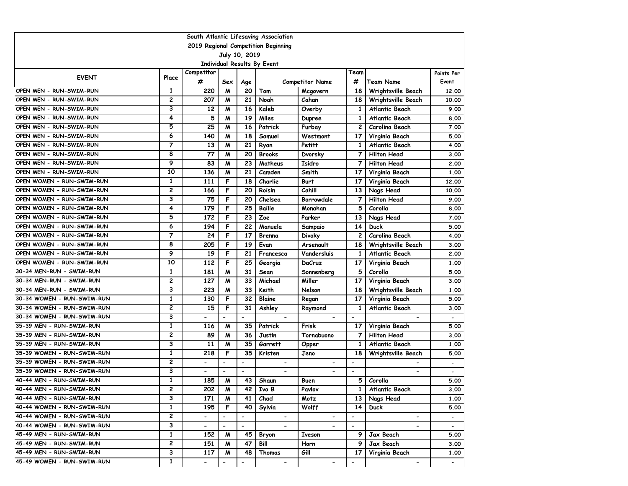| South Atlantic Lifesaving Association |                         |                          |                          |                          |                             |                              |                          |                          |                          |  |  |
|---------------------------------------|-------------------------|--------------------------|--------------------------|--------------------------|-----------------------------|------------------------------|--------------------------|--------------------------|--------------------------|--|--|
| 2019 Regional Competition Beginning   |                         |                          |                          |                          |                             |                              |                          |                          |                          |  |  |
|                                       |                         |                          |                          | July 10, 2019            |                             |                              |                          |                          |                          |  |  |
|                                       |                         | Competitor               |                          |                          | Individual Results By Event |                              | Team                     |                          | Points Per               |  |  |
| <b>EVENT</b>                          | Place                   | #                        | Sex                      | Age                      |                             | <b>Competitor Name</b>       | #                        | <b>Team Name</b>         | Event                    |  |  |
| OPEN MEN - RUN-SWIM-RUN               | $\mathbf{1}$            | 220                      | M                        | 20                       | Tom                         | Mcgovern                     | 18                       | Wrightsville Beach       | 12.00                    |  |  |
| OPEN MEN - RUN-SWIM-RUN               | 2                       | 207                      | M                        | 21                       | Noah                        | Cahan                        | 18                       | Wrightsville Beach       | 10.00                    |  |  |
| OPEN MEN - RUN-SWIM-RUN               | 3                       | 12                       | M                        | 16                       | Kaleb                       | Overby                       | $\mathbf{1}$             | Atlantic Beach           | 9.00                     |  |  |
| OPEN MEN - RUN-SWIM-RUN               | 4                       | 5                        | м                        | 19                       | Miles                       | Dupree                       | 1                        | Atlantic Beach           | 8.00                     |  |  |
| OPEN MEN - RUN-SWIM-RUN               | 5                       | 25                       | м                        | 16                       | Patrick                     | Furbay                       | 2                        | Carolina Beach           | 7.00                     |  |  |
| OPEN MEN - RUN-SWIM-RUN               | 6                       | 140                      | M                        | 18                       | Samuel                      | Westmont                     | 17                       | Virginia Beach           | 5.00                     |  |  |
| OPEN MEN - RUN-SWIM-RUN               | 7                       | 13                       | M                        | 21                       | Ryan                        | Petitt                       | 1                        | Atlantic Beach           | 4.00                     |  |  |
| OPEN MEN - RUN-SWIM-RUN               | 8                       | 77                       | M                        | 20                       | <b>Brooks</b>               | Dvorsky                      | 7                        | <b>Hilton Head</b>       | 3.00                     |  |  |
| OPEN MEN - RUN-SWIM-RUN               | 9                       | 83                       | M                        | 23                       | Matheus                     | Isidro                       | 7                        | <b>Hilton Head</b>       | 2.00                     |  |  |
| OPEN MEN - RUN-SWIM-RUN               | 10                      | 136                      | M                        | 21                       | Camden                      | Smith                        | 17                       | Virginia Beach           | 1.00                     |  |  |
| OPEN WOMEN - RUN-SWIM-RUN             | 1                       | 111                      | F                        | 18                       | Charlie                     | <b>Burt</b>                  | 17                       | Virginia Beach           | 12.00                    |  |  |
| OPEN WOMEN - RUN-SWIM-RUN             | 2                       | 166                      | F                        | 20                       | Roisin                      | Cahill                       | 13                       | Nags Head                | 10.00                    |  |  |
| OPEN WOMEN - RUN-SWIM-RUN             | 3                       | 75                       | F                        | 20                       | Chelsea                     | Borrowdale                   | 7                        | <b>Hilton Head</b>       | 9.00                     |  |  |
| OPEN WOMEN - RUN-SWIM-RUN             | 4                       | 179                      | F                        | 25                       | <b>Bailie</b>               | Monahan                      | 5                        | Corolla                  | 8.00                     |  |  |
| OPEN WOMEN - RUN-SWIM-RUN             | 5                       | 172                      | F                        | 23                       | Zoe                         | Parker                       | 13                       | Nags Head                | 7.00                     |  |  |
| OPEN WOMEN - RUN-SWIM-RUN             | 6                       | 194                      | F                        | 22                       | Manuela                     | Sampaio                      | 14                       | <b>Duck</b>              | 5.00                     |  |  |
| OPEN WOMEN - RUN-SWIM-RUN             | 7                       | 24                       | F                        | 17                       | Brenna                      | <b>Divoky</b>                | $\mathbf{2}$             | Carolina Beach           | 4.00                     |  |  |
| OPEN WOMEN - RUN-SWIM-RUN             | 8                       | 205                      | F                        | 19                       | Evan                        | Arsenault                    | 18                       | Wrightsville Beach       | 3.00                     |  |  |
| OPEN WOMEN - RUN-SWIM-RUN             | 9                       | 19                       | F                        | 21                       | Francesca                   | Vandersluis                  | 1                        | <b>Atlantic Beach</b>    | 2.00                     |  |  |
| OPEN WOMEN - RUN-SWIM-RUN             | 10                      | 112                      | F                        | 25                       | Georgia                     | DaCruz                       | 17                       | Virginia Beach           | 1.00                     |  |  |
| 30-34 MEN-RUN - SWIM-RUN              | 1                       | 181                      | M                        | 31                       | Sean                        | Sonnenberg                   | 5                        | Corolla                  | 5.00                     |  |  |
| 30-34 MEN-RUN - SWIM-RUN              | 2                       | 127                      | M                        | 33                       | Michael                     | Miller                       | 17                       | Virginia Beach           | 3.00                     |  |  |
| 30-34 MEN-RUN - SWIM-RUN              | 3                       | 223                      | M                        | 33                       | Keith                       | Nelson                       | 18                       | Wrightsville Beach       | 1.00                     |  |  |
| 30-34 WOMEN - RUN-SWIM-RUN            | 1                       | 130                      | F                        | 32                       | Blaine                      | Regan                        | 17                       | Virginia Beach           | 5.00                     |  |  |
| 30-34 WOMEN - RUN-SWIM-RUN            | 2                       | 15                       | F                        | 31                       | Ashley                      | Raymond                      | 1                        | Atlantic Beach           | 3.00                     |  |  |
| 30-34 WOMEN - RUN-SWIM-RUN            | 3                       |                          | $\blacksquare$           | $\overline{\phantom{a}}$ | $\overline{\phantom{a}}$    | $\blacksquare$               | $\blacksquare$           |                          |                          |  |  |
| 35-39 MEN - RUN-SWIM-RUN              | $\mathbf{1}$            | 116                      | M                        | 35                       | Patrick                     | Frisk                        | 17                       | Virginia Beach           | 5.00                     |  |  |
| 35-39 MEN - RUN-SWIM-RUN              | 2                       | 89                       | M                        | 36                       | Justin                      | Tornabuono                   | 7                        | <b>Hilton Head</b>       | 3.00                     |  |  |
| 35-39 MEN - RUN-SWIM-RUN              | 3                       | 11                       | м                        | 35                       | Garrett                     | Opper                        | 1                        | Atlantic Beach           | 1.00                     |  |  |
| 35-39 WOMEN - RUN-SWIM-RUN            | 1                       | 218                      | F                        | 35                       | Kristen                     | Jeno                         | 18                       | Wrightsville Beach       | 5.00                     |  |  |
| 35-39 WOMEN - RUN-SWIM-RUN            | 2                       | $\overline{\phantom{0}}$ | $\blacksquare$           | $\overline{\phantom{a}}$ | $\overline{\phantom{0}}$    | $\overline{\phantom{0}}$     | $\overline{\phantom{a}}$ |                          | $\overline{\phantom{a}}$ |  |  |
| 35-39 WOMEN - RUN-SWIM-RUN            | 3                       | $\overline{\phantom{0}}$ | $\blacksquare$           | $\overline{\phantom{a}}$ | Ξ.                          | $\overline{\phantom{a}}$     | $\overline{\phantom{a}}$ | $\blacksquare$           |                          |  |  |
| 40-44 MEN - RUN-SWIM-RUN              | $\mathbf{1}$            | 185                      | M                        | 43                       | Shaun                       | Buen                         | 5                        | Corolla                  | 5.00                     |  |  |
| 40-44 MEN - RUN-SWIM-RUN              | 2                       | 202                      | M                        | 42                       | Ivo B                       | Pavlov                       | 1                        | Atlantic Beach           | 3.00                     |  |  |
| 40-44 MEN - RUN-SWIM-RUN              | 3                       | 171                      | M                        | 41                       | Chad                        | Motz                         | 13                       | Nags Head                | 1.00                     |  |  |
| 40-44 WOMEN - RUN-SWIM-RUN            | 1                       | 195                      | F                        | 40                       | Sylvia                      | Wolff                        | 14                       | <b>Duck</b>              | 5.00                     |  |  |
| 40-44 WOMEN - RUN-SWIM-RUN            | $\overline{\mathbf{c}}$ | $\overline{\phantom{0}}$ | $\overline{\phantom{a}}$ | $\hbox{\small -}$        | $\blacksquare$              | $\qquad \qquad \blacksquare$ | $\overline{\phantom{a}}$ | $\hbox{\small -}$        | $\overline{\phantom{a}}$ |  |  |
| 40-44 WOMEN - RUN-SWIM-RUN            | 3                       | $\overline{\phantom{0}}$ | $\blacksquare$           | $\blacksquare$           | $\overline{\phantom{0}}$    | $\overline{\phantom{0}}$     | $\overline{\phantom{a}}$ | $\overline{\phantom{0}}$ | $\overline{\phantom{a}}$ |  |  |
| 45-49 MEN - RUN-SWIM-RUN              | $\mathbf{1}$            | 152                      | M                        | 45                       | Bryon                       | <b>Iveson</b>                | 9                        | Jax Beach                | 5.00                     |  |  |
| 45-49 MEN - RUN-SWIM-RUN              | 2                       | 151                      | M                        | 47                       | Bill                        | Horn                         | 9                        | Jax Beach                | 3.00                     |  |  |
| 45-49 MEN - RUN-SWIM-RUN              | 3                       | 117                      | M                        | 48                       | Thomas                      | Gill                         | 17                       | Virginia Beach           | 1.00                     |  |  |
| 45-49 WOMEN - RUN-SWIM-RUN            | $\mathbf{1}$            | $\overline{\phantom{0}}$ |                          | $\hbox{\small -}$        | $\overline{\phantom{a}}$    | $\overline{\phantom{a}}$     | $\hbox{\small -}$        | $\overline{\phantom{a}}$ |                          |  |  |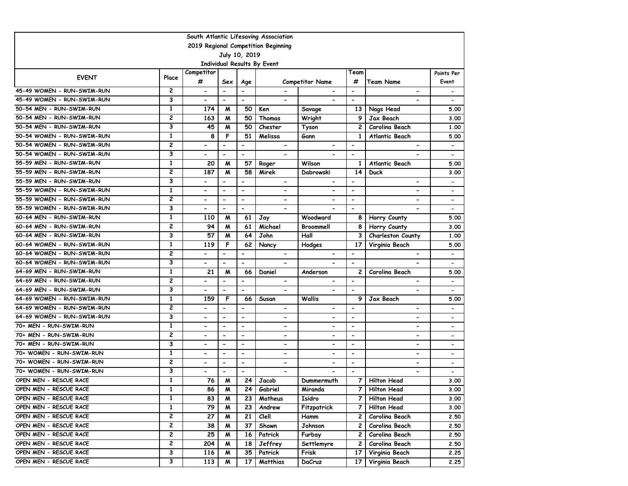| South Atlantic Lifesaving Association |                         |                                                      |                                            |                                            |                             |                              |                                            |                              |                          |  |  |
|---------------------------------------|-------------------------|------------------------------------------------------|--------------------------------------------|--------------------------------------------|-----------------------------|------------------------------|--------------------------------------------|------------------------------|--------------------------|--|--|
| 2019 Regional Competition Beginning   |                         |                                                      |                                            |                                            |                             |                              |                                            |                              |                          |  |  |
|                                       |                         |                                                      |                                            | July 10, 2019                              |                             |                              |                                            |                              |                          |  |  |
|                                       |                         |                                                      |                                            |                                            | Individual Results By Event |                              |                                            |                              |                          |  |  |
| <b>EVENT</b>                          | Place                   | Competitor                                           |                                            |                                            |                             |                              | Team                                       |                              | Points Per               |  |  |
| 45-49 WOMEN - RUN-SWIM-RUN            | $\mathbf{2}$            | #                                                    | Sex                                        | Age                                        |                             | <b>Competitor Name</b>       | #                                          | Team Name                    | Event                    |  |  |
| 45-49 WOMEN - RUN-SWIM-RUN            | 3                       | $\overline{\phantom{a}}$<br>$\overline{\phantom{a}}$ | $\overline{\phantom{a}}$<br>$\blacksquare$ | $\overline{\phantom{a}}$<br>$\blacksquare$ | $\overline{\phantom{0}}$    | $\overline{\phantom{0}}$     | $\overline{\phantom{a}}$<br>$\blacksquare$ | $\overline{\phantom{a}}$     |                          |  |  |
| 50-54 MEN - RUN-SWIM-RUN              | $\mathbf{1}$            | 174                                                  | M                                          | 50                                         | Ken                         |                              | 13                                         | Nags Head                    | 5.00                     |  |  |
| 50-54 MEN - RUN-SWIM-RUN              | 2                       | 163                                                  | M                                          | 50                                         | Thomas                      | Savage<br>Wright             | 9                                          | Jax Beach                    | 3.00                     |  |  |
| 50-54 MEN - RUN-SWIM-RUN              | 3                       | 45                                                   | M                                          | 50                                         | Chester                     | Tyson                        | 2                                          | Carolina Beach               | 1.00                     |  |  |
| 50-54 WOMEN - RUN-SWIM-RUN            | $\mathbf{1}$            | 8                                                    | F                                          | 51                                         | Melissa                     | Gann                         | 1                                          | Atlantic Beach               | 5.00                     |  |  |
| 50-54 WOMEN - RUN-SWIM-RUN            | $\overline{c}$          |                                                      | $\overline{\phantom{a}}$                   | $\overline{\phantom{0}}$                   | $\overline{\phantom{0}}$    |                              | $\blacksquare$                             |                              | $\overline{\phantom{a}}$ |  |  |
| 50-54 WOMEN - RUN-SWIM-RUN            | 3                       | $\blacksquare$                                       | $\overline{\phantom{a}}$                   | $\hbox{\small -}$                          | $\overline{\phantom{0}}$    |                              | $\overline{\phantom{a}}$                   | $\overline{\phantom{a}}$     | $\overline{\phantom{a}}$ |  |  |
| 55-59 MEN - RUN-SWIM-RUN              | $\mathbf{1}$            | 20                                                   | M                                          | 57                                         | Roger                       | Wilson                       | $\mathbf{1}$                               | Atlantic Beach               | 5.00                     |  |  |
| 55-59 MEN - RUN-SWIM-RUN              | $\overline{c}$          | 187                                                  | м                                          | 58                                         | Mirek                       | Dabrowski                    | 14                                         | <b>Duck</b>                  | 3.00                     |  |  |
| 55-59 MEN - RUN-SWIM-RUN              | 3                       |                                                      |                                            | $\blacksquare$                             | $\overline{\phantom{0}}$    |                              | $\blacksquare$                             | $\overline{\phantom{0}}$     | -                        |  |  |
| 55-59 WOMEN - RUN-SWIM-RUN            | $\mathbf{1}$            |                                                      | $\blacksquare$                             | $\overline{\phantom{a}}$                   | $\overline{\phantom{0}}$    | $\qquad \qquad \blacksquare$ | $\overline{\phantom{a}}$                   | $\overline{\phantom{0}}$     | $\overline{\phantom{a}}$ |  |  |
| 55-59 WOMEN - RUN-SWIM-RUN            | 2                       | $\blacksquare$                                       | $\overline{\phantom{a}}$                   | $\overline{\phantom{a}}$                   | $\overline{\phantom{0}}$    | $\qquad \qquad \blacksquare$ | $\overline{\phantom{a}}$                   | $\blacksquare$               | $\overline{\phantom{a}}$ |  |  |
| 55-59 WOMEN - RUN-SWIM-RUN            | 3                       | $\blacksquare$                                       | $\blacksquare$                             | $\overline{\phantom{a}}$                   | $\overline{\phantom{0}}$    |                              | $\blacksquare$                             |                              | $\overline{\phantom{a}}$ |  |  |
| 60-64 MEN - RUN-SWIM-RUN              | $\mathbf{1}$            | 110                                                  | М                                          | 61                                         | Jay                         | Woodward                     | 8                                          | Horry County                 | 5.00                     |  |  |
| 60-64 MEN - RUN-SWIM-RUN              | $\overline{c}$          | 94                                                   | М                                          | 61                                         | Michael                     | Broommell                    | 8                                          | Horry County                 | 3.00                     |  |  |
| 60-64 MEN - RUN-SWIM-RUN              | 3                       | 57                                                   | М                                          | 64                                         | John                        | Hall                         | 3                                          | Charleston County            | 1.00                     |  |  |
| 60-64 WOMEN - RUN-SWIM-RUN            | $\mathbf{1}$            | 119                                                  | F                                          | 62                                         | Nancy                       | Hodges                       | 17                                         | Virginia Beach               | 5.00                     |  |  |
| 60-64 WOMEN - RUN-SWIM-RUN            | 2                       |                                                      | $\overline{\phantom{a}}$                   | $\overline{\phantom{a}}$                   | -                           | $\overline{\phantom{0}}$     | $\overline{\phantom{a}}$                   | $\overline{\phantom{a}}$     | $\overline{\phantom{a}}$ |  |  |
| 60-64 WOMEN - RUN-SWIM-RUN            | 3                       |                                                      | $\blacksquare$                             | $\overline{\phantom{a}}$                   |                             |                              | $\overline{\phantom{a}}$                   |                              | $\overline{\phantom{a}}$ |  |  |
| 64-69 MEN - RUN-SWIM-RUN              | $\mathbf{1}$            | 21                                                   | M                                          | 66                                         | Daniel                      | Anderson                     | 2                                          | Carolina Beach               | 5.00                     |  |  |
| 64-69 MEN - RUN-SWIM-RUN              | $\overline{c}$          |                                                      | $\overline{\phantom{a}}$                   | $\blacksquare$                             | $\overline{\phantom{0}}$    | $\qquad \qquad \blacksquare$ | $\blacksquare$                             | $\overline{\phantom{a}}$     |                          |  |  |
| 64-69 MEN - RUN-SWIM-RUN              | 3                       | $\overline{\phantom{a}}$                             | $\blacksquare$                             | $\overline{\phantom{a}}$                   | $\overline{\phantom{0}}$    | $\overline{\phantom{0}}$     | $\overline{\phantom{a}}$                   | $\blacksquare$               | $\overline{\phantom{a}}$ |  |  |
| 64-69 WOMEN - RUN-SWIM-RUN            | $\mathbf{1}$            | 159                                                  | F                                          | 66                                         | Susan                       | <b>Wallis</b>                | 9                                          | Jax Beach                    | 5.00                     |  |  |
| 64-69 WOMEN - RUN-SWIM-RUN            | $\overline{c}$          | $\blacksquare$                                       | $\overline{\phantom{a}}$                   | $\overline{\phantom{a}}$                   | $\overline{\phantom{0}}$    | $\qquad \qquad \blacksquare$ | $\overline{\phantom{a}}$                   | $\qquad \qquad \blacksquare$ | $\overline{\phantom{a}}$ |  |  |
| 64-69 WOMEN - RUN-SWIM-RUN            | 3                       | $\overline{\phantom{a}}$                             | $\overline{\phantom{a}}$                   | $\overline{\phantom{a}}$                   | -                           | $\qquad \qquad \blacksquare$ | $\overline{\phantom{a}}$                   | $\overline{\phantom{a}}$     | $\overline{\phantom{a}}$ |  |  |
| 70+ MEN - RUN-SWIM-RUN                | $\mathbf{1}$            |                                                      | $\blacksquare$                             | $\blacksquare$                             | $\overline{\phantom{0}}$    | $\overline{\phantom{0}}$     | $\overline{\phantom{0}}$                   | $\overline{\phantom{0}}$     | $\overline{\phantom{0}}$ |  |  |
| 70+ MEN - RUN-SWIM-RUN                | 2                       | $\overline{\phantom{0}}$                             | $\overline{\phantom{a}}$                   | $\overline{\phantom{a}}$                   | $\overline{\phantom{0}}$    | $\overline{\phantom{0}}$     | $\overline{\phantom{a}}$                   | $\blacksquare$               | $\overline{\phantom{a}}$ |  |  |
| 70+ MEN - RUN-SWIM-RUN                | 3                       |                                                      | $\blacksquare$                             | $\overline{\phantom{a}}$                   | -                           | $\overline{\phantom{0}}$     | $\overline{\phantom{0}}$                   | $\overline{\phantom{a}}$     | $\overline{\phantom{0}}$ |  |  |
| 70+ WOMEN - RUN-SWIM-RUN              | $\mathbf{1}$            |                                                      | $\blacksquare$                             | $\blacksquare$                             | $\overline{\phantom{0}}$    | $\overline{\phantom{0}}$     | $\overline{\phantom{a}}$                   | $\overline{\phantom{0}}$     | $\overline{\phantom{a}}$ |  |  |
| 70+ WOMEN - RUN-SWIM-RUN              | 2                       | $\overline{\phantom{a}}$                             | $\overline{\phantom{a}}$                   | $\overline{\phantom{a}}$                   | -                           | $\overline{\phantom{0}}$     | $\overline{\phantom{a}}$                   | $\overline{\phantom{a}}$     | $\overline{\phantom{a}}$ |  |  |
| 70+ WOMEN - RUN-SWIM-RUN              | 3                       |                                                      | $\blacksquare$                             | $\blacksquare$                             |                             |                              | $\overline{\phantom{a}}$                   |                              |                          |  |  |
| OPEN MEN - RESCUE RACE                | $\mathbf{1}$            | 76                                                   | M                                          | 24                                         | Jacob                       | Dummermuth                   | 7                                          | <b>Hilton Head</b>           | 3.00                     |  |  |
| OPEN MEN - RESCUE RACE                | 1                       | 86                                                   | M                                          | 24                                         | Gabriel                     | Miranda                      | 7                                          | <b>Hilton Head</b>           | 3.00                     |  |  |
| OPEN MEN - RESCUE RACE                | $\mathbf{1}$            | 83                                                   | M                                          | 23                                         | Matheus                     | Isidro                       | 7                                          | <b>Hilton Head</b>           | 3.00                     |  |  |
| OPEN MEN - RESCUE RACE                | $\mathbf{1}$            | 79                                                   | M                                          | 23                                         | Andrew                      | Fitzpatrick                  | 7                                          | Hilton Head                  | 3.00                     |  |  |
| OPEN MEN - RESCUE RACE                | 2                       | 27                                                   | M                                          | 21                                         | Clell                       | Hamm                         | 2                                          | Carolina Beach               | 2.50                     |  |  |
| OPEN MEN - RESCUE RACE                | $\overline{2}$          | 38                                                   | M                                          | 37                                         | Shawn                       | Johnson                      | 2                                          | Carolina Beach               | 2.50                     |  |  |
| OPEN MEN - RESCUE RACE                | 2                       | 25                                                   | M                                          | 16                                         | Patrick                     | Furbay                       | $\mathbf{2}$                               | Carolina Beach               | 2.50                     |  |  |
| OPEN MEN - RESCUE RACE                | $\overline{\mathbf{c}}$ | 204                                                  | M                                          | 18                                         | Jeffrey                     | Settlemyre                   | 2                                          | Carolina Beach               | 2.50                     |  |  |
| OPEN MEN - RESCUE RACE                | 3                       | 116                                                  | M                                          | 35                                         | Patrick                     | Frisk                        | 17                                         | Virginia Beach               | 2.25                     |  |  |
| OPEN MEN - RESCUE RACE                | 3                       | 113                                                  | M                                          | 17                                         | Matthias                    | DaCruz                       | 17                                         | Virginia Beach               | 2.25                     |  |  |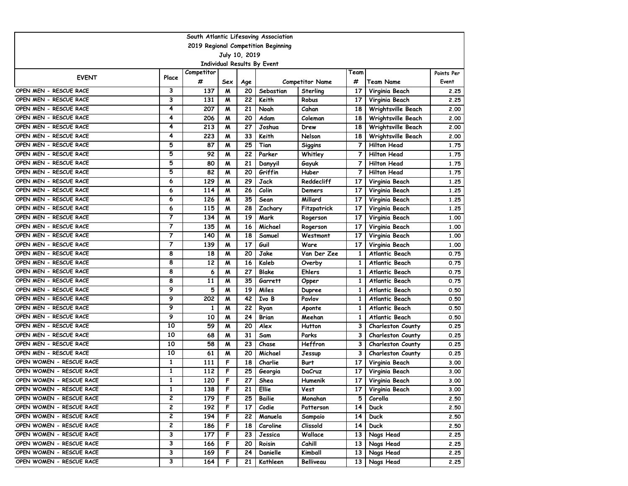| South Atlantic Lifesaving Association                |                         |            |     |     |                                    |                 |                 |                          |            |  |  |
|------------------------------------------------------|-------------------------|------------|-----|-----|------------------------------------|-----------------|-----------------|--------------------------|------------|--|--|
| 2019 Regional Competition Beginning<br>July 10, 2019 |                         |            |     |     |                                    |                 |                 |                          |            |  |  |
|                                                      |                         |            |     |     |                                    |                 |                 |                          |            |  |  |
|                                                      |                         | Competitor |     |     | <b>Individual Results By Event</b> |                 | Team            |                          | Points Per |  |  |
| <b>EVENT</b>                                         | Place                   | #          | Sex | Age |                                    | Competitor Name | #               | <b>Team Name</b>         | Event      |  |  |
| OPEN MEN - RESCUE RACE                               | 3                       | 137        | M   | 20  | Sebastian                          | Sterling        | 17              | Virginia Beach           | 2.25       |  |  |
| OPEN MEN - RESCUE RACE                               | 3                       | 131        | M   | 22  | Keith                              | Robus           | 17              | Virginia Beach           | 2.25       |  |  |
| OPEN MEN - RESCUE RACE                               | 4                       | 207        | M   | 21  | Noah                               | Cahan           | 18              | Wrightsville Beach       | 2.00       |  |  |
| OPEN MEN - RESCUE RACE                               | 4                       | 206        | M   | 20  | Adam                               | Coleman         | 18              | Wrightsville Beach       | 2.00       |  |  |
| OPEN MEN - RESCUE RACE                               | 4                       | 213        | M   | 27  | Joshua                             | Drew            | 18              | Wrightsville Beach       | 2.00       |  |  |
| OPEN MEN - RESCUE RACE                               | 4                       | 223        | M   | 33  | Keith                              | Nelson          | 18              | Wrightsville Beach       | 2.00       |  |  |
| OPEN MEN - RESCUE RACE                               | 5                       | 87         | M   | 25  | Tian                               | Siggins         | 7               | <b>Hilton Head</b>       | 1.75       |  |  |
| OPEN MEN - RESCUE RACE                               | 5                       | 92         | M   | 22  | Parker                             | Whitley         | 7               | <b>Hilton Head</b>       | 1.75       |  |  |
| OPEN MEN - RESCUE RACE                               | 5                       | 80         | M   | 21  | Danyyil                            | Gayuk           | 7               | <b>Hilton Head</b>       | 1.75       |  |  |
| OPEN MEN - RESCUE RACE                               | 5                       | 82         | M   | 20  | Griffin                            | Huber           | 7               | <b>Hilton Head</b>       | 1.75       |  |  |
| OPEN MEN - RESCUE RACE                               | 6                       | 129        | M   | 29  | Jack                               | Reddecliff      | 17              | Virginia Beach           | 1.25       |  |  |
| OPEN MEN - RESCUE RACE                               | 6                       | 114        | M   | 26  | Colin                              | Demers          | 17              | Virginia Beach           | 1.25       |  |  |
| OPEN MEN - RESCUE RACE                               | 6                       | 126        | M   | 35  | Sean                               | Millard         | 17              | Virginia Beach           | 1.25       |  |  |
| OPEN MEN - RESCUE RACE                               | 6                       | 115        | M   | 28  | Zachary                            | Fitzpatrick     | 17              | Virginia Beach           | 1.25       |  |  |
| OPEN MEN - RESCUE RACE                               | 7                       | 134        | M   | 19  | Mark                               | Rogerson        | 17              | Virginia Beach           | 1.00       |  |  |
| OPEN MEN - RESCUE RACE                               | 7                       | 135        | M   | 16  | Michael                            | Rogerson        | 17              | Virginia Beach           | 1.00       |  |  |
| OPEN MEN - RESCUE RACE                               | $\overline{\mathbf{7}}$ | 140        | M   | 18  | Samuel                             | Westmont        | 17              | Virginia Beach           | 1.00       |  |  |
| OPEN MEN - RESCUE RACE                               | 7                       | 139        | M   | 17  | Guil                               | Ware            | 17              | Virginia Beach           | 1.00       |  |  |
| OPEN MEN - RESCUE RACE                               | 8                       | 18         | M   | 20  | Jake                               | Van Der Zee     | 1               | Atlantic Beach           | 0.75       |  |  |
| OPEN MEN - RESCUE RACE                               | 8                       | 12         | M   | 16  | Kaleb                              | Overby          | 1               | Atlantic Beach           | 0.75       |  |  |
| OPEN MEN - RESCUE RACE                               | 8                       | 6          | M   | 27  | Blake                              | Ehlers          | 1               | Atlantic Beach           | 0.75       |  |  |
| OPEN MEN - RESCUE RACE                               | 8                       | 11         | M   | 35  | Garrett                            | Opper           | 1               | Atlantic Beach           | 0.75       |  |  |
| OPEN MEN - RESCUE RACE                               | 9                       | 5          | M   | 19  | Miles                              | <b>Dupree</b>   | 1               | Atlantic Beach           | 0.50       |  |  |
| OPEN MEN - RESCUE RACE                               | 9                       | 202        | M   | 42  | Ivo B                              | Pavlov          | 1               | Atlantic Beach           | 0.50       |  |  |
| OPEN MEN - RESCUE RACE                               | 9                       | 1          | M   | 22  | Ryan                               | Aponte          | 1               | Atlantic Beach           | 0.50       |  |  |
| OPEN MEN - RESCUE RACE                               | 9                       | 10         | M   | 24  | Brian                              | Meehan          | 1               | Atlantic Beach           | 0.50       |  |  |
| OPEN MEN - RESCUE RACE                               | 10                      | 59         | M   | 20  | Alex                               | Hutton          | 3               | <b>Charleston County</b> | 0.25       |  |  |
| OPEN MEN - RESCUE RACE                               | 10                      | 68         | M   | 31  | Sam                                | Parks           | 3               | <b>Charleston County</b> | 0.25       |  |  |
| OPEN MEN - RESCUE RACE                               | 10                      | 58         | M   | 23  | Chase                              | Heffron         | 3               | <b>Charleston County</b> | 0.25       |  |  |
| OPEN MEN - RESCUE RACE                               | 10                      | 61         | M   | 20  | Michael                            | Jessup          | 3               | <b>Charleston County</b> | 0.25       |  |  |
| OPEN WOMEN - RESCUE RACE                             | 1                       | 111        | F   | 18  | Charlie                            | <b>Burt</b>     | 17              | Virginia Beach           | 3.00       |  |  |
| OPEN WOMEN - RESCUE RACE                             | $\mathbf{1}$            | 112        | F   | 25  | Georgia                            | DaCruz          | 17              | Virginia Beach           | 3.00       |  |  |
| OPEN WOMEN - RESCUE RACE                             | $\mathbf{1}$            | 120        | F   | 27  | Shea                               | Humenik         | 17              | Virginia Beach           | 3.00       |  |  |
| OPEN WOMEN - RESCUE RACE                             | 1                       | 138        | F   | 21  | Ellie                              | Vest            | 17 I            | Virginia Beach           | 3.00       |  |  |
| OPEN WOMEN - RESCUE RACE                             | 2                       | 179        | F   | 25  | Bailie                             | Monahan         | 5               | Corolla                  | 2.50       |  |  |
| OPEN WOMEN - RESCUE RACE                             | 2                       | 192        | F   | 17  | Codie                              | Patterson       | 14              | <b>Duck</b>              | 2.50       |  |  |
| OPEN WOMEN - RESCUE RACE                             | $\mathbf{2}$            | 194        | F   | 22  | Manuela                            | Sampaio         | 14              | <b>Duck</b>              | 2.50       |  |  |
| OPEN WOMEN - RESCUE RACE                             | $\overline{\mathbf{c}}$ | 186        | F   | 18  | Caroline                           | Clissold        | 14 <sup>1</sup> | <b>Duck</b>              | 2.50       |  |  |
| OPEN WOMEN - RESCUE RACE                             | 3                       | 177        | F   | 23  | Jessica                            | Wallace         | 13 I            | Nags Head                | 2.25       |  |  |
| OPEN WOMEN - RESCUE RACE                             | 3                       | 166        | F   | 20  | Roisin                             | Cahill          | 13 I            | Nags Head                | 2.25       |  |  |
| OPEN WOMEN - RESCUE RACE                             | 3                       | 169        | F   | 24  | Danielle                           | Kimball         | 13 <sup>1</sup> | Nags Head                | 2.25       |  |  |
| OPEN WOMEN - RESCUE RACE                             | $\overline{\mathbf{3}}$ | 164        | F   | 21  | Kathleen                           | Belliveau       | 13 I            | Nags Head                | 2.25       |  |  |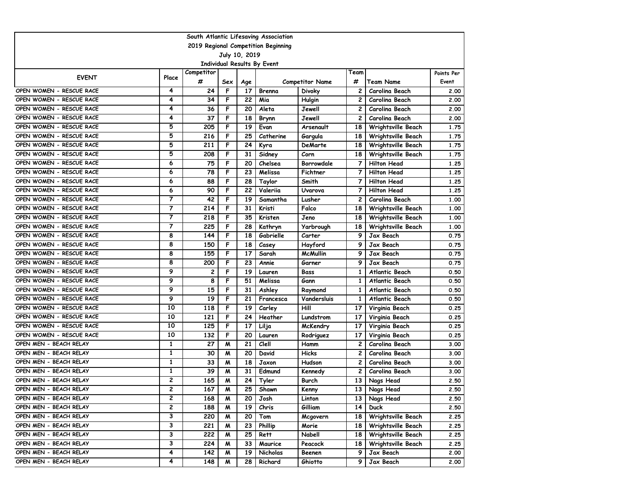| South Atlantic Lifesaving Association                |                         |            |     |     |                                    |                        |                 |                    |            |  |  |  |
|------------------------------------------------------|-------------------------|------------|-----|-----|------------------------------------|------------------------|-----------------|--------------------|------------|--|--|--|
| 2019 Regional Competition Beginning<br>July 10, 2019 |                         |            |     |     |                                    |                        |                 |                    |            |  |  |  |
|                                                      |                         |            |     |     |                                    |                        |                 |                    |            |  |  |  |
|                                                      |                         | Competitor |     |     | <b>Individual Results By Event</b> |                        | Team            |                    | Points Per |  |  |  |
| <b>EVENT</b>                                         | Place                   | #          | Sex | Age |                                    | <b>Competitor Name</b> | #               | <b>Team Name</b>   | Event      |  |  |  |
| OPEN WOMEN - RESCUE RACE                             | 4                       | 24         | F   | 17  | Brenna                             | <b>Divoky</b>          | 2               | Carolina Beach     | 2.00       |  |  |  |
| OPEN WOMEN - RESCUE RACE                             | 4                       | 34         | F   | 22  | Mia                                | Hulgin                 | 2               | Carolina Beach     | 2.00       |  |  |  |
| OPEN WOMEN - RESCUE RACE                             | 4                       | 36         | F   | 20  | Aleta                              | Jewell                 | 2               | Carolina Beach     | 2.00       |  |  |  |
| OPEN WOMEN - RESCUE RACE                             | 4                       | 37         | F   | 18  | Brynn                              | Jewell                 | 2               | Carolina Beach     | 2.00       |  |  |  |
| OPEN WOMEN - RESCUE RACE                             | 5                       | 205        | F   | 19  | Evan                               | Arsenault              | 18              | Wrightsville Beach | 1.75       |  |  |  |
| OPEN WOMEN - RESCUE RACE                             | 5                       | 216        | F   | 25  | Catherine                          | Gargula                | 18              | Wrightsville Beach | 1.75       |  |  |  |
| OPEN WOMEN - RESCUE RACE                             | 5                       | 211        | F   | 24  | Kyra                               | DeMarte                | 18              | Wrightsville Beach | 1.75       |  |  |  |
| OPEN WOMEN - RESCUE RACE                             | 5                       | 208        | F   | 31  | Sidney                             | Corn                   | 18              | Wrightsville Beach | 1.75       |  |  |  |
| OPEN WOMEN - RESCUE RACE                             | 6                       | 75         | F   | 20  | Chelsea                            | Borrowdale             | 7               | <b>Hilton Head</b> | 1.25       |  |  |  |
| OPEN WOMEN - RESCUE RACE                             | 6                       | 78         | F   | 23  | Melissa                            | Fichtner               | 7               | <b>Hilton Head</b> | 1.25       |  |  |  |
| OPEN WOMEN - RESCUE RACE                             | 6                       | 88         | F   | 28  | Taylor                             | Smith                  | 7               | <b>Hilton Head</b> | 1.25       |  |  |  |
| OPEN WOMEN - RESCUE RACE                             | 6                       | 90         | F   | 22  | Valerija                           | Uvarova                | 7               | <b>Hilton Head</b> | 1.25       |  |  |  |
| OPEN WOMEN - RESCUE RACE                             | 7                       | 42         | F   | 19  | Samantha                           | Lusher                 | 2               | Carolina Beach     | 1.00       |  |  |  |
| OPEN WOMEN - RESCUE RACE                             | 7                       | 214        | F   | 31  | Kristi                             | Falco                  | 18              | Wrightsville Beach | 1.00       |  |  |  |
| OPEN WOMEN - RESCUE RACE                             | 7                       | 218        | F   | 35  | Kristen                            | Jeno                   | 18              | Wrightsville Beach | 1.00       |  |  |  |
| OPEN WOMEN - RESCUE RACE                             | 7                       | 225        | F   | 28  | Kathryn                            | Yarbrough              | 18              | Wrightsville Beach | 1.00       |  |  |  |
| OPEN WOMEN - RESCUE RACE                             | 8                       | 144        | F   | 18  | Gabrielle                          | Carter                 | 9               | Jax Beach          | 0.75       |  |  |  |
| OPEN WOMEN - RESCUE RACE                             | 8                       | 150        | F   | 18  | Casey                              | Hayford                | 9               | Jax Beach          | 0.75       |  |  |  |
| OPEN WOMEN - RESCUE RACE                             | 8                       | 155        | F   | 17  | Sarah                              | <b>McMullin</b>        | 9               | Jax Beach          | 0.75       |  |  |  |
| OPEN WOMEN - RESCUE RACE                             | 8                       | 200        | F   | 23  | Annie                              | Garner                 | 9               | Jax Beach          | 0.75       |  |  |  |
| OPEN WOMEN - RESCUE RACE                             | 9                       | 2          | F   | 19  | Lauren                             | Bass                   | 1               | Atlantic Beach     | 0.50       |  |  |  |
| OPEN WOMEN - RESCUE RACE                             | 9                       | 8          | F   | 51  | Melissa                            | Gann                   | 1               | Atlantic Beach     | 0.50       |  |  |  |
| OPEN WOMEN - RESCUE RACE                             | 9                       | 15         | F   | 31  | Ashley                             | Raymond                | 1               | Atlantic Beach     | 0.50       |  |  |  |
| OPEN WOMEN - RESCUE RACE                             | 9                       | 19         | F   | 21  | Francesca                          | Vandersluis            | 1               | Atlantic Beach     | 0.50       |  |  |  |
| OPEN WOMEN - RESCUE RACE                             | 10                      | 118        | F   | 19  | Carley                             | Hill                   | 17              | Virginia Beach     | 0.25       |  |  |  |
| OPEN WOMEN - RESCUE RACE                             | 10                      | 121        | F   | 24  | Heather                            | Lundstrom              | 17              | Virginia Beach     | 0.25       |  |  |  |
| OPEN WOMEN - RESCUE RACE                             | 10                      | 125        | F   | 17  | Lilja                              | McKendry               | 17              | Virginia Beach     | 0.25       |  |  |  |
| OPEN WOMEN - RESCUE RACE                             | 10                      | 132        | F   | 20  | Lauren                             | Rodriguez              | 17              | Virginia Beach     | 0.25       |  |  |  |
| OPEN MEN - BEACH RELAY                               | 1                       | 27         | M   | 21  | Clell                              | Hamm                   | 2               | Carolina Beach     | 3.00       |  |  |  |
| OPEN MEN - BEACH RELAY                               | 1                       | 30         | M   | 20  | David                              | Hicks                  | 2               | Carolina Beach     | 3.00       |  |  |  |
| OPEN MEN - BEACH RELAY                               | 1                       | 33         | M   | 18  | Jaxon                              | Hudson                 | 2               | Carolina Beach     | 3.00       |  |  |  |
| OPEN MEN - BEACH RELAY                               | $\mathbf{1}$            | 39         | M   | 31  | Edmund                             | Kennedy                | 2               | Carolina Beach     | 3.00       |  |  |  |
| OPEN MEN - BEACH RELAY                               | 2                       | 165        | M   | 24  | Tyler                              | Burch                  | 13              | Nags Head          | 2.50       |  |  |  |
| OPEN MEN - BEACH RELAY                               | 2                       | 167        | M   | 25  | Shawn                              | Kenny                  |                 | 13 Nags Head       | 2.50       |  |  |  |
| OPEN MEN - BEACH RELAY                               | 2                       | 168        | M   | 20  | Josh                               | Linton                 | 13              | Nags Head          | 2.50       |  |  |  |
| OPEN MEN - BEACH RELAY                               | 2                       | 188        | M   | 19  | Chris                              | Gilliam                | 14 <sup>1</sup> | <b>Duck</b>        | 2.50       |  |  |  |
| OPEN MEN - BEACH RELAY                               | 3                       | 220        | M   | 20  | Tom                                | Mcgovern               | 18              | Wrightsville Beach | 2.25       |  |  |  |
| OPEN MEN - BEACH RELAY                               | 3                       | 221        | M   | 23  | Phillip                            | Morie                  | 18 I            | Wrightsville Beach | 2.25       |  |  |  |
| OPEN MEN - BEACH RELAY                               | 3                       | 222        | M   | 25  | Rett                               | Nabell                 | 18 I            | Wrightsville Beach | 2.25       |  |  |  |
| OPEN MEN - BEACH RELAY                               | 3                       | 224        | M   | 33  | Maurice                            | Peacock                | 18              | Wrightsville Beach | 2.25       |  |  |  |
| OPEN MEN - BEACH RELAY                               | 4                       | 142        | M   | 19  | Nicholas                           | Beenen                 | 9               | Jax Beach          | 2.00       |  |  |  |
| OPEN MEN - BEACH RELAY                               | $\overline{\mathbf{4}}$ | 148        | M   | 28  | Richard                            | Ghiotto                | 9               | Jax Beach          | 2.00       |  |  |  |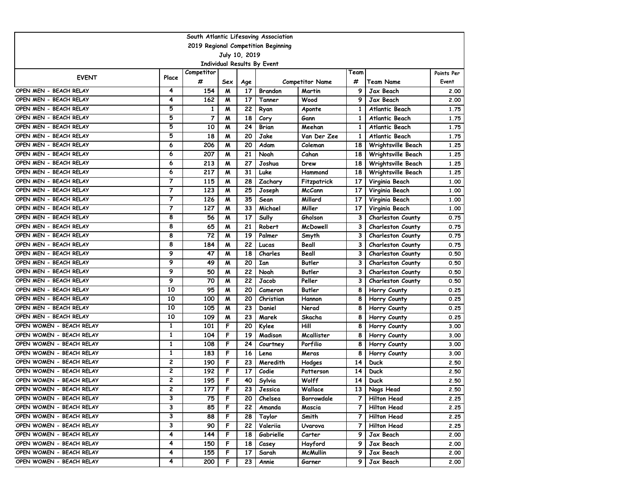|                          |                         |                 |          |               | South Atlantic Lifesaving Association |                                  |           |                               |                     |
|--------------------------|-------------------------|-----------------|----------|---------------|---------------------------------------|----------------------------------|-----------|-------------------------------|---------------------|
|                          |                         |                 |          |               | 2019 Regional Competition Beginning   |                                  |           |                               |                     |
|                          |                         |                 |          | July 10, 2019 |                                       |                                  |           |                               |                     |
|                          |                         |                 |          |               | <b>Individual Results By Event</b>    |                                  |           |                               |                     |
| <b>EVENT</b>             | Place                   | Competitor<br># |          |               |                                       |                                  | Team<br># |                               | Points Per<br>Event |
| OPEN MEN - BEACH RELAY   | 4                       | 154             | Sex<br>M | Age<br>17     | <b>Brandon</b>                        | <b>Competitor Name</b><br>Martin | 9         | <b>Team Name</b><br>Jax Beach | 2.00                |
| OPEN MEN - BEACH RELAY   | 4                       | 162             | M        | 17            | Tanner                                | Wood                             | 9         | Jax Beach                     | 2.00                |
| OPEN MEN - BEACH RELAY   | 5                       | 1               | M        | 22            | Ryan                                  | Aponte                           | 1         | Atlantic Beach                | 1.75                |
| OPEN MEN - BEACH RELAY   | 5                       | 7               | M        | 18            | Cory                                  | Gann                             | 1         | Atlantic Beach                | 1.75                |
| OPEN MEN - BEACH RELAY   | 5                       | 10              | M        | 24            | Brian                                 | Meehan                           | 1         | Atlantic Beach                | 1.75                |
| OPEN MEN - BEACH RELAY   | 5                       | 18              | M        | 20            | Jake                                  | Van Der Zee                      | 1         | Atlantic Beach                | 1.75                |
| OPEN MEN - BEACH RELAY   | 6                       | 206             | M        | 20            | Adam                                  | Coleman                          | 18        | Wrightsville Beach            | 1.25                |
| OPEN MEN - BEACH RELAY   | 6                       | 207             | M        | 21            | Noah                                  | Cahan                            | 18        | Wrightsville Beach            | 1.25                |
| OPEN MEN - BEACH RELAY   | 6                       | 213             | M        | 27            | Joshua                                | Drew                             | 18        | Wrightsville Beach            | 1.25                |
| OPEN MEN - BEACH RELAY   | 6                       | 217             | M        | 31            | Luke                                  | Hammond                          | 18        | Wrightsville Beach            | 1.25                |
| OPEN MEN - BEACH RELAY   | $\overline{7}$          | 115             | M        | 28            | Zachary                               | Fitzpatrick                      | 17        | Virginia Beach                | 1.00                |
| OPEN MEN - BEACH RELAY   | $\overline{7}$          | 123             | M        | 25            | Joseph                                | <b>McCann</b>                    | 17        | Virginia Beach                | 1.00                |
| OPEN MEN - BEACH RELAY   | 7                       | 126             | M        | 35            | Sean                                  | Millard                          | 17        | Virginia Beach                | 1.00                |
| OPEN MEN - BEACH RELAY   | 7                       | 127             | M        | 33            | Michael                               | Miller                           | 17        | Virginia Beach                | 1.00                |
| OPEN MEN - BEACH RELAY   | 8                       | 56              | M        | 17            | Sully                                 | Gholson                          | 3         | <b>Charleston County</b>      | 0.75                |
| OPEN MEN - BEACH RELAY   | 8                       | 65              | M        | 21            | Robert                                | McDowell                         | 3         | <b>Charleston County</b>      | 0.75                |
| OPEN MEN - BEACH RELAY   | 8                       | 72              | M        | 19            | Palmer                                | Smyth                            | 3         | <b>Charleston County</b>      | 0.75                |
| OPEN MEN - BEACH RELAY   | 8                       | 184             | M        | 22            | Lucas                                 | Beall                            | 3         | <b>Charleston County</b>      | 0.75                |
| OPEN MEN - BEACH RELAY   | 9                       | 47              | M        | 18            | Charles                               | Beall                            | 3         | <b>Charleston County</b>      | 0.50                |
| OPEN MEN - BEACH RELAY   | 9                       | 49              | M        | 20            | Ian                                   | <b>Butler</b>                    | 3         | <b>Charleston County</b>      | 0.50                |
| OPEN MEN - BEACH RELAY   | 9                       | 50              | M        | 22            | Noah                                  | <b>Butler</b>                    | 3         | <b>Charleston County</b>      | 0.50                |
| OPEN MEN - BEACH RELAY   | 9                       | 70              | M        | 22            | Jacob                                 | Peller                           | 3         | <b>Charleston County</b>      | 0.50                |
| OPEN MEN - BEACH RELAY   | 10                      | 95              | M        | 20            | Cameron                               | Butler                           | 8         | Horry County                  | 0.25                |
| OPEN MEN - BEACH RELAY   | 10                      | 100             | M        | 20            | Christian                             | Hannon                           | 8         | Horry County                  | 0.25                |
| OPEN MEN - BEACH RELAY   | 10                      | 105             | M        | 23            | Daniel                                | Nerad                            | 8         | Horry County                  | 0.25                |
| OPEN MEN - BEACH RELAY   | 10                      | 109             | M        | 23            | Marek                                 | Skacha                           | 8         | Horry County                  | 0.25                |
| OPEN WOMEN - BEACH RELAY | 1                       | 101             | F        | 20            | Kylee                                 | Hill                             | 8         | Horry County                  | 3.00                |
| OPEN WOMEN - BEACH RELAY | $\mathbf{1}$            | 104             | F        | 19            | Madison                               | Mcallister                       | 8         | Horry County                  | 3.00                |
| OPEN WOMEN - BEACH RELAY | 1                       | 108             | F        | 24            | Courtney                              | Porfilio                         | 8         | Horry County                  | 3.00                |
| OPEN WOMEN - BEACH RELAY | 1                       | 183             | F        | 16            | Lena                                  | Meras                            | 8         | Horry County                  | 3.00                |
| OPEN WOMEN - BEACH RELAY | 2                       | 190             | F        | 23            | Meredith                              | Hodges                           | 14        | Duck                          | 2.50                |
| OPEN WOMEN - BEACH RELAY | 2                       | 192             | F        | 17            | Codie                                 | Patterson                        | 14        | <b>Duck</b>                   | 2.50                |
| OPEN WOMEN - BEACH RELAY | 2                       | 195             | F        | 40            | Sylvia                                | Wolff                            | 14        | <b>Duck</b>                   | 2.50                |
| OPEN WOMEN - BEACH RELAY | 2                       | 177             | F        | 23            | Jessica                               | Wallace                          | 13 I      | Nags Head                     | 2.50                |
| OPEN WOMEN - BEACH RELAY | 3                       | 75              | F        | 20            | Chelsea                               | Borrowdale                       | 7         | Hilton Head                   | 2.25                |
| OPEN WOMEN - BEACH RELAY | 3                       | 85              | F        | 22            | Amanda                                | Mascia                           | 7         | Hilton Head                   | 2.25                |
| OPEN WOMEN - BEACH RELAY | 3                       | 88              | F        | 28            | Taylor                                | Smith                            | 7         | <b>Hilton Head</b>            | 2.25                |
| OPEN WOMEN - BEACH RELAY | 3                       | 90              | F        | 22            | Valeriia                              | Uvarova                          | 7         | Hilton Head                   | 2.25                |
| OPEN WOMEN - BEACH RELAY | 4                       | 144             | F        | 18            | Gabrielle                             | Carter                           | 9         | Jax Beach                     | 2.00                |
| OPEN WOMEN - BEACH RELAY | 4                       | 150             | F        | 18            | Casey                                 | Hayford                          | 9         | Jax Beach                     | 2.00                |
| OPEN WOMEN - BEACH RELAY | 4                       | 155             | F        | 17            | Sarah                                 | <b>McMullin</b>                  | 9         | Jax Beach                     | 2.00                |
| OPEN WOMEN - BEACH RELAY | $\overline{\mathbf{4}}$ | 200             | F        | 23            | Annie                                 | Garner                           | 9         | Jax Beach                     | 2.00                |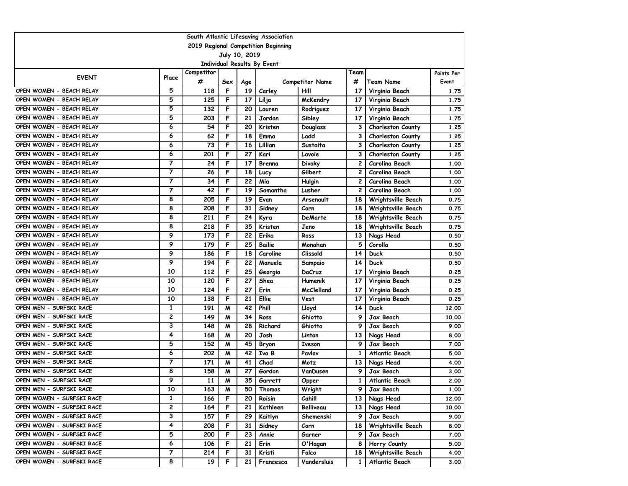|                                                      |       |            |     |                 | South Atlantic Lifesaving Association |                        |                 |                          |            |  |  |
|------------------------------------------------------|-------|------------|-----|-----------------|---------------------------------------|------------------------|-----------------|--------------------------|------------|--|--|
| 2019 Regional Competition Beginning<br>July 10, 2019 |       |            |     |                 |                                       |                        |                 |                          |            |  |  |
|                                                      |       |            |     |                 |                                       |                        |                 |                          |            |  |  |
|                                                      |       | Competitor |     |                 | <b>Individual Results By Event</b>    |                        | Team            |                          | Points Per |  |  |
| <b>EVENT</b>                                         | Place | #          | Sex | Age             |                                       | <b>Competitor Name</b> | #               | <b>Team Name</b>         | Event      |  |  |
| OPEN WOMEN - BEACH RELAY                             | 5     | 118        | F   | 19              | Carley                                | Hill                   | 17              | Virginia Beach           | 1.75       |  |  |
| OPEN WOMEN - BEACH RELAY                             | 5     | 125        | F   | 17              | Lilja                                 | McKendry               | 17              | Virginia Beach           | 1.75       |  |  |
| OPEN WOMEN - BEACH RELAY                             | 5     | 132        | F   | 20              | Lauren                                | Rodriguez              | 17              | Virginia Beach           | 1.75       |  |  |
| OPEN WOMEN - BEACH RELAY                             | 5     | 203        | F   | 21              | Jordan                                | Sibley                 | 17              | Virginia Beach           | 1.75       |  |  |
| OPEN WOMEN - BEACH RELAY                             | 6     | 54         | F   | 20              | Kristen                               | Douglass               | 3               | <b>Charleston County</b> | 1.25       |  |  |
| OPEN WOMEN - BEACH RELAY                             | 6     | 62         | F   | 18              | Emma                                  | Ladd                   | 3               | <b>Charleston County</b> | 1.25       |  |  |
| OPEN WOMEN - BEACH RELAY                             | 6     | 73         | F   | 16              | Lillian                               | Sustaita               | 3               | <b>Charleston County</b> | 1.25       |  |  |
| OPEN WOMEN - BEACH RELAY                             | 6     | 201        | F   | 27              | Kari                                  | Lavoie                 | 3               | <b>Charleston County</b> | 1.25       |  |  |
| OPEN WOMEN - BEACH RELAY                             | 7     | 24         | F   | 17              | Brenna                                | Divoky                 | 2               | Carolina Beach           | 1.00       |  |  |
| OPEN WOMEN - BEACH RELAY                             | 7     | 26         | F   | 18              | Lucy                                  | Gilbert                | 2               | Carolina Beach           | 1.00       |  |  |
| OPEN WOMEN - BEACH RELAY                             | 7     | 34         | F   | 22              | Mia                                   | Hulgin                 | 2               | Carolina Beach           | 1.00       |  |  |
| OPEN WOMEN - BEACH RELAY                             | 7     | 42         | F   | 19              | Samantha                              | Lusher                 | 2               | Carolina Beach           | 1.00       |  |  |
| OPEN WOMEN - BEACH RELAY                             | 8     | 205        | F   | 19              | Evan                                  | Arsenault              | 18              | Wrightsville Beach       | 0.75       |  |  |
| OPEN WOMEN - BEACH RELAY                             | 8     | 208        | F   | 31              | Sidney                                | Corn                   | 18              | Wrightsville Beach       | 0.75       |  |  |
| OPEN WOMEN - BEACH RELAY                             | 8     | 211        | F   | 24              | Kyra                                  | DeMarte                | 18              | Wrightsville Beach       | 0.75       |  |  |
| OPEN WOMEN - BEACH RELAY                             | 8     | 218        | F   | 35              | Kristen                               | Jeno                   | 18              | Wrightsville Beach       | 0.75       |  |  |
| OPEN WOMEN - BEACH RELAY                             | 9     | 173        | F   | 22              | Erika                                 | Ross                   | 13              | Nags Head                | 0.50       |  |  |
| OPEN WOMEN - BEACH RELAY                             | 9     | 179        | F   | 25              | Bailie                                | Monahan                | 5               | Corolla                  | 0.50       |  |  |
| OPEN WOMEN - BEACH RELAY                             | 9     | 186        | F   | 18              | Caroline                              | Clissold               | 14              | Duck                     | 0.50       |  |  |
| OPEN WOMEN - BEACH RELAY                             | 9     | 194        | F   | 22              | Manuela                               | Sampaio                | 14              | Duck                     | 0.50       |  |  |
| OPEN WOMEN - BEACH RELAY                             | 10    | 112        | F   | 25              | Georgia                               | DaCruz                 | 17              | Virginia Beach           | 0.25       |  |  |
| OPEN WOMEN - BEACH RELAY                             | 10    | 120        | F   | 27              | Shea                                  | Humenik                | 17              | Virginia Beach           | 0.25       |  |  |
| OPEN WOMEN - BEACH RELAY                             | 10    | 124        | F   | 27              | Erin                                  | McClelland             | 17              | Virginia Beach           | 0.25       |  |  |
| OPEN WOMEN - BEACH RELAY                             | 10    | 138        | F   | 21              | Ellie                                 | Vest                   | 17              | Virginia Beach           | 0.25       |  |  |
| OPEN MEN - SURFSKI RACE                              | 1     | 191        | M   | 42              | Phill                                 | Lloyd                  | 14              | Duck                     | 12.00      |  |  |
| OPEN MEN - SURFSKI RACE                              | 2     | 149        | M   | 34              | Ross                                  | Ghiotto                | 9               | Jax Beach                | 10.00      |  |  |
| OPEN MEN - SURFSKI RACE                              | 3     | 148        | M   | 28              | Richard                               | Ghiotto                | 9               | Jax Beach                | 9.00       |  |  |
| OPEN MEN - SURFSKI RACE                              | 4     | 168        | M   | 20              | Josh                                  | Linton                 | 13              | Nags Head                | 8.00       |  |  |
| OPEN MEN - SURFSKI RACE                              | 5     | 152        | M   | 45              | <b>Bryon</b>                          | <b>Iveson</b>          | 9               | Jax Beach                | 7.00       |  |  |
| OPEN MEN - SURFSKI RACE                              | 6     | 202        | M   | 42              | Ivo B                                 | Pavlov                 | 1               | Atlantic Beach           | 5.00       |  |  |
| OPEN MEN - SURFSKI RACE                              | 7     | 171        | M   | 41              | Chad                                  | Motz                   | 13              | Nags Head                | 4.00       |  |  |
| OPEN MEN - SURFSKI RACE                              | 8     | 158        | M   | 27              | Gordon                                | VanDusen               | 9               | Jax Beach                | 3.00       |  |  |
| OPEN MEN - SURFSKI RACE                              | 9     | 11         | M   | 35              | Garrett                               | Opper                  | 1               | Atlantic Beach           | 2.00       |  |  |
| OPEN MEN - SURFSKI RACE                              | 10    | 163        | M   | 50              | Thomas                                | Wright                 | 9               | Jax Beach                | 1.00       |  |  |
| OPEN WOMEN - SURFSKI RACE                            | 1     | 166        | F   | 20              | Roisin                                | Cahill                 | 13 <sup>1</sup> | Nags Head                | 12.00      |  |  |
| OPEN WOMEN - SURFSKI RACE                            | 2     | 164        | F   | 21              | Kathleen                              | Belliveau              | 13 I            | Nags Head                | 10.00      |  |  |
| OPEN WOMEN - SURFSKI RACE                            | 3     | 157        | F   | 29              | Kaitlyn                               | Shemenski              | 9 I             | Jax Beach                | 9.00       |  |  |
| OPEN WOMEN - SURFSKI RACE                            | 4     | 208        | F   | 31              | Sidney                                | Corn                   | 18 I            | Wrightsville Beach       | 8.00       |  |  |
| OPEN WOMEN - SURFSKI RACE                            | 5     | 200        | F   | $\overline{2}3$ | Annie                                 | Garner                 | 9.              | Jax Beach                | 7.00       |  |  |
| OPEN WOMEN - SURFSKI RACE                            | 6     | 106        | F   | 21              | Erin                                  | O'Hagan                | 8               | Horry County             | 5.00       |  |  |
| OPEN WOMEN - SURFSKI RACE                            | 7     | 214        | F   | 31              | Kristi                                | Falco                  | 18              | Wrightsville Beach       | 4.00       |  |  |
| OPEN WOMEN - SURFSKI RACE                            | 8     | 19         | F   | 21              | Francesca                             | Vandersluis            | 1               | Atlantic Beach           | 3.00       |  |  |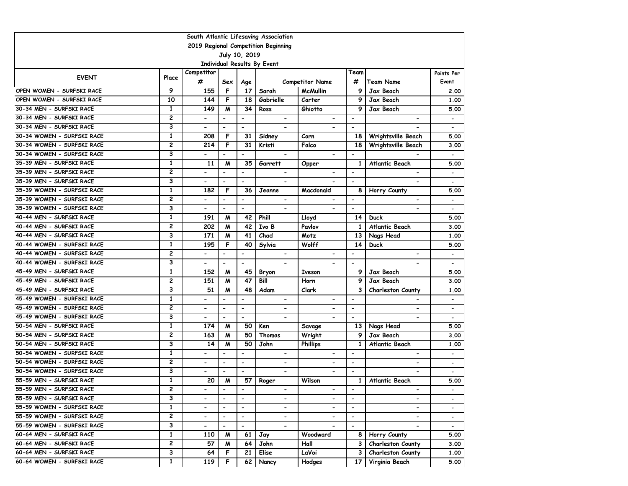|                            |                                     |                          |                          |                          | South Atlantic Lifesaving Association |                          |                          |                          |                          |  |  |  |
|----------------------------|-------------------------------------|--------------------------|--------------------------|--------------------------|---------------------------------------|--------------------------|--------------------------|--------------------------|--------------------------|--|--|--|
|                            | 2019 Regional Competition Beginning |                          |                          |                          |                                       |                          |                          |                          |                          |  |  |  |
|                            |                                     |                          |                          | July 10, 2019            |                                       |                          |                          |                          |                          |  |  |  |
|                            |                                     |                          |                          |                          | Individual Results By Event           |                          |                          |                          |                          |  |  |  |
| <b>EVENT</b>               | Place                               | Competitor               |                          |                          |                                       |                          | Team                     |                          | Points Per               |  |  |  |
|                            |                                     | #                        | Sex                      | Age                      |                                       | <b>Competitor Name</b>   | #                        | <b>Team Name</b>         | Event                    |  |  |  |
| OPEN WOMEN - SURFSKI RACE  | 9                                   | 155                      | F                        | 17                       | Sarah                                 | <b>McMullin</b>          | 9                        | Jax Beach                | 2.00                     |  |  |  |
| OPEN WOMEN - SURFSKI RACE  | 10                                  | 144                      | F                        | 18                       | Gabrielle                             | Carter                   | 9                        | Jax Beach                | 1,00                     |  |  |  |
| 30-34 MEN - SURFSKI RACE   | $\mathbf{1}$                        | 149                      | M                        | $\overline{34}$          | Ross                                  | Ghiotto                  | 9                        | Jax Beach                | 5.00                     |  |  |  |
| 30-34 MEN - SURFSKI RACE   | $\overline{c}$                      | $\overline{\phantom{a}}$ | $\overline{\phantom{a}}$ | $\overline{\phantom{a}}$ | $\overline{\phantom{a}}$              | $\overline{\phantom{a}}$ | $\overline{\phantom{a}}$ | $\overline{\phantom{a}}$ | $\overline{\phantom{a}}$ |  |  |  |
| 30-34 MEN - SURFSKI RACE   | 3                                   | -                        | $\blacksquare$           | $\blacksquare$           | $\overline{\phantom{0}}$              |                          | $\overline{\phantom{a}}$ |                          | $\overline{\phantom{a}}$ |  |  |  |
| 30-34 WOMEN - SURFSKI RACE | $\mathbf{1}$                        | 208                      | F                        | 31                       | Sidney                                | Corn                     | 18                       | Wrightsville Beach       | 5.00                     |  |  |  |
| 30-34 WOMEN - SURFSKI RACE | $\overline{c}$                      | 214                      | F                        | 31                       | Kristi                                | Falco                    | 18                       | Wrightsville Beach       | 3.00                     |  |  |  |
| 30-34 WOMEN - SURFSKI RACE | 3                                   | $\overline{\phantom{0}}$ | $\overline{\phantom{a}}$ | $\overline{\phantom{a}}$ | $\hbox{\small -}$                     | $\blacksquare$           | $\overline{\phantom{a}}$ |                          | $\overline{\phantom{a}}$ |  |  |  |
| 35-39 MEN - SURFSKI RACE   | $\mathbf{1}$                        | 11                       | M                        | 35                       | Garrett                               | Opper                    | 1                        | Atlantic Beach           | 5.00                     |  |  |  |
| 35-39 MEN - SURFSKI RACE   | $\overline{c}$                      |                          |                          | $\blacksquare$           | $\blacksquare$                        |                          |                          |                          | $\overline{\phantom{a}}$ |  |  |  |
| 35-39 MEN - SURFSKI RACE   | 3                                   |                          |                          | $\blacksquare$           |                                       |                          | $\blacksquare$           |                          | $\overline{\phantom{0}}$ |  |  |  |
| 35-39 WOMEN - SURFSKI RACE | $\mathbf{1}$                        | 182                      | F                        | 36                       | Jeanne                                | Macdonald                | 8                        | Horry County             | 5.00                     |  |  |  |
| 35-39 WOMEN - SURFSKI RACE | $\overline{2}$                      | $\blacksquare$           | $\blacksquare$           | $\blacksquare$           | $\blacksquare$                        | $\blacksquare$           | $\blacksquare$           | $\blacksquare$           | $\overline{\phantom{a}}$ |  |  |  |
| 35-39 WOMEN - SURFSKI RACE | 3                                   | $\overline{\phantom{0}}$ | $\blacksquare$           | $\overline{\phantom{a}}$ | $\overline{\phantom{0}}$              | $\blacksquare$           | $\overline{\phantom{a}}$ | $\overline{\phantom{a}}$ | $\overline{\phantom{a}}$ |  |  |  |
| 40-44 MEN - SURFSKI RACE   | $\mathbf{1}$                        | 191                      | M                        | 42                       | Phill                                 | Lloyd                    | 14                       | Duck                     | 5.00                     |  |  |  |
| 40-44 MEN - SURFSKI RACE   | $\overline{c}$                      | 202                      | M                        | 42                       | Ivo B                                 | Pavlov                   | 1                        | <b>Atlantic Beach</b>    | 3.00                     |  |  |  |
| 40-44 MEN - SURFSKI RACE   | 3                                   | 171                      | M                        | 41                       | Chad                                  | Motz                     | 13                       | Nags Head                | 1.00                     |  |  |  |
| 40-44 WOMEN - SURFSKI RACE | $\mathbf{1}$                        | 195                      | F                        | 40                       | Sylvia                                | Wolff                    | 14                       | Duck                     | 5.00                     |  |  |  |
| 40-44 WOMEN - SURFSKI RACE | $\overline{2}$                      | -                        | $\overline{\phantom{a}}$ | $\overline{\phantom{a}}$ | $\overline{\phantom{0}}$              | $\overline{\phantom{0}}$ | $\overline{\phantom{0}}$ | $\overline{\phantom{0}}$ | $\overline{\phantom{a}}$ |  |  |  |
| 40-44 WOMEN - SURFSKI RACE | 3                                   |                          |                          | $\overline{\phantom{a}}$ |                                       |                          |                          |                          | $\overline{\phantom{a}}$ |  |  |  |
| 45-49 MEN - SURFSKI RACE   | $\mathbf{1}$                        | 152                      | M                        | 45                       | <b>Bryon</b>                          | <b>Iveson</b>            | 9                        | Jax Beach                | 5.00                     |  |  |  |
| 45-49 MEN - SURFSKI RACE   | $\overline{c}$                      | 151                      | M                        | 47                       | Bill                                  | Horn                     | 9                        | Jax Beach                | 3.00                     |  |  |  |
| 45-49 MEN - SURFSKI RACE   | 3                                   | $\overline{51}$          | M                        | 48                       | Adam                                  | Clark                    | 3                        | Charleston County        | 1.00                     |  |  |  |
| 45-49 WOMEN - SURFSKI RACE | $\mathbf{1}$                        | $\overline{\phantom{a}}$ | $\overline{\phantom{a}}$ | $\overline{\phantom{a}}$ | $\overline{\phantom{a}}$              | $\hbox{\small -}$        | $\overline{\phantom{a}}$ | $\overline{\phantom{a}}$ | $\overline{\phantom{a}}$ |  |  |  |
| 45-49 WOMEN - SURFSKI RACE | $\overline{c}$                      | $\overline{\phantom{0}}$ | $\overline{\phantom{a}}$ | $\overline{\phantom{a}}$ | $\overline{\phantom{0}}$              | $\overline{\phantom{0}}$ | $\overline{\phantom{a}}$ |                          | $\overline{\phantom{a}}$ |  |  |  |
| 45-49 WOMEN - SURFSKI RACE | 3                                   | -                        | $\overline{\phantom{a}}$ | $\overline{\phantom{a}}$ | $\overline{\phantom{a}}$              | $\overline{\phantom{a}}$ | $\overline{\phantom{a}}$ | $\overline{\phantom{a}}$ | $\overline{\phantom{a}}$ |  |  |  |
| 50-54 MEN - SURFSKI RACE   | $\mathbf{1}$                        | 174                      | M                        | 50                       | Ken                                   | Savage                   | 13                       | Nags Head                | 5.00                     |  |  |  |
| 50-54 MEN - SURFSKI RACE   | $\overline{2}$                      | 163                      | M                        | 50                       | Thomas                                | Wright                   | 9                        | Jax Beach                | 3.00                     |  |  |  |
| 50-54 MEN - SURFSKI RACE   | 3                                   | 14                       | M                        | 50                       | John                                  | <b>Phillips</b>          | $\mathbf{1}$             | Atlantic Beach           | 1.00                     |  |  |  |
| 50-54 WOMEN - SURFSKI RACE | $\mathbf{1}$                        | $\overline{\phantom{0}}$ | $\blacksquare$           | $\overline{\phantom{0}}$ | $\overline{\phantom{0}}$              | $\overline{\phantom{0}}$ | $\blacksquare$           | $\blacksquare$           | $\overline{\phantom{a}}$ |  |  |  |
| 50-54 WOMEN - SURFSKI RACE | $\overline{c}$                      | -                        | $\blacksquare$           | $\overline{\phantom{a}}$ | $\overline{\phantom{0}}$              | $\overline{\phantom{a}}$ | $\overline{\phantom{a}}$ | $\overline{\phantom{0}}$ | $\overline{\phantom{a}}$ |  |  |  |
| 50-54 WOMEN - SURFSKI RACE | 3                                   |                          |                          | $\overline{\phantom{a}}$ |                                       |                          | $\overline{\phantom{a}}$ |                          |                          |  |  |  |
| 55-59 MEN - SURFSKI RACE   | $\mathbf{1}$                        | 20                       | M                        | 57                       | Roger                                 | Wilson                   | 1                        | Atlantic Beach           | 5.00                     |  |  |  |
| 55-59 MEN - SURFSKI RACE   | 2                                   | $\blacksquare$           | $\blacksquare$           | $\overline{\phantom{a}}$ | $\blacksquare$                        | $\hbox{\small -}$        | $\overline{\phantom{a}}$ | $\overline{\phantom{a}}$ | $\overline{\phantom{a}}$ |  |  |  |
| 55-59 MEN - SURFSKI RACE   | 3                                   |                          | $\overline{\phantom{a}}$ | $\hbox{\small -}$        | $\overline{\phantom{0}}$              | $\overline{\phantom{0}}$ | $\overline{\phantom{a}}$ | $\overline{\phantom{a}}$ | $\overline{\phantom{a}}$ |  |  |  |
| 55-59 WOMEN - SURFSKI RACE | $\mathbf{1}$                        | $\blacksquare$           | $\blacksquare$           | $\blacksquare$           | ۰.                                    | $\blacksquare$           | $\overline{\phantom{0}}$ | $\blacksquare$           | $\hbox{\small -}$        |  |  |  |
| 55-59 WOMEN - SURFSKI RACE | 2                                   | $\blacksquare$           | $\overline{\phantom{a}}$ | $\blacksquare$           | $\blacksquare$                        |                          | $\hbox{\small -}$        |                          | $\hbox{\small -}$        |  |  |  |
| 55-59 WOMEN - SURFSKI RACE | 3                                   | $\overline{\phantom{0}}$ | $\overline{\phantom{a}}$ | $\blacksquare$           | $\hbox{\small -}$                     | $\overline{\phantom{a}}$ | $\blacksquare$           | $\blacksquare$           | $\overline{\phantom{a}}$ |  |  |  |
| 60-64 MEN - SURFSKI RACE   | $\mathbf{1}$                        | 110                      | M                        | 61                       | Jay                                   | Woodward                 | 8                        | Horry County             | 5.00                     |  |  |  |
| 60-64 MEN - SURFSKI RACE   | 2                                   | 57                       | M                        | 64                       | John                                  | Hall                     | 3                        | <b>Charleston County</b> | 3.00                     |  |  |  |
| 60-64 MEN - SURFSKI RACE   | 3                                   | 64                       | F                        | 21                       | Elise                                 | LaVoi                    | 3                        | <b>Charleston County</b> | 1.00                     |  |  |  |
| 60-64 WOMEN - SURFSKI RACE | $\mathbf{1}$                        | 119                      | F.                       | 62                       | Nancy                                 | Hodges                   | 17                       | Virginia Beach           | 5.00                     |  |  |  |
|                            |                                     |                          |                          |                          |                                       |                          |                          |                          |                          |  |  |  |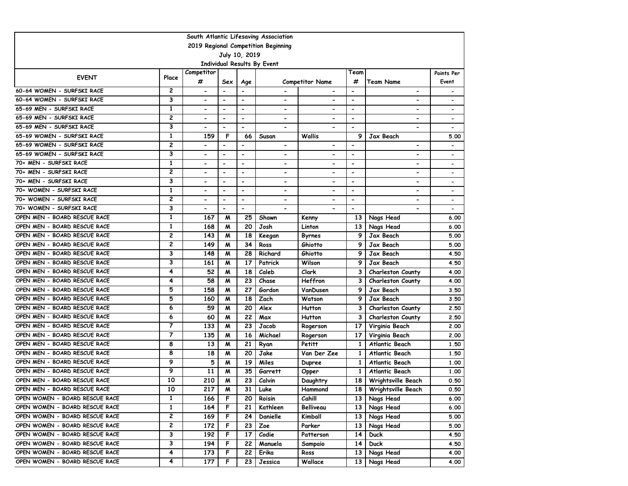|                                |                         |                              |                              |                          | South Atlantic Lifesaving Association |                              |                          |                          |                              |
|--------------------------------|-------------------------|------------------------------|------------------------------|--------------------------|---------------------------------------|------------------------------|--------------------------|--------------------------|------------------------------|
|                                |                         |                              |                              |                          | 2019 Regional Competition Beginning   |                              |                          |                          |                              |
|                                |                         |                              |                              | July 10, 2019            |                                       |                              |                          |                          |                              |
|                                |                         |                              |                              |                          | Individual Results By Event           |                              |                          |                          |                              |
| <b>EVENT</b>                   | Place                   | Competitor<br>#              | Sex                          | Age                      |                                       | <b>Competitor Name</b>       | Team<br>#                | Team Name                | Points Per<br>Event          |
| 60-64 WOMEN - SURFSKI RACE     | 2                       | $\qquad \qquad \blacksquare$ | $\blacksquare$               | $\overline{\phantom{a}}$ |                                       |                              | $\overline{\phantom{a}}$ | $\overline{\phantom{0}}$ |                              |
| 60-64 WOMEN - SURFSKI RACE     | 3                       | $\qquad \qquad \blacksquare$ | $\overline{\phantom{a}}$     | $\overline{\phantom{a}}$ | $\overline{\phantom{a}}$              | $\overline{\phantom{0}}$     | $\overline{\phantom{a}}$ | $\overline{\phantom{0}}$ |                              |
| 65-69 MEN - SURFSKI RACE       | $\mathbf{1}$            | $\overline{\phantom{0}}$     | $\overline{\phantom{a}}$     | $\blacksquare$           | $\overline{\phantom{a}}$              | $\overline{\phantom{0}}$     | $\overline{\phantom{a}}$ | -                        | $\qquad \qquad \blacksquare$ |
| 65-69 MEN - SURFSKI RACE       | 2                       | $\overline{\phantom{0}}$     | $\overline{\phantom{a}}$     | $\overline{\phantom{a}}$ | $\overline{\phantom{a}}$              | $\overline{\phantom{a}}$     | $\overline{\phantom{a}}$ | -                        | $\qquad \qquad \blacksquare$ |
| 65-69 MEN - SURFSKI RACE       | 3                       |                              | $\overline{\phantom{a}}$     | $\overline{\phantom{a}}$ | $\overline{\phantom{a}}$              | $\qquad \qquad \blacksquare$ | $\overline{\phantom{a}}$ | -                        | $\qquad \qquad \blacksquare$ |
| 65-69 WOMEN - SURFSKI RACE     | 1                       | 159                          | F                            | 66                       | Susan                                 | Wallis                       | 9                        | Jax Beach                | 5.00                         |
| 65-69 WOMEN - SURFSKI RACE     | 2                       |                              | $\overline{\phantom{a}}$     | $\overline{\phantom{a}}$ | $\overline{\phantom{a}}$              | $\overline{\phantom{0}}$     | $\overline{\phantom{a}}$ | -                        |                              |
| 65-69 WOMEN - SURFSKI RACE     | 3                       |                              | $\overline{\phantom{a}}$     | $\blacksquare$           | $\overline{\phantom{0}}$              | $\overline{\phantom{a}}$     | $\overline{\phantom{a}}$ | $\overline{\phantom{0}}$ | $\qquad \qquad \blacksquare$ |
| 70+ MEN - SURFSKI RACE         | 1                       |                              | $\blacksquare$               | $\overline{\phantom{a}}$ | $\blacksquare$                        | $\blacksquare$               | $\overline{\phantom{a}}$ | -                        | $\overline{\phantom{0}}$     |
| 70+ MEN - SURFSKI RACE         | 2                       |                              | $\qquad \qquad \blacksquare$ | $\overline{\phantom{a}}$ | $\qquad \qquad \blacksquare$          | $\overline{\phantom{0}}$     | $\overline{\phantom{a}}$ | -                        | $\qquad \qquad \blacksquare$ |
| 70+ MEN - SURFSKI RACE         | 3                       | $\blacksquare$               | $\blacksquare$               | $\blacksquare$           | $\overline{\phantom{0}}$              | $\overline{\phantom{0}}$     | $\overline{\phantom{a}}$ | -                        | $\overline{\phantom{0}}$     |
| 70+ WOMEN - SURFSKI RACE       | $\mathbf{1}$            | $\overline{\phantom{0}}$     | $\overline{\phantom{a}}$     | $\overline{\phantom{a}}$ | $\overline{\phantom{a}}$              | $\qquad \qquad \blacksquare$ | $\overline{\phantom{a}}$ | -                        |                              |
| 70+ WOMEN - SURFSKI RACE       | 2                       | $\overline{\phantom{0}}$     | $\blacksquare$               | $\overline{\phantom{a}}$ | $\overline{\phantom{a}}$              | $\qquad \qquad \blacksquare$ | $\overline{\phantom{a}}$ | -                        | $\qquad \qquad \blacksquare$ |
| 70+ WOMEN - SURFSKI RACE       | 3                       | $\overline{\phantom{0}}$     | $\overline{\phantom{a}}$     | $\overline{\phantom{a}}$ |                                       | $\blacksquare$               | $\overline{\phantom{a}}$ | -                        | $\qquad \qquad \blacksquare$ |
| OPEN MEN - BOARD RESCUE RACE   | 1                       | 167                          | м                            | 25                       | Shawn                                 | Kenny                        | 13                       | Nags Head                | 6.00                         |
| OPEN MEN - BOARD RESCUE RACE   | $\mathbf{1}$            | 168                          | м                            | 20                       | Josh                                  | Linton                       | 13                       | Nags Head                | 6.00                         |
| OPEN MEN - BOARD RESCUE RACE   | $\overline{c}$          | 143                          | M                            | 18                       | Keegan                                | Byrnes                       | 9                        | Jax Beach                | 5.00                         |
| OPEN MEN - BOARD RESCUE RACE   | $\overline{c}$          | 149                          | M                            | 34                       | Ross                                  | Ghiotto                      | 9                        | Jax Beach                | 5.00                         |
| OPEN MEN - BOARD RESCUE RACE   | 3                       | 148                          | M                            | 28                       | Richard                               | Ghiotto                      | 9                        | Jax Beach                | 4.50                         |
| OPEN MEN - BOARD RESCUE RACE   | 3                       | 161                          | М                            | 17                       | Patrick                               | Wilson                       | 9                        | Jax Beach                | 4.50                         |
| OPEN MEN - BOARD RESCUE RACE   | 4                       | 52                           | M                            | 18                       | Caleb                                 | Clark                        | 3                        | Charleston County        | 4.00                         |
| OPEN MEN - BOARD RESCUE RACE   | 4                       | 58                           | М                            | 23                       | Chase                                 | Heffron                      | 3                        | <b>Charleston County</b> | 4.00                         |
| OPEN MEN - BOARD RESCUE RACE   | 5                       | 158                          | M                            | 27                       | Gordon                                | VanDusen                     | 9                        | Jax Beach                | 3.50                         |
| OPEN MEN - BOARD RESCUE RACE   | 5                       | 160                          | M                            | 18                       | Zach                                  | Watson                       | 9                        | Jax Beach                | 3.50                         |
| OPEN MEN - BOARD RESCUE RACE   | 6                       | 59                           | М                            | 20                       | Alex                                  | <b>Hutton</b>                | 3                        | <b>Charleston County</b> | 2.50                         |
| OPEN MEN - BOARD RESCUE RACE   | 6                       | 60                           | М                            | 22                       | Max                                   | Hutton                       | 3                        | <b>Charleston County</b> | 2.50                         |
| OPEN MEN - BOARD RESCUE RACE   | $\overline{\mathbf{7}}$ | 133                          | M                            | 23                       | Jacob                                 | Rogerson                     | 17                       | Virginia Beach           | 2.00                         |
| OPEN MEN - BOARD RESCUE RACE   | 7                       | 135                          | M                            | 16                       | Michael                               | Rogerson                     | 17                       | Virginia Beach           | 2.00                         |
| OPEN MEN - BOARD RESCUE RACE   | 8                       | 13                           | M                            | 21                       | Ryan                                  | Petitt                       | 1                        | Atlantic Beach           | 1.50                         |
| OPEN MEN - BOARD RESCUE RACE   | 8                       | 18                           | M                            | 20                       | Jake                                  | Van Der Zee                  | 1                        | Atlantic Beach           | 1.50                         |
| OPEN MEN - BOARD RESCUE RACE   | 9                       | 5                            | M                            | 19                       | Miles                                 | Dupree                       | 1                        | Atlantic Beach           | 1.00                         |
| OPEN MEN - BOARD RESCUE RACE   | 9                       | 11                           | M                            | 35                       | Garrett                               | Opper                        | 1                        | Atlantic Beach           | 1.00                         |
| OPEN MEN - BOARD RESCUE RACE   | 10                      | 210                          | M                            | 23                       | Calvin                                | Daughtry                     | 18                       | Wrightsville Beach       | 0.50                         |
| OPEN MEN - BOARD RESCUE RACE   | 10                      | 217                          | M                            | 31                       | Luke                                  | Hammond                      |                          | 18   Wrightsville Beach  | 0.50                         |
| OPEN WOMEN - BOARD RESCUE RACE | $\mathbf{1}$            | 166                          | F                            | 20                       | Roisin                                | Cahill                       | 13 <sub>1</sub>          | Nags Head                | 6.00                         |
| OPEN WOMEN - BOARD RESCUE RACE | 1                       | 164                          | F                            | 21                       | Kathleen                              | Belliveau                    |                          | 13 Nags Head             | 6.00                         |
| OPEN WOMEN - BOARD RESCUE RACE | 2                       | 169                          | F                            | 24                       | Danielle                              | Kimball                      | 13 I                     | Nags Head                | 5.00                         |
| OPEN WOMEN - BOARD RESCUE RACE | 2                       | 172                          | F                            | 23                       | Zoe                                   | Parker                       | 13 I                     | Nags Head                | 5.00                         |
| OPEN WOMEN - BOARD RESCUE RACE | 3                       | 192                          | F                            | 17                       | Codie                                 | Patterson                    | 14 I                     | <b>Duck</b>              | 4.50                         |
| OPEN WOMEN - BOARD RESCUE RACE | 3                       | 194                          | F                            | 22                       | Manuela                               | Sampaio                      | 14 <sup>1</sup>          | <b>Duck</b>              | 4.50                         |
| OPEN WOMEN - BOARD RESCUE RACE | 4                       | 173                          | F                            | 22                       | Erika                                 | Ross                         | 13                       | Nags Head                | 4.00                         |
| OPEN WOMEN - BOARD RESCUE RACE | 4                       | 177                          | F                            | 23                       | Jessica                               | Wallace                      | 13 I                     | Nags Head                | 4.00                         |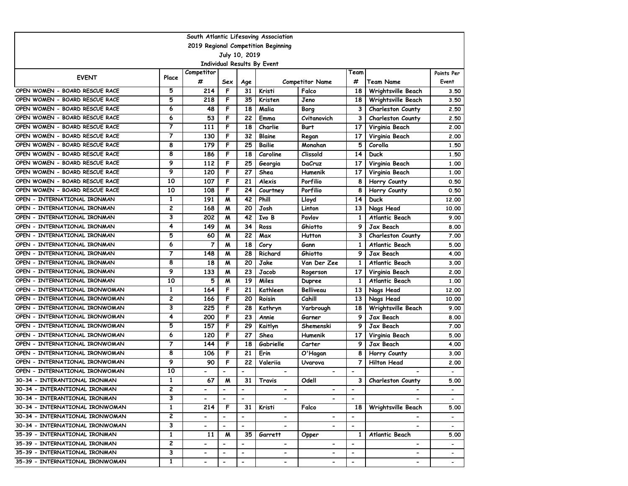|                                 |                         |                          |                          |                          | South Atlantic Lifesaving Association |                              |                          |                          |                          |
|---------------------------------|-------------------------|--------------------------|--------------------------|--------------------------|---------------------------------------|------------------------------|--------------------------|--------------------------|--------------------------|
|                                 |                         |                          |                          |                          | 2019 Regional Competition Beginning   |                              |                          |                          |                          |
|                                 |                         |                          |                          | July 10, 2019            |                                       |                              |                          |                          |                          |
|                                 |                         |                          |                          |                          | Individual Results By Event           |                              |                          |                          |                          |
| <b>EVENT</b>                    | Place                   | Competitor<br>#          | Sex                      | Age                      |                                       | <b>Competitor Name</b>       | Team<br>#                | <b>Team Name</b>         | Points Per<br>Event      |
| OPEN WOMEN - BOARD RESCUE RACE  | 5                       | 214                      | F                        | 31                       | Kristi                                | Falco                        | 18                       | Wrightsville Beach       | 3.50                     |
| OPEN WOMEN - BOARD RESCUE RACE  | 5                       | 218                      | F                        | 35                       | Kristen                               | Jeno                         | 18                       | Wrightsville Beach       | 3.50                     |
| OPEN WOMEN - BOARD RESCUE RACE  | 6                       | 48                       | F                        | 18                       | Malia                                 | Borg                         | 3                        | <b>Charleston County</b> | 2.50                     |
| OPEN WOMEN - BOARD RESCUE RACE  | 6                       | 53                       | F                        | 22                       | Emma                                  | Cvitanovich                  | 3                        | <b>Charleston County</b> | 2.50                     |
| OPEN WOMEN - BOARD RESCUE RACE  | $\overline{7}$          | 111                      | F                        | 18                       | Charlie                               | <b>Burt</b>                  | 17                       | Virginia Beach           | 2.00                     |
| OPEN WOMEN - BOARD RESCUE RACE  | $\overline{7}$          | 130                      | F                        | 32                       | Blaine                                | Regan                        | 17                       | Virginia Beach           | 2.00                     |
| OPEN WOMEN - BOARD RESCUE RACE  | 8                       | 179                      | F                        | 25                       | <b>Bailie</b>                         | Monahan                      | 5                        | Corolla                  | 1.50                     |
| OPEN WOMEN - BOARD RESCUE RACE  | 8                       | 186                      | F                        | 18                       | Caroline                              | Clissold                     | 14                       | <b>Duck</b>              | 1.50                     |
| OPEN WOMEN - BOARD RESCUE RACE  | 9                       | 112                      | F                        | 25                       | Georgia                               | DaCruz                       | 17                       | Virginia Beach           | 1.00                     |
| OPEN WOMEN - BOARD RESCUE RACE  | 9                       | 120                      | F                        | 27                       | Shea                                  | Humenik                      | 17                       | Virginia Beach           | 1,00                     |
| OPEN WOMEN - BOARD RESCUE RACE  | 10                      | 107                      | F                        | 21                       | Alexis                                | Porfilio                     | 8                        | Horry County             | 0.50                     |
| OPEN WOMEN - BOARD RESCUE RACE  | 10                      | 108                      | F                        | 24                       | Courtney                              | Porfilio                     | 8                        | Horry County             | 0.50                     |
| OPEN - INTERNATIONAL IRONMAN    | $\mathbf{1}$            | 191                      | M                        | 42                       | Phill                                 | Lloyd                        | 14                       | Duck                     | 12,00                    |
| OPEN – INTERNATIONAL IRONMAN    | 2                       | 168                      | M                        | 20                       | Josh                                  | Linton                       | 13                       | Nags Head                | 10.00                    |
| OPEN - INTERNATIONAL IRONMAN    | 3                       | 202                      | M                        | 42                       | Ivo B                                 | Pavlov                       | 1                        | Atlantic Beach           | 9.00                     |
| OPEN - INTERNATIONAL IRONMAN    | 4                       | 149                      | M                        | 34                       | Ross                                  | Ghiotto                      | 9                        | Jax Beach                | 8.00                     |
| OPEN - INTERNATIONAL IRONMAN    | 5                       | 60                       | M                        | 22                       | Max                                   | Hutton                       | 3                        | <b>Charleston County</b> | 7.00                     |
| OPEN - INTERNATIONAL IRONMAN    | 6                       | 7                        | M                        | 18                       | Cory                                  | Gann                         | 1                        | Atlantic Beach           | 5.00                     |
| OPEN - INTERNATIONAL IRONMAN    | 7                       | 148                      | M                        | 28                       | Richard                               | Ghiotto                      | 9                        | Jax Beach                | 4.00                     |
| OPEN - INTERNATIONAL IRONMAN    | 8                       | 18                       | M                        | 20                       | Jake                                  | Van Der Zee                  | 1                        | Atlantic Beach           | 3.00                     |
| OPEN - INTERNATIONAL IRONMAN    | 9                       | 133                      | M                        | 23                       | Jacob                                 | Rogerson                     | 17                       | Virginia Beach           | 2.00                     |
| OPEN - INTERNATIONAL IRONMAN    | 10                      | 5                        | M                        | 19                       | Miles                                 | Dupree                       | 1                        | Atlantic Beach           | 1,00                     |
| OPEN - INTERNATIONAL IRONWOMAN  | 1                       | 164                      | F                        | 21                       | Kathleen                              | <b>Belliveau</b>             | 13                       | Nags Head                | 12,00                    |
| OPEN – INTERNATIONAL IRONWOMAN  | 2                       | 166                      | F                        | 20                       | Roisin                                | Cahill                       | 13                       | Nags Head                | 10.00                    |
| OPEN - INTERNATIONAL IRONWOMAN  | 3                       | 225                      | F                        | 28                       | Kathryn                               | Yarbrough                    | 18                       | Wrightsville Beach       | 9.00                     |
| OPEN - INTERNATIONAL IRONWOMAN  | 4                       | 200                      | F                        | 23                       | Annie                                 | Garner                       | 9                        | Jax Beach                | 8.00                     |
| OPEN - INTERNATIONAL IRONWOMAN  | 5                       | 157                      | F                        | 29                       | Kaitlyn                               | Shemenski                    | 9                        | Jax Beach                | 7.00                     |
| OPEN - INTERNATIONAL IRONWOMAN  | 6                       | 120                      | F                        | 27                       | Shea                                  | Humenik                      | 17                       | Virginia Beach           | 5.00                     |
| OPEN - INTERNATIONAL IRONWOMAN  | 7                       | 144                      | F                        | 18                       | Gabrielle                             | Carter                       | 9                        | Jax Beach                | 4.00                     |
| OPEN - INTERNATIONAL IRONWOMAN  | 8                       | 106                      | F                        | 21                       | Erin                                  | O'Hagan                      | 8                        | Horry County             | 3.00                     |
| OPEN - INTERNATIONAL IRONWOMAN  | 9                       | 90                       | F                        | 22                       | Valeriia                              | Uvarova                      | 7                        | Hilton Head              | 2.00                     |
| OPEN - INTERNATIONAL IRONWOMAN  | 10                      |                          |                          | $\overline{\phantom{a}}$ | $\overline{\phantom{0}}$              | $\qquad \qquad \blacksquare$ | $\overline{\phantom{a}}$ |                          |                          |
| 30-34 - INTERANTIONAL IRONMAN   | $\mathbf{1}$            | 67                       | M                        | 31                       | Travis                                | Odell                        | 3                        | <b>Charleston County</b> | 5.00                     |
| 30-34 - INTERANTIONAL IRONMAN   | 2                       | $\blacksquare$           | $\overline{\phantom{a}}$ | $\overline{\phantom{a}}$ | ۰.                                    | $\blacksquare$               | $\blacksquare$           | ۰.                       | $\blacksquare$           |
| 30-34 - INTERANTIONAL IRONMAN   | 3                       |                          | $\blacksquare$           | $\hbox{\small -}$        | $\overline{\phantom{a}}$              |                              | $\overline{\phantom{a}}$ |                          | $\overline{\phantom{a}}$ |
| 30-34 - INTERNATIONAL IRONWOMAN | $\mathbf{1}$            | 214                      | F                        | 31                       | Kristi                                | Falco                        | 18                       | Wrightsville Beach       | 5.00                     |
| 30-34 - INTERNATIONAL IRONWOMAN | $\overline{\mathbf{c}}$ | $\overline{\phantom{a}}$ | $\hbox{\small -}$        | $\overline{\phantom{a}}$ | $\overline{\phantom{a}}$              | $\qquad \qquad \blacksquare$ | $\overline{\phantom{a}}$ | -                        | $\overline{\phantom{a}}$ |
| 30-34 - INTERNATIONAL IRONWOMAN | 3                       | $\overline{\phantom{0}}$ | $\overline{\phantom{a}}$ | $\overline{\phantom{a}}$ | $\blacksquare$                        | $\overline{\phantom{0}}$     | $\overline{\phantom{a}}$ | $\overline{\phantom{0}}$ | $\overline{\phantom{a}}$ |
| 35-39 - INTERNATIONAL IRONMAN   | 1                       | 11                       | M                        | 35                       | Garrett                               | Opper                        | 1                        | Atlantic Beach           | 5.00                     |
| 35-39 - INTERNATIONAL IRONMAN   | 2                       |                          |                          |                          |                                       |                              |                          |                          |                          |
| 35-39 - INTERNATIONAL IRONMAN   | 3                       | $\overline{\phantom{0}}$ |                          | $\overline{\phantom{a}}$ | $\overline{\phantom{0}}$              | $\overline{\phantom{0}}$     | $\overline{\phantom{a}}$ | $\overline{\phantom{0}}$ |                          |
| 35-39 - INTERNATIONAL IRONWOMAN | $\mathbf{1}$            | $\overline{\phantom{0}}$ | $\overline{\phantom{a}}$ | $\blacksquare$           | $\overline{\phantom{0}}$              | $\overline{\phantom{0}}$     | $\overline{\phantom{a}}$ | $\overline{\phantom{0}}$ | $\overline{\phantom{a}}$ |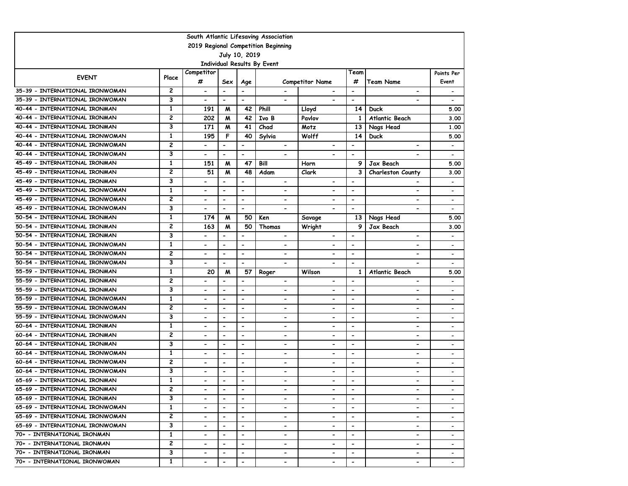|                                 |                |                              |                          |                              | South Atlantic Lifesaving Association |                          |                          |                          |                              |
|---------------------------------|----------------|------------------------------|--------------------------|------------------------------|---------------------------------------|--------------------------|--------------------------|--------------------------|------------------------------|
|                                 |                |                              |                          |                              | 2019 Regional Competition Beginning   |                          |                          |                          |                              |
|                                 |                |                              |                          | July 10, 2019                |                                       |                          |                          |                          |                              |
|                                 |                |                              |                          |                              | Individual Results By Event           |                          |                          |                          |                              |
| <b>EVENT</b>                    | Place          | Competitor<br>#              | Sex                      | Age                          |                                       | <b>Competitor Name</b>   | Team<br>#                | Team Name                | Points Per<br>Event          |
| 35-39 - INTERNATIONAL IRONWOMAN | 2              | $\overline{\phantom{a}}$     | $\blacksquare$           | $\blacksquare$               |                                       |                          | $\blacksquare$           | $\overline{\phantom{0}}$ |                              |
| 35-39 - INTERNATIONAL IRONWOMAN | 3              | $\blacksquare$               | $\overline{\phantom{a}}$ | $\blacksquare$               | $\overline{\phantom{0}}$              | $\overline{\phantom{0}}$ | $\blacksquare$           |                          |                              |
| 40-44 - INTERNATIONAL IRONMAN   | $\mathbf{1}$   | 191                          | M                        | 42                           | Phill                                 | Lloyd                    | 14                       | <b>Duck</b>              | 5.00                         |
| 40-44 - INTERNATIONAL IRONMAN   | 2              | 202                          | м                        | 42                           | Ivo B                                 | Pavlov                   | $\mathbf{1}$             | Atlantic Beach           | 3.00                         |
| 40-44 - INTERNATIONAL IRONMAN   | 3              | 171                          | M                        | 41                           | Chad                                  | Motz                     | 13                       | Nags Head                | 1,00                         |
| 40-44 - INTERNATIONAL IRONWOMAN | 1              | 195                          | F                        | 40                           | Sylvia                                | Wolff                    | 14                       | <b>Duck</b>              | 5.00                         |
| 40-44 - INTERNATIONAL IRONWOMAN | $\overline{c}$ |                              |                          | $\blacksquare$               | $\overline{\phantom{a}}$              | $\overline{\phantom{0}}$ | Ĭ.                       |                          | $\overline{\phantom{0}}$     |
| 40-44 - INTERNATIONAL IRONWOMAN | 3              | $\blacksquare$               | $\overline{\phantom{a}}$ | $\overline{\phantom{a}}$     | $\overline{\phantom{a}}$              | $\overline{\phantom{0}}$ | $\overline{\phantom{a}}$ | $\blacksquare$           | $\qquad \qquad \blacksquare$ |
| 45-49 - INTERNATIONAL IRONMAN   | $\mathbf{1}$   | 151                          | M                        | 47                           | Bill                                  | Horn                     | 9                        | Jax Beach                | 5.00                         |
| 45-49 - INTERNATIONAL IRONMAN   | $\overline{c}$ | 51                           | м                        | 48                           | Adam                                  | Clark                    | 3                        | <b>Charleston County</b> | 3.00                         |
| 45-49 - INTERNATIONAL IRONMAN   | 3              |                              | $\overline{\phantom{a}}$ | $\overline{\phantom{a}}$     | -                                     | -                        | $\overline{\phantom{a}}$ |                          |                              |
| 45-49 - INTERNATIONAL IRONWOMAN | $\mathbf{1}$   |                              | $\blacksquare$           | $\overline{\phantom{a}}$     | $\overline{\phantom{0}}$              | $\overline{\phantom{0}}$ | $\overline{\phantom{a}}$ | $\blacksquare$           | $\overline{\phantom{0}}$     |
| 45-49 - INTERNATIONAL IRONWOMAN | 2              | $\overline{\phantom{a}}$     | $\overline{\phantom{a}}$ | $\overline{\phantom{a}}$     | -                                     | -                        | $\hbox{\small -}$        | $\overline{\phantom{0}}$ | $\qquad \qquad \blacksquare$ |
| 45-49 - INTERNATIONAL IRONWOMAN | 3              | $\overline{\phantom{0}}$     | $\blacksquare$           | $\blacksquare$               | $\blacksquare$                        | $\overline{\phantom{0}}$ | $\overline{\phantom{a}}$ | $\overline{\phantom{0}}$ | $\overline{\phantom{0}}$     |
| 50-54 - INTERNATIONAL IRONMAN   | $\mathbf{1}$   | 174                          | м                        | 50                           | Ken                                   | Savage                   | 13                       | Nags Head                | 5.00                         |
| 50-54 - INTERNATIONAL IRONMAN   | 2              | 163                          | M                        | 50                           | Thomas                                | Wright                   | 9                        | Jax Beach                | 3.00                         |
| 50-54 - INTERNATIONAL IRONMAN   | 3              |                              |                          | $\blacksquare$               | $\blacksquare$                        | $\overline{\phantom{0}}$ | $\overline{\phantom{a}}$ | $\overline{\phantom{0}}$ |                              |
| 50-54 - INTERNATIONAL IRONWOMAN | $\mathbf{1}$   | $\overline{\phantom{a}}$     | $\overline{\phantom{a}}$ | $\overline{\phantom{a}}$     | $\overline{\phantom{a}}$              | -                        | $\overline{\phantom{a}}$ | $\overline{\phantom{0}}$ | $\qquad \qquad \blacksquare$ |
| 50-54 - INTERNATIONAL IRONWOMAN | $\overline{c}$ | $\blacksquare$               | $\blacksquare$           | $\overline{\phantom{a}}$     | $\overline{\phantom{a}}$              | $\overline{\phantom{0}}$ | $\overline{\phantom{a}}$ | -                        | $\overline{\phantom{0}}$     |
| 50-54 - INTERNATIONAL IRONWOMAN | 3              |                              | $\blacksquare$           | $\overline{\phantom{a}}$     | $\overline{\phantom{0}}$              |                          | $\overline{\phantom{a}}$ |                          | $\overline{\phantom{0}}$     |
| 55-59 - INTERNATIONAL IRONMAN   | 1              | 20                           | M                        | 57                           | Roger                                 | Wilson                   | 1                        | Atlantic Beach           | 5.00                         |
| 55-59 - INTERNATIONAL IRONMAN   | $\overline{c}$ |                              |                          | $\overline{\phantom{a}}$     | $\overline{\phantom{0}}$              | $\overline{\phantom{0}}$ | $\overline{\phantom{a}}$ | $\blacksquare$           |                              |
| 55-59 - INTERNATIONAL IRONMAN   | 3              | $\overline{\phantom{0}}$     | $\overline{\phantom{a}}$ | $\overline{\phantom{a}}$     | -                                     | -                        | $\overline{\phantom{a}}$ | $\overline{\phantom{0}}$ | $\qquad \qquad \blacksquare$ |
| 55-59 - INTERNATIONAL IRONWOMAN | 1              | $\overline{\phantom{0}}$     | $\blacksquare$           | $\blacksquare$               | $\overline{\phantom{0}}$              | $\overline{\phantom{0}}$ | $\overline{\phantom{a}}$ | -                        | $\overline{\phantom{0}}$     |
| 55-59 - INTERNATIONAL IRONWOMAN | $\overline{c}$ | $\overline{\phantom{0}}$     | $\overline{\phantom{a}}$ | $\overline{\phantom{a}}$     | $\overline{\phantom{a}}$              | -                        | $\overline{\phantom{a}}$ | $\overline{\phantom{0}}$ | $\qquad \qquad \blacksquare$ |
| 55-59 - INTERNATIONAL IRONWOMAN | 3              | -                            | $\overline{\phantom{a}}$ | $\overline{\phantom{a}}$     | $\overline{\phantom{a}}$              | -                        | $\overline{\phantom{a}}$ | ۰                        | $\qquad \qquad \blacksquare$ |
| 60-64 - INTERNATIONAL IRONMAN   | $\mathbf{1}$   |                              | $\blacksquare$           | $\blacksquare$               | -                                     | $\overline{\phantom{0}}$ | $\blacksquare$           | $\overline{\phantom{0}}$ | $\overline{\phantom{0}}$     |
| 60-64 - INTERNATIONAL IRONMAN   | 2              | $\overline{\phantom{0}}$     | $\overline{\phantom{a}}$ | $\overline{\phantom{a}}$     | $\overline{\phantom{0}}$              | $\overline{\phantom{0}}$ | $\overline{\phantom{a}}$ | $\overline{\phantom{0}}$ | $\overline{\phantom{0}}$     |
| 60-64 - INTERNATIONAL IRONMAN   | 3              | $\overline{\phantom{0}}$     | $\overline{\phantom{a}}$ | $\overline{\phantom{a}}$     | $\overline{\phantom{a}}$              | -                        | $\overline{\phantom{0}}$ | -                        | $\overline{\phantom{0}}$     |
| 60-64 - INTERNATIONAL IRONWOMAN | $\mathbf{1}$   | $\overline{\phantom{0}}$     | $\blacksquare$           | $\overline{\phantom{a}}$     | $\overline{\phantom{0}}$              | $\overline{\phantom{0}}$ | $\overline{\phantom{a}}$ | $\overline{\phantom{0}}$ | $\overline{\phantom{0}}$     |
| 60-64 - INTERNATIONAL IRONWOMAN | $\overline{c}$ | $\blacksquare$               | $\overline{\phantom{a}}$ | $\overline{\phantom{a}}$     | -                                     | -                        | $\overline{\phantom{a}}$ | -                        | $\qquad \qquad \blacksquare$ |
| 60-64 - INTERNATIONAL IRONWOMAN | 3              | $\overline{\phantom{0}}$     | $\blacksquare$           | $\blacksquare$               | $\overline{\phantom{0}}$              | $\overline{\phantom{0}}$ | $\blacksquare$           | $\blacksquare$           |                              |
| 65-69 - INTERNATIONAL IRONMAN   | $\mathbf{1}$   | $\overline{\phantom{0}}$     | $\blacksquare$           | $\blacksquare$               | -                                     | -                        | $\overline{\phantom{a}}$ | $\overline{\phantom{0}}$ |                              |
| 65-69 - INTERNATIONAL IRONMAN   | 2              | $\qquad \qquad \blacksquare$ | $\overline{\phantom{a}}$ | $\overline{\phantom{a}}$     | $\overline{\phantom{a}}$              | $\hbox{\small -}$        | $\overline{\phantom{a}}$ | -                        |                              |
| 65-69 - INTERNATIONAL IRONMAN   | 3              |                              | $\blacksquare$           | $\blacksquare$               | $\blacksquare$                        | $\blacksquare$           | $\overline{\phantom{a}}$ | $\overline{\phantom{0}}$ | $\overline{\phantom{0}}$     |
| 65-69 - INTERNATIONAL IRONWOMAN | 1              | -                            | $\blacksquare$           | $\overline{\phantom{0}}$     | $\blacksquare$                        | $\blacksquare$           | $\overline{\phantom{a}}$ | $\blacksquare$           |                              |
| 65-69 - INTERNATIONAL IRONWOMAN | 2              |                              | $\overline{\phantom{a}}$ |                              | $\overline{\phantom{a}}$              | -                        | $\hbox{\small -}$        | $\overline{\phantom{0}}$ |                              |
| 65-69 - INTERNATIONAL IRONWOMAN | 3              |                              | $\overline{\phantom{a}}$ | $\overline{\phantom{a}}$     | $\overline{\phantom{a}}$              | $\overline{\phantom{a}}$ | $\overline{\phantom{a}}$ | $\overline{\phantom{a}}$ |                              |
| 70+ - INTERNATIONAL IRONMAN     | $\mathbf{1}$   | $\overline{\phantom{0}}$     | $\overline{\phantom{a}}$ | $\overline{\phantom{0}}$     | $\overline{\phantom{a}}$              | $\overline{\phantom{a}}$ | $\overline{\phantom{a}}$ | $\overline{\phantom{0}}$ |                              |
| 70+ - INTERNATIONAL IRONMAN     | 2              |                              |                          | $\overline{\phantom{a}}$     | $\overline{\phantom{0}}$              | $\overline{\phantom{0}}$ | $\overline{\phantom{a}}$ | $\overline{\phantom{0}}$ |                              |
| 70+ - INTERNATIONAL IRONMAN     | 3              |                              |                          | $\overline{\phantom{a}}$     |                                       |                          | $\overline{\phantom{a}}$ |                          |                              |
| 70+ - INTERNATIONAL IRONWOMAN   | $\mathbf{1}$   |                              |                          | $\qquad \qquad \blacksquare$ |                                       |                          | $\overline{\phantom{a}}$ |                          |                              |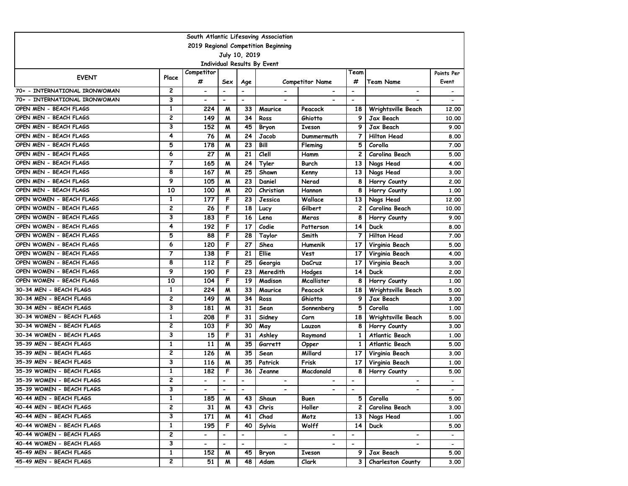|                               |                |                          |                          |                          | South Atlantic Lifesaving Association |                          |                          |                          |                          |
|-------------------------------|----------------|--------------------------|--------------------------|--------------------------|---------------------------------------|--------------------------|--------------------------|--------------------------|--------------------------|
|                               |                |                          |                          |                          | 2019 Regional Competition Beginning   |                          |                          |                          |                          |
|                               |                |                          |                          | July 10, 2019            |                                       |                          |                          |                          |                          |
|                               |                | Competitor               |                          |                          | Individual Results By Event           |                          | Team                     |                          |                          |
| <b>EVENT</b>                  | Place          | #                        | Sex                      | Age                      |                                       | <b>Competitor Name</b>   | #                        | <b>Team Name</b>         | Points Per<br>Event      |
| 70+ - INTERNATIONAL IRONWOMAN | 2              | $\blacksquare$           | $\overline{\phantom{a}}$ | $\blacksquare$           |                                       |                          | $\blacksquare$           | $\overline{\phantom{a}}$ |                          |
| 70+ - INTERNATIONAL IRONWOMAN | 3              | $\overline{\phantom{0}}$ | $\blacksquare$           | $\overline{\phantom{a}}$ | $\overline{\phantom{0}}$              | $\overline{\phantom{0}}$ | $\overline{\phantom{a}}$ |                          |                          |
| OPEN MEN - BEACH FLAGS        | 1              | 224                      | M                        | 33                       | Maurice                               | Peacock                  | 18                       | Wrightsville Beach       | 12,00                    |
| OPEN MEN - BEACH FLAGS        | 2              | 149                      | м                        | 34                       | Ross                                  | Ghiotto                  | 9                        | Jax Beach                | 10.00                    |
| OPEN MEN - BEACH FLAGS        | 3              | 152                      | м                        | 45                       | Bryon                                 | <b>Iveson</b>            | 9                        | Jax Beach                | 9.00                     |
| OPEN MEN - BEACH FLAGS        | 4              | 76                       | м                        | 24                       | Jacob                                 | Dummermuth               | 7                        | <b>Hilton Head</b>       | 8.00                     |
| OPEN MEN - BEACH FLAGS        | 5              | 178                      | м                        | 23                       | Bill                                  | Fleming                  | 5                        | Corolla                  | 7.00                     |
| OPEN MEN - BEACH FLAGS        | 6              | 27                       | M                        | 21                       | Clell                                 | Hamm                     | $\mathbf{2}$             | Carolina Beach           | 5.00                     |
| OPEN MEN - BEACH FLAGS        | $\overline{7}$ | 165                      | M                        | 24                       | Tyler                                 | Burch                    | 13                       | Nags Head                | 4.00                     |
| OPEN MEN - BEACH FLAGS        | 8              | 167                      | м                        | 25                       | Shawn                                 | Kenny                    | 13                       | Nags Head                | 3.00                     |
| OPEN MEN - BEACH FLAGS        | 9              | 105                      | M                        | 23                       | Daniel                                | Nerad                    | 8                        | Horry County             | 2.00                     |
| OPEN MEN - BEACH FLAGS        | 10             | 100                      | M                        | 20                       | Christian                             | Hannon                   | 8                        | Horry County             | 1.00                     |
| OPEN WOMEN - BEACH FLAGS      | 1              | 177                      | F                        | 23                       | Jessica                               | Wallace                  | 13                       | Nags Head                | 12,00                    |
| OPEN WOMEN - BEACH FLAGS      | 2              | 26                       | F                        | 18                       | Lucy                                  | Gilbert                  | $\mathbf{2}$             | Carolina Beach           | 10.00                    |
| OPEN WOMEN - BEACH FLAGS      | 3              | 183                      | F                        | 16                       | Lena                                  | Meras                    | 8                        | Horry County             | 9.00                     |
| OPEN WOMEN - BEACH FLAGS      | 4              | 192                      | F                        | 17                       | Codie                                 | Patterson                | 14                       | <b>Duck</b>              | 8.00                     |
| OPEN WOMEN - BEACH FLAGS      | 5              | 88                       | F                        | 28                       | Taylor                                | Smith                    | $\overline{7}$           | <b>Hilton Head</b>       | 7.00                     |
| OPEN WOMEN - BEACH FLAGS      | 6              | 120                      | F                        | 27                       | Shea                                  | Humenik                  | 17                       | Virginia Beach           | 5.00                     |
| OPEN WOMEN - BEACH FLAGS      | 7              | 138                      | F                        | 21                       | Ellie                                 | Vest                     | 17                       | Virginia Beach           | 4.00                     |
| OPEN WOMEN - BEACH FLAGS      | 8              | 112                      | F                        | 25                       | Georgia                               | DaCruz                   | 17                       | Virginia Beach           | 3.00                     |
| OPEN WOMEN - BEACH FLAGS      | 9              | 190                      | F                        | 23                       | Meredith                              | Hodges                   | 14                       | <b>Duck</b>              | 2.00                     |
| OPEN WOMEN - BEACH FLAGS      | 10             | 104                      | F                        | 19                       | Madison                               | Mcallister               | 8                        | Horry County             | 1.00                     |
| 30-34 MEN - BEACH FLAGS       | 1              | 224                      | м                        | 33                       | Maurice                               | Peacock                  | 18                       | Wrightsville Beach       | 5.00                     |
| 30-34 MEN - BEACH FLAGS       | 2              | 149                      | м                        | 34                       | Ross                                  | Ghiotto                  | 9                        | Jax Beach                | 3.00                     |
| 30-34 MEN - BEACH FLAGS       | 3              | 181                      | м                        | 31                       | Sean                                  | Sonnenberg               | 5                        | Corolla                  | 1.00                     |
| 30-34 WOMEN - BEACH FLAGS     | 1              | 208                      | F                        | 31                       | Sidney                                | Corn                     | 18                       | Wrightsville Beach       | 5.00                     |
| 30-34 WOMEN - BEACH FLAGS     | $\overline{c}$ | 103                      | F                        | 30                       | May                                   | Lauzon                   | 8                        | Horry County             | 3.00                     |
| 30-34 WOMEN - BEACH FLAGS     | 3              | 15                       | F                        | 31                       | Ashley                                | Raymond                  | 1                        | Atlantic Beach           | 1.00                     |
| 35-39 MEN - BEACH FLAGS       | 1              | 11                       | M                        | 35                       | Garrett                               | Opper                    | 1                        | <b>Atlantic Beach</b>    | 5.00                     |
| 35-39 MEN - BEACH FLAGS       | 2              | 126                      | м                        | 35                       | Sean                                  | Millard                  | 17                       | Virginia Beach           | 3.00                     |
| 35-39 MEN - BEACH FLAGS       | 3              | 116                      | M                        | 35                       | Patrick                               | Frisk                    | 17                       | Virginia Beach           | 1.00                     |
| 35-39 WOMEN - BEACH FLAGS     | $\mathbf{1}$   | 182                      | F                        | 36                       | Jeanne                                | Macdonald                | 8                        | Horry County             | 5.00                     |
| 35-39 WOMEN - BEACH FLAGS     | 2              | $\overline{\phantom{a}}$ | $\blacksquare$           | $\blacksquare$           | $\overline{\phantom{0}}$              | $\blacksquare$           | $\blacksquare$           | $\overline{\phantom{0}}$ |                          |
| 35-39 WOMEN - BEACH FLAGS     | 3              | $\blacksquare$           | $\blacksquare$           | $\blacksquare$           | $\blacksquare$                        | $\blacksquare$           | $\blacksquare$           | -                        | $\overline{\phantom{a}}$ |
| 40-44 MEN - BEACH FLAGS       | 1              | 185                      | M                        | 43                       | Shaun                                 | Buen                     | 5 I                      | Corolla                  | 5.00                     |
| 40-44 MEN - BEACH FLAGS       | 2              | 31                       | M                        | 43                       | Chris                                 | Holler                   | 2 I                      | Carolina Beach           | 3.00                     |
| 40-44 MEN - BEACH FLAGS       | 3              | 171                      | M                        | 41                       | Chad                                  | Motz                     | 13 I                     | Nags Head                | 1.00                     |
| 40-44 WOMEN - BEACH FLAGS     | $\mathbf{1}$   | 195                      | F                        | 40                       | Sylvia                                | Wolff                    | 14 <sup>1</sup>          | <b>Duck</b>              | 5.00                     |
| 40-44 WOMEN - BEACH FLAGS     | 2              |                          | $\overline{\phantom{a}}$ | -                        |                                       |                          | $\overline{\phantom{0}}$ |                          |                          |
| 40-44 WOMEN - BEACH FLAGS     | 3              |                          |                          |                          |                                       |                          |                          |                          |                          |
| 45-49 MEN - BEACH FLAGS       | $\mathbf{1}$   | 152                      | M                        | 45                       | Bryon                                 | Iveson                   | 9                        | Jax Beach                | 5.00                     |
| 45-49 MEN - BEACH FLAGS       | $\overline{2}$ | 51                       | M                        | 48                       | Adam                                  | Clark                    | 3 I                      | <b>Charleston County</b> | 3.00                     |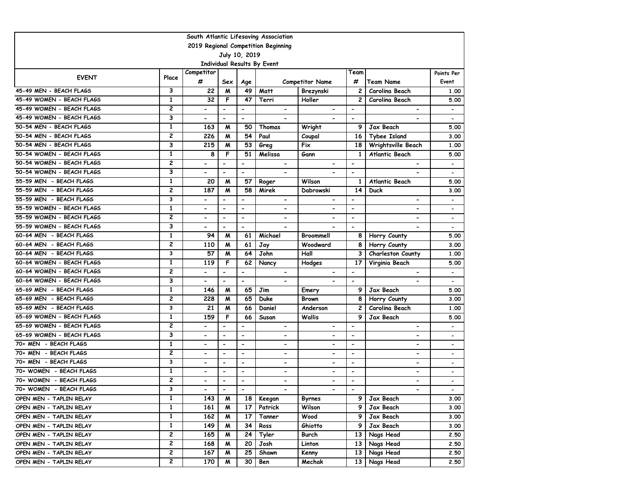|                                     |                         |                          |                          |                          | South Atlantic Lifesaving Association |                          |                          |                          |                          |  |  |
|-------------------------------------|-------------------------|--------------------------|--------------------------|--------------------------|---------------------------------------|--------------------------|--------------------------|--------------------------|--------------------------|--|--|
| 2019 Regional Competition Beginning |                         |                          |                          |                          |                                       |                          |                          |                          |                          |  |  |
|                                     |                         |                          |                          | July 10, 2019            |                                       |                          |                          |                          |                          |  |  |
|                                     |                         |                          |                          |                          | Individual Results By Event           |                          |                          |                          |                          |  |  |
| <b>EVENT</b>                        | Place                   | Competitor<br>#          | Sex                      | Age                      |                                       | <b>Competitor Name</b>   | Team<br>#                | <b>Team Name</b>         | Points Per<br>Event      |  |  |
| 45-49 MEN - BEACH FLAGS             | 3                       | 22                       | M                        | 49                       | Matt                                  | Brezynski                | $\overline{c}$           | Carolina Beach           | 1.00                     |  |  |
| 45-49 WOMEN - BEACH FLAGS           | 1                       | 32                       | F                        | 47                       | Terri                                 | Holler                   | 2                        | Carolina Beach           | 5.00                     |  |  |
| 45-49 WOMEN - BEACH FLAGS           | 2                       | $\overline{\phantom{a}}$ | $\overline{\phantom{a}}$ | $\overline{\phantom{a}}$ | $\overline{\phantom{a}}$              | $\overline{\phantom{0}}$ | $\overline{\phantom{a}}$ | $\blacksquare$           | $\overline{\phantom{a}}$ |  |  |
| 45-49 WOMEN - BEACH FLAGS           | 3                       | $\overline{\phantom{a}}$ | $\blacksquare$           | $\overline{\phantom{a}}$ | $\overline{\phantom{0}}$              | $\overline{\phantom{0}}$ | $\overline{\phantom{a}}$ |                          | $\overline{\phantom{a}}$ |  |  |
| 50-54 MEN - BEACH FLAGS             | 1                       | 163                      | м                        | 50                       | Thomas                                | Wright                   | 9                        | Jax Beach                | 5.00                     |  |  |
| 50-54 MEN - BEACH FLAGS             | 2                       | 226                      | м                        | 54                       | Paul                                  | Coupal                   | 16                       | <b>Tybee Island</b>      | 3.00                     |  |  |
| 50-54 MEN - BEACH FLAGS             | 3                       | 215                      | м                        | 53                       | Greg                                  | Fix                      | 18                       | Wrightsville Beach       | 1.00                     |  |  |
| 50-54 WOMEN - BEACH FLAGS           | $\mathbf{1}$            | 8                        | F                        | 51                       | Melissa                               | Gann                     | $\mathbf{1}$             | Atlantic Beach           | 5.00                     |  |  |
| 50-54 WOMEN - BEACH FLAGS           | 2                       | $\overline{\phantom{a}}$ | $\blacksquare$           | $\blacksquare$           | $\blacksquare$                        | $\overline{\phantom{0}}$ | $\overline{\phantom{a}}$ | $\overline{\phantom{a}}$ | $\overline{\phantom{a}}$ |  |  |
| 50-54 WOMEN - BEACH FLAGS           | 3                       |                          | $\overline{\phantom{a}}$ | $\overline{\phantom{0}}$ |                                       |                          | $\overline{\phantom{a}}$ |                          | $\overline{\phantom{a}}$ |  |  |
| 55-59 MEN - BEACH FLAGS             | 1                       | 20                       | M                        | 57                       | Roger                                 | Wilson                   | 1                        | Atlantic Beach           | 5.00                     |  |  |
| 55-59 MEN - BEACH FLAGS             | 2                       | 187                      | M                        | 58                       | Mirek                                 | Dabrowski                | 14                       | <b>Duck</b>              | 3.00                     |  |  |
| 55-59 MEN - BEACH FLAGS             | 3                       | -                        | $\overline{\phantom{a}}$ | $\overline{\phantom{a}}$ | $\blacksquare$                        | $\overline{\phantom{0}}$ | $\overline{\phantom{a}}$ | $\overline{\phantom{a}}$ | $\overline{\phantom{a}}$ |  |  |
| 55-59 WOMEN - BEACH FLAGS           | 1                       | $\overline{\phantom{0}}$ | $\blacksquare$           | $\blacksquare$           | $\overline{\phantom{0}}$              | $\overline{\phantom{0}}$ | $\overline{\phantom{a}}$ | $\overline{\phantom{a}}$ | $\overline{\phantom{a}}$ |  |  |
| 55-59 WOMEN - BEACH FLAGS           | 2                       | $\overline{\phantom{a}}$ | $\overline{\phantom{a}}$ | $\overline{\phantom{0}}$ | $\overline{\phantom{a}}$              | $\overline{\phantom{0}}$ | $\overline{\phantom{a}}$ | $\overline{\phantom{0}}$ | $\overline{\phantom{a}}$ |  |  |
| 55-59 WOMEN - BEACH FLAGS           | 3                       | -                        | $\overline{\phantom{a}}$ | $\overline{\phantom{a}}$ | $\overline{\phantom{a}}$              |                          | $\overline{\phantom{a}}$ | $\overline{\phantom{a}}$ | $\overline{\phantom{a}}$ |  |  |
| 60-64 MEN - BEACH FLAGS             | 1                       | 94                       | M                        | 61                       | Michael                               | Broommell                | 8                        | Horry County             | 5.00                     |  |  |
| 60-64 MEN - BEACH FLAGS             | $\overline{\mathbf{c}}$ | 110                      | M                        | 61                       | Jay                                   | Woodward                 | 8                        | Horry County             | 3.00                     |  |  |
| 60-64 MEN - BEACH FLAGS             | 3                       | 57                       | M                        | 64                       | John                                  | Hall                     | 3                        | Charleston County        | 1.00                     |  |  |
| 60-64 WOMEN - BEACH FLAGS           | $\mathbf{1}$            | 119                      | F                        | 62                       | Nancy                                 | Hodges                   | 17                       | Virginia Beach           | 5.00                     |  |  |
| 60-64 WOMEN - BEACH FLAGS           | 2                       |                          | $\overline{\phantom{0}}$ | $\overline{\phantom{0}}$ |                                       |                          | $\blacksquare$           |                          | $\overline{\phantom{a}}$ |  |  |
| 60-64 WOMEN - BEACH FLAGS           | 3                       |                          | $\blacksquare$           | $\overline{\phantom{0}}$ |                                       |                          | $\blacksquare$           |                          |                          |  |  |
| 65-69 MEN - BEACH FLAGS             | $\mathbf{1}$            | 146                      | M                        | 65                       | Jim                                   | Emery                    | 9                        | Jax Beach                | 5.00                     |  |  |
| 65-69 MEN - BEACH FLAGS             | 2                       | 228                      | M                        | 65                       | Duke                                  | <b>Brown</b>             | 8                        | Horry County             | 3.00                     |  |  |
| 65-69 MEN - BEACH FLAGS             | 3                       | 21                       | M                        | 66                       | Daniel                                | Anderson                 | $\overline{c}$           | Carolina Beach           | 1.00                     |  |  |
| 65-69 WOMEN - BEACH FLAGS           | 1                       | 159                      | F                        | 66                       | Susan                                 | Wallis                   | 9                        | Jax Beach                | 5.00                     |  |  |
| 65-69 WOMEN - BEACH FLAGS           | 2                       |                          | $\overline{\phantom{a}}$ | $\overline{\phantom{a}}$ | $\overline{\phantom{a}}$              | $\overline{\phantom{a}}$ | $\overline{\phantom{a}}$ | $\blacksquare$           |                          |  |  |
| 65-69 WOMEN - BEACH FLAGS           | 3                       | $\blacksquare$           | $\blacksquare$           | $\blacksquare$           | $\overline{\phantom{0}}$              | $\overline{\phantom{0}}$ | $\overline{\phantom{a}}$ | $\overline{\phantom{0}}$ | $\overline{\phantom{a}}$ |  |  |
| 70+ MEN - BEACH FLAGS               | 1                       | -                        | $\blacksquare$           | $\blacksquare$           | -                                     | -                        | $\overline{\phantom{a}}$ | $\overline{\phantom{a}}$ | $\overline{\phantom{0}}$ |  |  |
| 70+ MEN - BEACH FLAGS               | 2                       |                          | $\blacksquare$           | $\blacksquare$           | $\overline{\phantom{0}}$              | $\overline{\phantom{0}}$ | $\overline{\phantom{a}}$ | $\overline{a}$           | $\overline{\phantom{a}}$ |  |  |
| 70+ MEN - BEACH FLAGS               | 3                       | -                        | $\overline{\phantom{a}}$ | $\overline{\phantom{a}}$ | -                                     | -                        | $\overline{\phantom{a}}$ | $\overline{\phantom{a}}$ | $\overline{\phantom{a}}$ |  |  |
| 70+ WOMEN - BEACH FLAGS             | 1                       | -                        | $\overline{\phantom{a}}$ | $\overline{\phantom{a}}$ | $\overline{\phantom{0}}$              | $\overline{\phantom{0}}$ | $\overline{\phantom{a}}$ | $\overline{\phantom{0}}$ |                          |  |  |
| 70+ WOMEN - BEACH FLAGS             | 2                       | -                        | $\overline{\phantom{a}}$ | $\overline{\phantom{a}}$ | $\overline{\phantom{0}}$              | -                        | $\overline{\phantom{a}}$ | $\blacksquare$           |                          |  |  |
| 70+ WOMEN - BEACH FLAGS             | 3                       | $\blacksquare$           | $\blacksquare$           | $\overline{\phantom{a}}$ | $\blacksquare$                        | $\overline{\phantom{a}}$ | $\blacksquare$           |                          | $\overline{\phantom{a}}$ |  |  |
| OPEN MEN - TAPLIN RELAY             | 1                       | 143                      | M                        | 18 I                     | Keegan                                | Byrnes                   | 9                        | Jax Beach                | 3.00                     |  |  |
| OPEN MEN - TAPLIN RELAY             | 1                       | 161                      | M                        | 17                       | Patrick                               | Wilson                   | 9                        | Jax Beach                | 3.00                     |  |  |
| OPEN MEN - TAPLIN RELAY             | $\mathbf{1}$            | 162                      | M                        | 17                       | Tanner                                | Wood                     | 9                        | Jax Beach                | 3.00                     |  |  |
| OPEN MEN - TAPLIN RELAY             | $\mathbf{1}$            | 149                      | M                        | 34                       | Ross                                  | Ghiotto                  | 9 I                      | Jax Beach                | 3.00                     |  |  |
| OPEN MEN - TAPLIN RELAY             | 2                       | 165                      | M                        | 24                       | Tyler                                 | Burch                    | 13 I                     | Nags Head                | 2.50                     |  |  |
| OPEN MEN - TAPLIN RELAY             | 2                       | 168                      | M                        | 20                       | Josh                                  | Linton                   | 13 I                     | Nags Head                | 2.50                     |  |  |
| OPEN MEN - TAPLIN RELAY             | 2                       | 167                      | M                        | 25                       | Shawn                                 | Kenny                    | 13                       | Nags Head                | 2.50                     |  |  |
| OPEN MEN - TAPLIN RELAY             | $\mathbf{2}$            | 170                      | M                        | 30                       | Ben                                   | Mechak                   | 13 <sup>1</sup>          | Nags Head                | 2.50                     |  |  |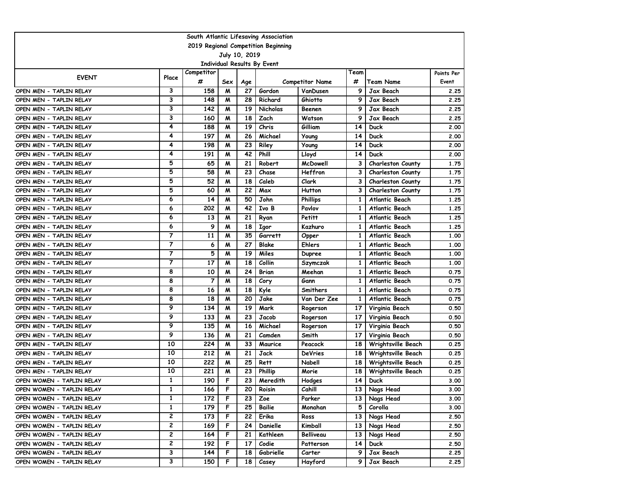|                                                     | South Atlantic Lifesaving Association |                 |     |     |                 |                        |                 |                          |                     |  |  |  |
|-----------------------------------------------------|---------------------------------------|-----------------|-----|-----|-----------------|------------------------|-----------------|--------------------------|---------------------|--|--|--|
| 2019 Regional Competition Beginning                 |                                       |                 |     |     |                 |                        |                 |                          |                     |  |  |  |
| July 10, 2019<br><b>Individual Results By Event</b> |                                       |                 |     |     |                 |                        |                 |                          |                     |  |  |  |
|                                                     |                                       |                 |     |     |                 |                        |                 |                          |                     |  |  |  |
| <b>EVENT</b>                                        | Place                                 | Competitor<br># | Sex | Age |                 | <b>Competitor Name</b> | Team<br>#       | <b>Team Name</b>         | Points Per<br>Event |  |  |  |
| OPEN MEN - TAPLIN RELAY                             | 3                                     | 158             | M   | 27  | Gordon          | VanDusen               | 9               | Jax Beach                | 2.25                |  |  |  |
| OPEN MEN - TAPLIN RELAY                             | 3                                     | 148             | M   | 28  | Richard         | Ghiotto                | 9               | Jax Beach                | 2.25                |  |  |  |
| OPEN MEN - TAPLIN RELAY                             | 3                                     | 142             | M   | 19  | <b>Nicholas</b> | Beenen                 | 9               | Jax Beach                | 2.25                |  |  |  |
| OPEN MEN - TAPLIN RELAY                             | 3                                     | 160             | M   | 18  | Zach            | Watson                 | 9               | Jax Beach                | 2.25                |  |  |  |
| OPEN MEN - TAPLIN RELAY                             | 4                                     | 188             | M   | 19  | Chris           | Gilliam                | 14              | Duck                     | 2.00                |  |  |  |
| OPEN MEN - TAPLIN RELAY                             | 4                                     | 197             | M   | 26  | Michael         | Young                  | 14              | <b>Duck</b>              | 2.00                |  |  |  |
| OPEN MEN - TAPLIN RELAY                             | 4                                     | 198             | M   | 23  | Riley           | Young                  | 14              | <b>Duck</b>              | 2.00                |  |  |  |
| OPEN MEN - TAPLIN RELAY                             | 4                                     | 191             | M   | 42  | Phill           | Lloyd                  | 14              | Duck                     | 2.00                |  |  |  |
| OPEN MEN - TAPLIN RELAY                             | 5                                     | 65              | M   | 21  | Robert          | McDowell               | 3               | <b>Charleston County</b> | 1.75                |  |  |  |
| OPEN MEN - TAPLIN RELAY                             | 5                                     | 58              | M   | 23  | Chase           | Heffron                | 3               | <b>Charleston County</b> | 1.75                |  |  |  |
| OPEN MEN - TAPLIN RELAY                             | 5                                     | 52              | M   | 18  | Caleb           | Clark                  | 3               | <b>Charleston County</b> | 1.75                |  |  |  |
| OPEN MEN - TAPLIN RELAY                             | 5                                     | 60              | M   | 22  | Max             | Hutton                 | 3               | Charleston County        | 1.75                |  |  |  |
| OPEN MEN - TAPLIN RELAY                             | 6                                     | 14              | M   | 50  | John            | <b>Phillips</b>        | 1               | Atlantic Beach           | 1.25                |  |  |  |
| OPEN MEN - TAPLIN RELAY                             | 6                                     | 202             | М   | 42  | Ivo B           | Pavlov                 | 1               | Atlantic Beach           | 1.25                |  |  |  |
| OPEN MEN - TAPLIN RELAY                             | 6                                     | 13              | M   | 21  | Ryan            | Petitt                 | 1               | Atlantic Beach           | 1.25                |  |  |  |
| OPEN MEN - TAPLIN RELAY                             | 6                                     | 9               | M   | 18  | <b>Igor</b>     | Kazhuro                | 1               | Atlantic Beach           | 1.25                |  |  |  |
| OPEN MEN - TAPLIN RELAY                             | 7                                     | 11              | M   | 35  | Garrett         | Opper                  | $\mathbf{1}$    | Atlantic Beach           | 1.00                |  |  |  |
| OPEN MEN - TAPLIN RELAY                             | 7                                     | 6               | M   | 27  | Blake           | Ehlers                 | $\mathbf{1}$    | Atlantic Beach           | 1.00                |  |  |  |
| OPEN MEN - TAPLIN RELAY                             | 7                                     | 5               | м   | 19  | Miles           | <b>Dupree</b>          | 1               | Atlantic Beach           | 1.00                |  |  |  |
| OPEN MEN - TAPLIN RELAY                             | $\overline{7}$                        | 17              | M   | 18  | Collin          | Szymczak               | 1               | Atlantic Beach           | 1.00                |  |  |  |
| OPEN MEN - TAPLIN RELAY                             | 8                                     | 10              | M   | 24  | Brian           | Meehan                 | 1               | Atlantic Beach           | 0.75                |  |  |  |
| OPEN MEN - TAPLIN RELAY                             | 8                                     | $\overline{7}$  | M   | 18  | Cory            | Gann                   | 1               | Atlantic Beach           | 0.75                |  |  |  |
| OPEN MEN - TAPLIN RELAY                             | 8                                     | 16              | M   | 18  | Kyle            | <b>Smithers</b>        | 1               | Atlantic Beach           | 0.75                |  |  |  |
| OPEN MEN - TAPLIN RELAY                             | 8                                     | 18              | м   | 20  | Jake            | Van Der Zee            | 1               | Atlantic Beach           | 0.75                |  |  |  |
| OPEN MEN - TAPLIN RELAY                             | 9                                     | 134             | M   | 19  | Mark            | Rogerson               | 17              | Virginia Beach           | 0.50                |  |  |  |
| OPEN MEN - TAPLIN RELAY                             | 9                                     | 133             | M   | 23  | Jacob           | Rogerson               | 17              | Virginia Beach           | 0.50                |  |  |  |
| OPEN MEN - TAPLIN RELAY                             | 9                                     | 135             | M   | 16  | Michael         | Rogerson               | 17              | Virginia Beach           | 0.50                |  |  |  |
| OPEN MEN - TAPLIN RELAY                             | 9                                     | 136             | M   | 21  | Camden          | Smith                  | 17              | Virginia Beach           | 0.50                |  |  |  |
| OPEN MEN - TAPLIN RELAY                             | 10                                    | 224             | M   | 33  | Maurice         | Peacock                | 18              | Wrightsville Beach       | 0.25                |  |  |  |
| OPEN MEN - TAPLIN RELAY                             | 10                                    | 212             | M   | 21  | Jack            | DeVries                | 18              | Wrightsville Beach       | 0.25                |  |  |  |
| OPEN MEN - TAPLIN RELAY                             | 10                                    | 222             | M   | 25  | Rett            | Nabell                 | 18              | Wrightsville Beach       | 0.25                |  |  |  |
| OPEN MEN - TAPLIN RELAY                             | 10                                    | 221             | M   | 23  | Phillip         | Morie                  | 18              | Wrightsville Beach       | 0.25                |  |  |  |
| OPEN WOMEN - TAPLIN RELAY                           | $\mathbf{1}$                          | 190             | F   | 23  | Meredith        | Hodges                 | 14              | <b>Duck</b>              | 3.00                |  |  |  |
| OPEN WOMEN - TAPLIN RELAY                           | 1                                     | 166             | F   | 20  | Roisin          | Cahill                 |                 | 13 Nags Head             | 3.00                |  |  |  |
| OPEN WOMEN - TAPLIN RELAY                           | 1                                     | 172             | F   | 23  | Zoe             | Parker                 | 13 <sup>1</sup> | Nags Head                | 3.00                |  |  |  |
| OPEN WOMEN - TAPLIN RELAY                           | 1                                     | 179             | F   | 25  | Bailie          | Monahan                | 5               | Corolla                  | 3.00                |  |  |  |
| OPEN WOMEN - TAPLIN RELAY                           | 2                                     | 173             | F   | 22  | Erika           | Ross                   |                 | 13 Nags Head             | 2.50                |  |  |  |
| OPEN WOMEN - TAPLIN RELAY                           | 2                                     | 169             | F   | 24  | Danielle        | Kimball                | 13 I            | Nags Head                | 2.50                |  |  |  |
| OPEN WOMEN - TAPLIN RELAY                           | 2                                     | 164             | F   | 21  | Kathleen        | <b>Belliveau</b>       | 13              | Nags Head                | 2.50                |  |  |  |
| OPEN WOMEN - TAPLIN RELAY                           | 2                                     | 192             | F   | 17  | Codie           | Patterson              | 14              | <b>Duck</b>              | 2.50                |  |  |  |
| OPEN WOMEN - TAPLIN RELAY                           | 3                                     | 144             | F   | 18  | Gabrielle       | Carter                 | 9               | Jax Beach                | 2.25                |  |  |  |
| OPEN WOMEN - TAPLIN RELAY                           | 3                                     | 150             | F   | 18  | Casey           | Hayford                | 9               | Jax Beach                | 2.25                |  |  |  |